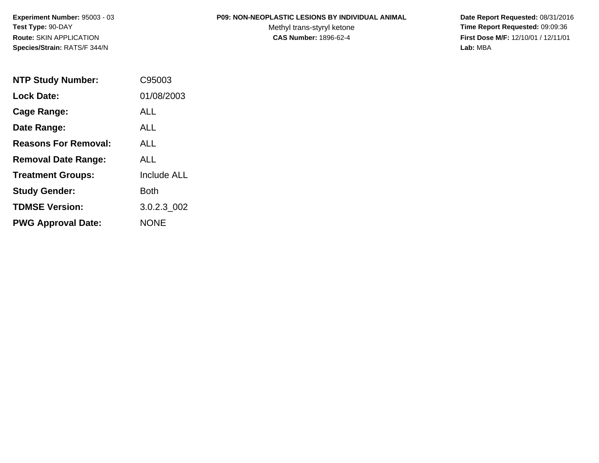#### **P09: NON-NEOPLASTIC LESIONS BY INDIVIDUAL ANIMAL**

Methyl trans-styryl ketone<br>CAS Number: 1896-62-4

| <b>NTP Study Number:</b>    | C95003             |
|-----------------------------|--------------------|
| <b>Lock Date:</b>           | 01/08/2003         |
| Cage Range:                 | ALL                |
| Date Range:                 | ALL                |
| <b>Reasons For Removal:</b> | AI I               |
| <b>Removal Date Range:</b>  | ALL                |
| <b>Treatment Groups:</b>    | <b>Include ALL</b> |
| <b>Study Gender:</b>        | Both               |
| <b>TDMSE Version:</b>       | 3.0.2.3 002        |
| <b>PWG Approval Date:</b>   | <b>NONE</b>        |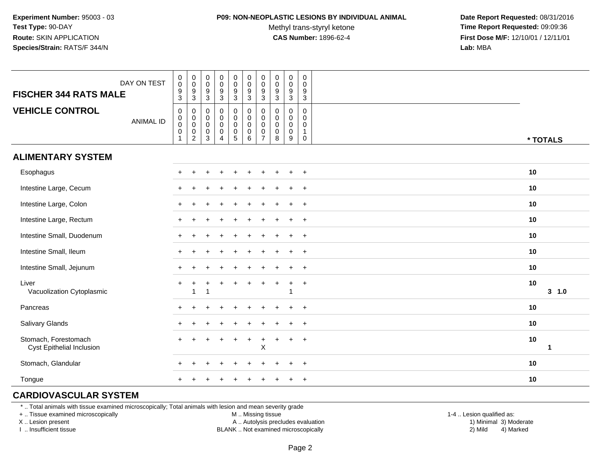#### **P09: NON-NEOPLASTIC LESIONS BY INDIVIDUAL ANIMAL**

Methyl trans-styryl ketone<br>CAS Number: 1896-62-4

 **Date Report Requested:** 08/31/2016 **Time Report Requested:** 09:09:36 **First Dose M/F:** 12/10/01 / 12/11/01<br>**Lab:** MBA **Lab:** MBA

| DAY ON TEST<br><b>FISCHER 344 RATS MALE</b>       | $\begin{smallmatrix} 0\\0 \end{smallmatrix}$<br>$\frac{9}{3}$ | $_{\rm 0}^{\rm 0}$<br>$\frac{9}{3}$                          | $\,0\,$<br>$\boldsymbol{0}$<br>$^9_3$                                     | 0<br>$\mathbf 0$<br>$\boldsymbol{9}$<br>3                   | $\begin{smallmatrix}0\\0\end{smallmatrix}$<br>$\frac{9}{3}$                     | $\begin{array}{c} 0 \\ 0 \\ 9 \\ 3 \end{array}$                           | $\pmb{0}$<br>$\mathsf 0$<br>$\frac{9}{3}$                  | $\pmb{0}$<br>$\pmb{0}$<br>$\frac{9}{3}$           | $\pmb{0}$<br>$\mathbf 0$<br>$\frac{9}{3}$                     | 0<br>$\pmb{0}$<br>9<br>3                   |             |
|---------------------------------------------------|---------------------------------------------------------------|--------------------------------------------------------------|---------------------------------------------------------------------------|-------------------------------------------------------------|---------------------------------------------------------------------------------|---------------------------------------------------------------------------|------------------------------------------------------------|---------------------------------------------------|---------------------------------------------------------------|--------------------------------------------|-------------|
| <b>VEHICLE CONTROL</b><br><b>ANIMAL ID</b>        | 0<br>0<br>$\pmb{0}$<br>$\mathbf 0$<br>$\mathbf 1$             | $\mathbf 0$<br>$_{\rm 0}^{\rm 0}$<br>$\pmb{0}$<br>$\sqrt{2}$ | $\mathbf 0$<br>$\mathbf 0$<br>$\boldsymbol{0}$<br>$\pmb{0}$<br>$\sqrt{3}$ | $\mathbf 0$<br>$\mathbf 0$<br>$\pmb{0}$<br>$\mathbf 0$<br>4 | $\mathbf 0$<br>$\mathsf{O}\xspace$<br>$\pmb{0}$<br>$\pmb{0}$<br>$5\phantom{.0}$ | $\pmb{0}$<br>$\mathbf 0$<br>$\ddot{\mathbf{0}}$<br>$\mathsf 0$<br>$\,6\,$ | 0<br>$\pmb{0}$<br>$\pmb{0}$<br>$\pmb{0}$<br>$\overline{7}$ | 0<br>0<br>$\mathsf{O}\xspace$<br>$\mathbf 0$<br>8 | $\mathbf 0$<br>$\mathbf 0$<br>$\mathbf 0$<br>$\mathbf 0$<br>9 | 0<br>0<br>0<br>$\mathbf{1}$<br>$\mathbf 0$ | * TOTALS    |
| <b>ALIMENTARY SYSTEM</b>                          |                                                               |                                                              |                                                                           |                                                             |                                                                                 |                                                                           |                                                            |                                                   |                                                               |                                            |             |
| Esophagus                                         | $\pm$                                                         |                                                              |                                                                           |                                                             |                                                                                 |                                                                           |                                                            |                                                   | $\ddot{}$                                                     | $+$                                        | 10          |
| Intestine Large, Cecum                            |                                                               |                                                              |                                                                           |                                                             |                                                                                 |                                                                           |                                                            |                                                   |                                                               | $+$                                        | 10          |
| Intestine Large, Colon                            |                                                               |                                                              |                                                                           |                                                             |                                                                                 |                                                                           |                                                            |                                                   |                                                               | $\ddot{}$                                  | 10          |
| Intestine Large, Rectum                           |                                                               |                                                              |                                                                           |                                                             |                                                                                 |                                                                           |                                                            |                                                   |                                                               | $\ddot{}$                                  | 10          |
| Intestine Small, Duodenum                         |                                                               |                                                              |                                                                           |                                                             |                                                                                 |                                                                           |                                                            |                                                   | $\div$                                                        | $+$                                        | 10          |
| Intestine Small, Ileum                            |                                                               |                                                              |                                                                           |                                                             |                                                                                 |                                                                           |                                                            |                                                   |                                                               | $\overline{+}$                             | 10          |
| Intestine Small, Jejunum                          |                                                               |                                                              |                                                                           |                                                             |                                                                                 |                                                                           |                                                            |                                                   |                                                               | $+$                                        | 10          |
| Liver<br>Vacuolization Cytoplasmic                | $^+$                                                          | 1                                                            | 1                                                                         |                                                             |                                                                                 |                                                                           | $\div$                                                     |                                                   | $\ddot{}$<br>-1                                               | $\overline{+}$                             | 10<br>3 1.0 |
| Pancreas                                          |                                                               |                                                              |                                                                           |                                                             |                                                                                 |                                                                           |                                                            |                                                   |                                                               | $+$                                        | 10          |
| Salivary Glands                                   |                                                               |                                                              |                                                                           |                                                             |                                                                                 |                                                                           |                                                            |                                                   |                                                               | $\ddot{}$                                  | 10          |
| Stomach, Forestomach<br>Cyst Epithelial Inclusion |                                                               |                                                              |                                                                           |                                                             |                                                                                 |                                                                           | $\div$<br>Χ                                                |                                                   | $\div$                                                        | $\overline{+}$                             | 10<br>1     |
| Stomach, Glandular                                |                                                               |                                                              |                                                                           |                                                             |                                                                                 |                                                                           |                                                            |                                                   | $\div$                                                        | $+$                                        | 10          |
| Tongue                                            |                                                               |                                                              |                                                                           |                                                             |                                                                                 |                                                                           |                                                            |                                                   |                                                               | $\ddot{}$                                  | 10          |

## **CARDIOVASCULAR SYSTEM**

\* .. Total animals with tissue examined microscopically; Total animals with lesion and mean severity grade

+ .. Tissue examined microscopically

X .. Lesion present

I .. Insufficient tissue

M .. Missing tissue

A .. Autolysis precludes evaluation

BLANK .. Not examined microscopically 2) Mild 4) Marked

1-4 .. Lesion qualified as: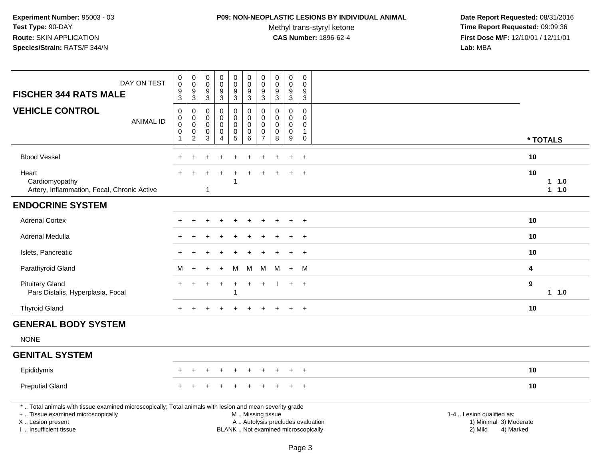#### **P09: NON-NEOPLASTIC LESIONS BY INDIVIDUAL ANIMAL**

Methyl trans-styryl ketone<br>CAS Number: 1896-62-4

| DAY ON TEST<br><b>FISCHER 344 RATS MALE</b>                                                                                                                                                   | $_{\rm 0}^{\rm 0}$<br>$\overline{9}$<br>$\overline{3}$             | $_{\rm 0}^{\rm 0}$<br>$\overline{9}$<br>$\mathbf{3}$       | $\boldsymbol{0}$<br>$\mathbf 0$<br>$\boldsymbol{9}$<br>$\overline{3}$ | $\pmb{0}$<br>$\mathbf 0$<br>$\boldsymbol{9}$<br>$\mathbf{3}$               | $\begin{smallmatrix} 0\\0 \end{smallmatrix}$<br>9<br>$\mathbf{3}$ | $_{\rm 0}^{\rm 0}$<br>$\overline{9}$<br>$\mathbf{3}$                                          | $\mathsf 0$<br>$\pmb{0}$<br>9<br>3                             | $\pmb{0}$<br>$\pmb{0}$<br>$\boldsymbol{9}$<br>$\mathbf{3}$ | $\mathbf 0$<br>$\mathbf 0$<br>$9$<br>$\mathbf{3}$             | 0<br>$\mathbf 0$<br>9<br>$\mathsf 3$                         |                                                                             |              |
|-----------------------------------------------------------------------------------------------------------------------------------------------------------------------------------------------|--------------------------------------------------------------------|------------------------------------------------------------|-----------------------------------------------------------------------|----------------------------------------------------------------------------|-------------------------------------------------------------------|-----------------------------------------------------------------------------------------------|----------------------------------------------------------------|------------------------------------------------------------|---------------------------------------------------------------|--------------------------------------------------------------|-----------------------------------------------------------------------------|--------------|
| <b>VEHICLE CONTROL</b><br><b>ANIMAL ID</b>                                                                                                                                                    | 0<br>$\pmb{0}$<br>$\mathsf{O}\xspace$<br>$\pmb{0}$<br>$\mathbf{1}$ | 0<br>$\pmb{0}$<br>$\pmb{0}$<br>$\pmb{0}$<br>$\overline{2}$ | $\mathbf 0$<br>$\mathbf 0$<br>$\mathbf 0$<br>$\boldsymbol{0}$<br>3    | $\mathbf 0$<br>$\mathbf 0$<br>$\mathbf 0$<br>$\mathbf 0$<br>$\overline{4}$ | 0<br>0<br>$\mathbf 0$<br>0<br>5                                   | $\mathbf 0$<br>$\mathbf 0$<br>$\mathbf 0$<br>$\pmb{0}$<br>$\,6\,$                             | 0<br>$\mathbf 0$<br>$\mathbf 0$<br>$\pmb{0}$<br>$\overline{7}$ | $\Omega$<br>$\mathbf 0$<br>$\mathbf 0$<br>0<br>$\bf 8$     | $\mathbf 0$<br>$\mathbf 0$<br>$\mathbf 0$<br>$\mathbf 0$<br>9 | 0<br>$\mathbf 0$<br>$\mathbf 0$<br>$\mathbf{1}$<br>$\pmb{0}$ |                                                                             | * TOTALS     |
| <b>Blood Vessel</b>                                                                                                                                                                           |                                                                    |                                                            |                                                                       |                                                                            |                                                                   |                                                                                               |                                                                |                                                            |                                                               | $+$                                                          | 10                                                                          |              |
| Heart<br>Cardiomyopathy<br>Artery, Inflammation, Focal, Chronic Active                                                                                                                        |                                                                    |                                                            | -1                                                                    |                                                                            | -1                                                                |                                                                                               |                                                                |                                                            |                                                               | $+$                                                          | 10                                                                          | 11.0<br>11.0 |
| <b>ENDOCRINE SYSTEM</b>                                                                                                                                                                       |                                                                    |                                                            |                                                                       |                                                                            |                                                                   |                                                                                               |                                                                |                                                            |                                                               |                                                              |                                                                             |              |
| <b>Adrenal Cortex</b>                                                                                                                                                                         |                                                                    |                                                            |                                                                       |                                                                            |                                                                   |                                                                                               |                                                                |                                                            |                                                               | $+$                                                          | 10                                                                          |              |
| Adrenal Medulla                                                                                                                                                                               |                                                                    |                                                            |                                                                       |                                                                            |                                                                   |                                                                                               |                                                                |                                                            |                                                               | $\overline{+}$                                               | 10                                                                          |              |
| Islets, Pancreatic                                                                                                                                                                            |                                                                    |                                                            |                                                                       |                                                                            |                                                                   |                                                                                               |                                                                |                                                            |                                                               | $+$                                                          | 10                                                                          |              |
| Parathyroid Gland                                                                                                                                                                             | M                                                                  | $\ddot{}$                                                  |                                                                       | $\ddot{}$                                                                  | M                                                                 | M                                                                                             | M                                                              | M                                                          | $+$                                                           | M                                                            | 4                                                                           |              |
| <b>Pituitary Gland</b><br>Pars Distalis, Hyperplasia, Focal                                                                                                                                   |                                                                    |                                                            |                                                                       |                                                                            |                                                                   |                                                                                               |                                                                |                                                            |                                                               | $+$                                                          | $\boldsymbol{9}$                                                            | $1 1.0$      |
| <b>Thyroid Gland</b>                                                                                                                                                                          | $+$                                                                | $\div$                                                     |                                                                       |                                                                            |                                                                   |                                                                                               | $\div$                                                         |                                                            |                                                               | $+$                                                          | 10                                                                          |              |
| <b>GENERAL BODY SYSTEM</b>                                                                                                                                                                    |                                                                    |                                                            |                                                                       |                                                                            |                                                                   |                                                                                               |                                                                |                                                            |                                                               |                                                              |                                                                             |              |
| <b>NONE</b>                                                                                                                                                                                   |                                                                    |                                                            |                                                                       |                                                                            |                                                                   |                                                                                               |                                                                |                                                            |                                                               |                                                              |                                                                             |              |
| <b>GENITAL SYSTEM</b>                                                                                                                                                                         |                                                                    |                                                            |                                                                       |                                                                            |                                                                   |                                                                                               |                                                                |                                                            |                                                               |                                                              |                                                                             |              |
| Epididymis                                                                                                                                                                                    |                                                                    |                                                            |                                                                       |                                                                            |                                                                   |                                                                                               |                                                                |                                                            |                                                               | $+$                                                          | 10                                                                          |              |
| <b>Preputial Gland</b>                                                                                                                                                                        |                                                                    |                                                            |                                                                       |                                                                            |                                                                   |                                                                                               |                                                                |                                                            |                                                               | $+$                                                          | 10                                                                          |              |
| *  Total animals with tissue examined microscopically; Total animals with lesion and mean severity grade<br>+  Tissue examined microscopically<br>X  Lesion present<br>I. Insufficient tissue |                                                                    |                                                            |                                                                       |                                                                            |                                                                   | M  Missing tissue<br>A  Autolysis precludes evaluation<br>BLANK  Not examined microscopically |                                                                |                                                            |                                                               |                                                              | 1-4  Lesion qualified as:<br>1) Minimal 3) Moderate<br>2) Mild<br>4) Marked |              |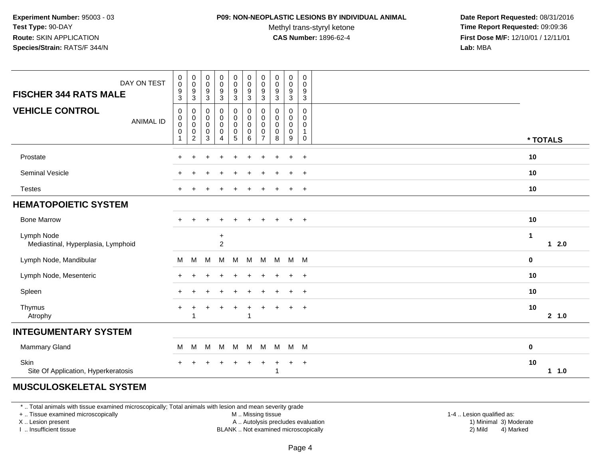#### **P09: NON-NEOPLASTIC LESIONS BY INDIVIDUAL ANIMAL**

Methyl trans-styryl ketone<br>CAS Number: 1896-62-4

 **Date Report Requested:** 08/31/2016 **Time Report Requested:** 09:09:36 **First Dose M/F:** 12/10/01 / 12/11/01<br>**Lab:** MBA **Lab:** MBA

| DAY ON TEST<br><b>FISCHER 344 RATS MALE</b>        | $\pmb{0}$<br>$\mathbf 0$<br>9<br>$\mathbf{3}$ | $\begin{smallmatrix} 0\\0 \end{smallmatrix}$<br>$\frac{9}{3}$            | $\,0\,$<br>$\mathbf 0$<br>$\boldsymbol{9}$<br>$\sqrt{3}$       | 0<br>$\mathsf 0$<br>9<br>3      | $\mathbf 0$<br>$\pmb{0}$<br>$\boldsymbol{9}$<br>$\sqrt{3}$ | $\pmb{0}$<br>$\pmb{0}$<br>$\boldsymbol{9}$<br>$\sqrt{3}$ | $\mathbf 0$<br>$\pmb{0}$<br>9<br>$\mathbf{3}$                    | $\mathbf 0$<br>$\mathbf 0$<br>9<br>$\mathbf{3}$ | 0<br>$\pmb{0}$<br>$\boldsymbol{9}$<br>$\ensuremath{\mathsf{3}}$ | $\pmb{0}$<br>$\mathbf 0$<br>$\boldsymbol{9}$<br>$\sqrt{3}$ |              |               |
|----------------------------------------------------|-----------------------------------------------|--------------------------------------------------------------------------|----------------------------------------------------------------|---------------------------------|------------------------------------------------------------|----------------------------------------------------------|------------------------------------------------------------------|-------------------------------------------------|-----------------------------------------------------------------|------------------------------------------------------------|--------------|---------------|
| <b>VEHICLE CONTROL</b><br><b>ANIMAL ID</b>         | 0<br>0<br>$\mathbf 0$<br>0                    | 0<br>$\boldsymbol{0}$<br>$\pmb{0}$<br>$\boldsymbol{0}$<br>$\overline{2}$ | $\mathbf 0$<br>$\mathbf 0$<br>$\mathbf 0$<br>0<br>$\mathbf{3}$ | 0<br>0<br>$\mathbf 0$<br>0<br>4 | 0<br>$\mathbf 0$<br>$\mathbf 0$<br>0<br>5                  | $\mathbf 0$<br>$\mathbf 0$<br>$\pmb{0}$<br>0<br>$\,6\,$  | 0<br>$\mathbf 0$<br>$\mathbf 0$<br>$\mathbf 0$<br>$\overline{7}$ | 0<br>$\mathbf{0}$<br>$\mathbf 0$<br>0<br>$\bf8$ | 0<br>0<br>0<br>0<br>9                                           | $\mathbf 0$<br>$\Omega$<br>$\Omega$<br>1<br>0              | * TOTALS     |               |
| Prostate                                           | $\ddot{}$                                     | $\pm$                                                                    | ÷                                                              | $\ddot{}$                       | $\ddot{}$                                                  | $\ddot{}$                                                | $\pm$                                                            | ÷                                               | $\ddot{}$                                                       | $+$                                                        | 10           |               |
| Seminal Vesicle                                    | $\div$                                        |                                                                          |                                                                |                                 |                                                            |                                                          |                                                                  |                                                 | $\ddot{}$                                                       | $^{+}$                                                     | 10           |               |
| <b>Testes</b>                                      | $\div$                                        |                                                                          |                                                                |                                 |                                                            |                                                          |                                                                  |                                                 | $\ddot{}$                                                       | $+$                                                        | 10           |               |
| <b>HEMATOPOIETIC SYSTEM</b>                        |                                               |                                                                          |                                                                |                                 |                                                            |                                                          |                                                                  |                                                 |                                                                 |                                                            |              |               |
| <b>Bone Marrow</b>                                 | $+$                                           | $\pm$                                                                    |                                                                | $\ddot{}$                       |                                                            |                                                          | ÷                                                                | $\ddot{}$                                       | $\ddot{}$                                                       | $+$                                                        | 10           |               |
| Lymph Node<br>Mediastinal, Hyperplasia, Lymphoid   |                                               |                                                                          |                                                                | $\ddot{}$<br>$\overline{2}$     |                                                            |                                                          |                                                                  |                                                 |                                                                 |                                                            | $\mathbf{1}$ | $1 \quad 2.0$ |
| Lymph Node, Mandibular                             | М                                             | M                                                                        | M                                                              | м                               | M                                                          | М                                                        | М                                                                | M                                               | $M$ M                                                           |                                                            | 0            |               |
| Lymph Node, Mesenteric                             | $\ddot{}$                                     |                                                                          |                                                                |                                 |                                                            |                                                          |                                                                  |                                                 | $\ddot{}$                                                       | $\overline{+}$                                             | 10           |               |
| Spleen                                             | $\ddot{}$                                     |                                                                          |                                                                | $\div$                          |                                                            | $\ddot{}$                                                | ÷                                                                |                                                 | $\ddot{}$                                                       | $\overline{+}$                                             | 10           |               |
| Thymus<br>Atrophy                                  | $\ddot{}$                                     |                                                                          |                                                                |                                 |                                                            | $\overline{1}$<br>-1                                     |                                                                  |                                                 | $\ddot{}$                                                       | $+$                                                        | 10           | 2, 1.0        |
| <b>INTEGUMENTARY SYSTEM</b>                        |                                               |                                                                          |                                                                |                                 |                                                            |                                                          |                                                                  |                                                 |                                                                 |                                                            |              |               |
| Mammary Gland                                      | M                                             | M                                                                        | M                                                              | M                               | M                                                          | M                                                        | M                                                                | M                                               | M M                                                             |                                                            | $\mathbf 0$  |               |
| <b>Skin</b><br>Site Of Application, Hyperkeratosis |                                               |                                                                          |                                                                |                                 |                                                            |                                                          |                                                                  | 1                                               | $\ddot{}$                                                       | $+$                                                        | 10           | 1 1.0         |
| 111001110011771771101077711                        |                                               |                                                                          |                                                                |                                 |                                                            |                                                          |                                                                  |                                                 |                                                                 |                                                            |              |               |

### **MUSCULOSKELETAL SYSTEM**

\* .. Total animals with tissue examined microscopically; Total animals with lesion and mean severity grade

+ .. Tissue examined microscopically

X .. Lesion present

I .. Insufficient tissue

M .. Missing tissue

Lesion present A .. Autolysis precludes evaluation 1) Minimal 3) Moderate

BLANK .. Not examined microscopically 2) Mild 4) Marked

1-4 .. Lesion qualified as: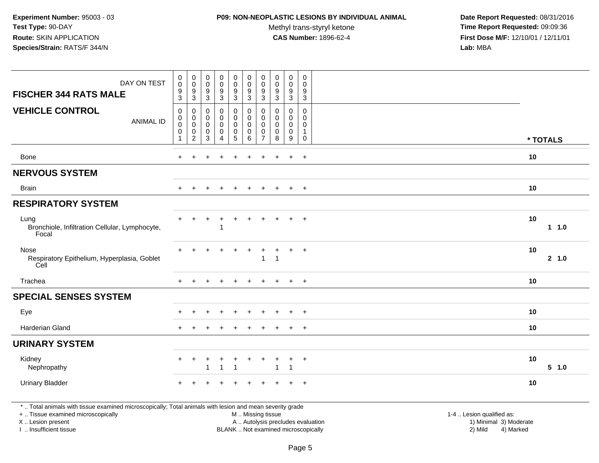## **P09: NON-NEOPLASTIC LESIONS BY INDIVIDUAL ANIMAL**

Methyl trans-styryl ketone<br>CAS Number: 1896-62-4

| DAY ON TEST<br><b>FISCHER 344 RATS MALE</b>                                                                                                                                                   | $\pmb{0}$<br>$\pmb{0}$<br>$\boldsymbol{9}$                                  | $\pmb{0}$<br>$\mathsf 0$<br>$\boldsymbol{9}$                   | 0<br>$\mathbf 0$<br>$\boldsymbol{9}$             | $\pmb{0}$<br>$\pmb{0}$<br>9               | $\pmb{0}$<br>$\mathsf{O}\xspace$<br>9                                          | $\pmb{0}$<br>$\pmb{0}$<br>$\boldsymbol{9}$                | $\pmb{0}$<br>$\mathbf 0$<br>$\boldsymbol{9}$                     | $\pmb{0}$<br>$\pmb{0}$<br>$\boldsymbol{9}$                 | $\pmb{0}$<br>$\pmb{0}$<br>$\boldsymbol{9}$                       | $\mathbf 0$<br>$\mathbf 0$<br>$\boldsymbol{9}$                       |                                                                                                                                                         |        |
|-----------------------------------------------------------------------------------------------------------------------------------------------------------------------------------------------|-----------------------------------------------------------------------------|----------------------------------------------------------------|--------------------------------------------------|-------------------------------------------|--------------------------------------------------------------------------------|-----------------------------------------------------------|------------------------------------------------------------------|------------------------------------------------------------|------------------------------------------------------------------|----------------------------------------------------------------------|---------------------------------------------------------------------------------------------------------------------------------------------------------|--------|
|                                                                                                                                                                                               | $\mathbf{3}$                                                                | $\mathbf{3}$                                                   | $\mathbf{3}$                                     | $\overline{3}$                            | $\mathbf{3}$                                                                   | $\mathbf{3}$                                              | 3                                                                | $\sqrt{3}$                                                 | 3                                                                | $\overline{3}$                                                       |                                                                                                                                                         |        |
| <b>VEHICLE CONTROL</b><br><b>ANIMAL ID</b>                                                                                                                                                    | $\mathbf 0$<br>$\mathbf 0$<br>$\pmb{0}$<br>$\boldsymbol{0}$<br>$\mathbf{1}$ | 0<br>$\pmb{0}$<br>$\mathbf 0$<br>$\pmb{0}$<br>$\boldsymbol{2}$ | 0<br>$\Omega$<br>$\mathbf 0$<br>$\mathbf 0$<br>3 | 0<br>0<br>$\mathsf 0$<br>$\mathbf 0$<br>4 | 0<br>$\mathsf{O}\xspace$<br>$\mathsf{O}\xspace$<br>$\pmb{0}$<br>$\overline{5}$ | $\mathbf 0$<br>$\mathbf 0$<br>$\pmb{0}$<br>$\pmb{0}$<br>6 | 0<br>$\mathbf 0$<br>$\mathbf 0$<br>$\mathbf 0$<br>$\overline{7}$ | $\mathbf 0$<br>$\Omega$<br>$\mathbf 0$<br>$\mathbf 0$<br>8 | 0<br>$\mathbf 0$<br>$\mathbf 0$<br>$\pmb{0}$<br>$\boldsymbol{9}$ | 0<br>$\pmb{0}$<br>$\mathbf 0$<br>$\mathbf{1}$<br>$\mathsf{O}\xspace$ | * TOTALS                                                                                                                                                |        |
|                                                                                                                                                                                               |                                                                             |                                                                |                                                  |                                           |                                                                                |                                                           |                                                                  |                                                            |                                                                  |                                                                      |                                                                                                                                                         |        |
| Bone                                                                                                                                                                                          | $+$                                                                         | $\ddot{}$                                                      |                                                  |                                           | $\div$                                                                         | $\ddot{}$                                                 | $\ddot{}$                                                        | $\div$                                                     | $\ddot{}$                                                        | $+$                                                                  | 10                                                                                                                                                      |        |
| <b>NERVOUS SYSTEM</b>                                                                                                                                                                         |                                                                             |                                                                |                                                  |                                           |                                                                                |                                                           |                                                                  |                                                            |                                                                  |                                                                      |                                                                                                                                                         |        |
| <b>Brain</b>                                                                                                                                                                                  | $\ddot{}$                                                                   |                                                                |                                                  |                                           |                                                                                | $\div$                                                    |                                                                  | $\ddot{}$                                                  | $\ddot{}$                                                        | $^{+}$                                                               | 10                                                                                                                                                      |        |
| <b>RESPIRATORY SYSTEM</b>                                                                                                                                                                     |                                                                             |                                                                |                                                  |                                           |                                                                                |                                                           |                                                                  |                                                            |                                                                  |                                                                      |                                                                                                                                                         |        |
| Lung<br>Bronchiole, Infiltration Cellular, Lymphocyte,<br>Focal                                                                                                                               |                                                                             |                                                                |                                                  | $\ddot{}$<br>-1                           | $\ddot{}$                                                                      | $\ddot{}$                                                 | $\pm$                                                            | $\ddot{}$                                                  | $\ddot{}$                                                        | $+$                                                                  | 10                                                                                                                                                      | 1 1.0  |
| Nose<br>Respiratory Epithelium, Hyperplasia, Goblet<br>Cell                                                                                                                                   |                                                                             |                                                                |                                                  |                                           |                                                                                |                                                           | 1                                                                | -1                                                         | ÷                                                                | $\overline{+}$                                                       | 10                                                                                                                                                      | 2, 1.0 |
| Trachea                                                                                                                                                                                       | $\pm$                                                                       | $\div$                                                         |                                                  | $\div$                                    | $\pm$                                                                          | $\div$                                                    |                                                                  | $\pm$                                                      | $+$                                                              | $+$                                                                  | 10                                                                                                                                                      |        |
| <b>SPECIAL SENSES SYSTEM</b>                                                                                                                                                                  |                                                                             |                                                                |                                                  |                                           |                                                                                |                                                           |                                                                  |                                                            |                                                                  |                                                                      |                                                                                                                                                         |        |
| Eye                                                                                                                                                                                           |                                                                             |                                                                |                                                  |                                           |                                                                                |                                                           |                                                                  |                                                            |                                                                  | $\ddot{}$                                                            | 10                                                                                                                                                      |        |
| <b>Harderian Gland</b>                                                                                                                                                                        |                                                                             |                                                                |                                                  |                                           |                                                                                |                                                           |                                                                  |                                                            |                                                                  | $\overline{+}$                                                       | 10                                                                                                                                                      |        |
| <b>URINARY SYSTEM</b>                                                                                                                                                                         |                                                                             |                                                                |                                                  |                                           |                                                                                |                                                           |                                                                  |                                                            |                                                                  |                                                                      |                                                                                                                                                         |        |
| Kidney<br>Nephropathy                                                                                                                                                                         | $+$                                                                         | $\ddot{}$                                                      | +                                                | $\ddot{}$<br>$\overline{1}$               | $\ddot{}$                                                                      | $\ddot{}$                                                 | +                                                                | $\ddot{}$<br>$\mathbf{1}$                                  | $\ddot{}$<br>1                                                   | $+$                                                                  | 10                                                                                                                                                      | 5 1.0  |
| <b>Urinary Bladder</b>                                                                                                                                                                        |                                                                             |                                                                |                                                  |                                           |                                                                                |                                                           |                                                                  |                                                            | ÷.                                                               | $+$                                                                  | 10                                                                                                                                                      |        |
| *  Total animals with tissue examined microscopically; Total animals with lesion and mean severity grade<br>+  Tissue examined microscopically<br>X  Lesion present<br>I. Insufficient tissue |                                                                             |                                                                |                                                  |                                           |                                                                                | M  Missing tissue                                         |                                                                  |                                                            |                                                                  |                                                                      | 1-4  Lesion qualified as:<br>A  Autolysis precludes evaluation<br>1) Minimal 3) Moderate<br>BLANK  Not examined microscopically<br>2) Mild<br>4) Marked |        |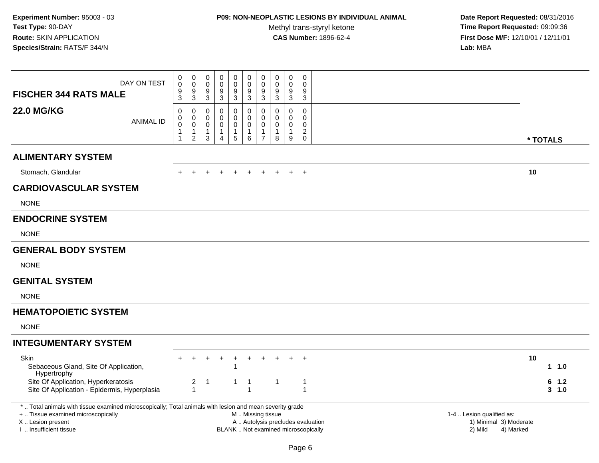# **P09: NON-NEOPLASTIC LESIONS BY INDIVIDUAL ANIMAL**

Methyl trans-styryl ketone<br>CAS Number: 1896-62-4

| DAY ON TEST<br><b>FISCHER 344 RATS MALE</b>                                                                                                         | 0<br>$\pmb{0}$<br>9<br>3                  | $\mathbf 0$<br>$\pmb{0}$<br>9<br>$\mathsf 3$                                | 0<br>0<br>9<br>$\mathbf{3}$             | $\pmb{0}$<br>$\pmb{0}$<br>$\boldsymbol{9}$<br>$\sqrt{3}$                  | $\pmb{0}$<br>$\ddot{\mathbf{0}}$<br>9<br>$\mathbf{3}$         | $\pmb{0}$<br>$\mathsf{O}\xspace$<br>9<br>$\mathbf{3}$ | $\pmb{0}$<br>$\pmb{0}$<br>$\boldsymbol{9}$<br>3                             | $\boldsymbol{0}$<br>$\boldsymbol{0}$<br>9<br>$\mathbf{3}$      | 0<br>$\mathbf 0$<br>9<br>$\mathbf{3}$                          | $\mathbf 0$<br>$\mathbf 0$<br>9<br>3                                     |                                   |           |                               |
|-----------------------------------------------------------------------------------------------------------------------------------------------------|-------------------------------------------|-----------------------------------------------------------------------------|-----------------------------------------|---------------------------------------------------------------------------|---------------------------------------------------------------|-------------------------------------------------------|-----------------------------------------------------------------------------|----------------------------------------------------------------|----------------------------------------------------------------|--------------------------------------------------------------------------|-----------------------------------|-----------|-------------------------------|
| <b>22.0 MG/KG</b><br><b>ANIMAL ID</b>                                                                                                               | $\mathbf 0$<br>0<br>$\mathbf 0$<br>1<br>1 | $\mathbf 0$<br>$\mathbf 0$<br>$\mathbf 0$<br>$\mathbf{1}$<br>$\overline{2}$ | $\mathbf 0$<br>0<br>$\pmb{0}$<br>1<br>3 | $\mathbf 0$<br>$\mathbf 0$<br>$\pmb{0}$<br>$\mathbf{1}$<br>$\overline{4}$ | 0<br>$\mathsf{O}$<br>$\mathsf{O}\xspace$<br>$\mathbf{1}$<br>5 | 0<br>0<br>$\mathbf 0$<br>$\mathbf{1}$<br>$\,6\,$      | $\mathbf 0$<br>$\mathbf 0$<br>$\pmb{0}$<br>$\overline{1}$<br>$\overline{7}$ | $\mathbf 0$<br>$\mathbf 0$<br>$\mathbf 0$<br>$\mathbf{1}$<br>8 | $\mathbf 0$<br>$\mathbf 0$<br>$\mathbf 0$<br>$\mathbf{1}$<br>9 | $\mathbf 0$<br>$\mathbf 0$<br>$\pmb{0}$<br>$\overline{c}$<br>$\mathbf 0$ |                                   | * TOTALS  |                               |
| <b>ALIMENTARY SYSTEM</b>                                                                                                                            |                                           |                                                                             |                                         |                                                                           |                                                               |                                                       |                                                                             |                                                                |                                                                |                                                                          |                                   |           |                               |
| Stomach, Glandular                                                                                                                                  |                                           |                                                                             |                                         |                                                                           | $\overline{+}$                                                | $\ddot{}$                                             | $\pm$                                                                       | $\pm$                                                          | $\pm$                                                          | $+$                                                                      |                                   | 10        |                               |
| <b>CARDIOVASCULAR SYSTEM</b>                                                                                                                        |                                           |                                                                             |                                         |                                                                           |                                                               |                                                       |                                                                             |                                                                |                                                                |                                                                          |                                   |           |                               |
| <b>NONE</b>                                                                                                                                         |                                           |                                                                             |                                         |                                                                           |                                                               |                                                       |                                                                             |                                                                |                                                                |                                                                          |                                   |           |                               |
| <b>ENDOCRINE SYSTEM</b>                                                                                                                             |                                           |                                                                             |                                         |                                                                           |                                                               |                                                       |                                                                             |                                                                |                                                                |                                                                          |                                   |           |                               |
| <b>NONE</b>                                                                                                                                         |                                           |                                                                             |                                         |                                                                           |                                                               |                                                       |                                                                             |                                                                |                                                                |                                                                          |                                   |           |                               |
| <b>GENERAL BODY SYSTEM</b>                                                                                                                          |                                           |                                                                             |                                         |                                                                           |                                                               |                                                       |                                                                             |                                                                |                                                                |                                                                          |                                   |           |                               |
| <b>NONE</b>                                                                                                                                         |                                           |                                                                             |                                         |                                                                           |                                                               |                                                       |                                                                             |                                                                |                                                                |                                                                          |                                   |           |                               |
| <b>GENITAL SYSTEM</b>                                                                                                                               |                                           |                                                                             |                                         |                                                                           |                                                               |                                                       |                                                                             |                                                                |                                                                |                                                                          |                                   |           |                               |
| <b>NONE</b>                                                                                                                                         |                                           |                                                                             |                                         |                                                                           |                                                               |                                                       |                                                                             |                                                                |                                                                |                                                                          |                                   |           |                               |
| <b>HEMATOPOIETIC SYSTEM</b>                                                                                                                         |                                           |                                                                             |                                         |                                                                           |                                                               |                                                       |                                                                             |                                                                |                                                                |                                                                          |                                   |           |                               |
| <b>NONE</b>                                                                                                                                         |                                           |                                                                             |                                         |                                                                           |                                                               |                                                       |                                                                             |                                                                |                                                                |                                                                          |                                   |           |                               |
| <b>INTEGUMENTARY SYSTEM</b>                                                                                                                         |                                           |                                                                             |                                         |                                                                           |                                                               |                                                       |                                                                             |                                                                |                                                                |                                                                          |                                   |           |                               |
| Skin<br>Sebaceous Gland, Site Of Application,<br>Hypertrophy<br>Site Of Application, Hyperkeratosis<br>Site Of Application - Epidermis, Hyperplasia |                                           | 2<br>$\mathbf{1}$                                                           | $\overline{1}$                          |                                                                           | $\overline{+}$<br>$\mathbf{1}$<br>$\mathbf{1}$                | $\ddot{}$<br>$\overline{1}$                           | $\overline{ }$                                                              | $\overline{1}$                                                 |                                                                | $\ddot{}$<br>$\mathbf{1}$<br>$\mathbf{1}$                                |                                   | 10<br>6   | $1 \t1.0$<br>1.2<br>$3 - 1.0$ |
| *  Total animals with tissue examined microscopically; Total animals with lesion and mean severity grade<br>+  Tissue examined microscopically      |                                           |                                                                             |                                         |                                                                           |                                                               |                                                       | M  Missing tissue                                                           |                                                                |                                                                |                                                                          | 1-4  Lesion qualified as:         |           |                               |
| X  Lesion present<br>I. Insufficient tissue                                                                                                         |                                           |                                                                             |                                         |                                                                           |                                                               |                                                       | A  Autolysis precludes evaluation<br>BLANK  Not examined microscopically    |                                                                |                                                                |                                                                          | 1) Minimal 3) Moderate<br>2) Mild | 4) Marked |                               |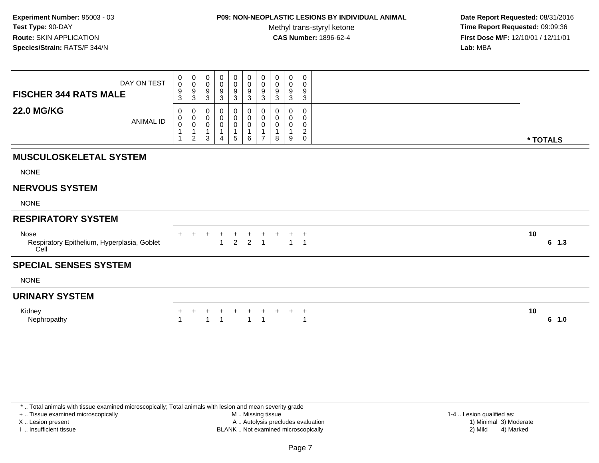## **P09: NON-NEOPLASTIC LESIONS BY INDIVIDUAL ANIMAL**

Methyl trans-styryl ketone<br>CAS Number: 1896-62-4

 **Date Report Requested:** 08/31/2016 **Time Report Requested:** 09:09:36 **First Dose M/F:** 12/10/01 / 12/11/01<br>**Lab:** MBA **Lab:** MBA

| DAY ON TEST<br><b>FISCHER 344 RATS MALE</b>                 | 0<br>$\pmb{0}$<br>$\boldsymbol{9}$<br>3          | 0<br>$\pmb{0}$<br>$\boldsymbol{9}$<br>$\mathbf{3}$                              | 0<br>0<br>9<br>$\mathbf{3}$ | 0<br>0<br>9<br>$\sqrt{3}$ | 0<br>$\pmb{0}$<br>$\frac{9}{3}$                  | $\mathbf 0$<br>$\mathbf 0$<br>$\boldsymbol{9}$<br>$\mathbf{3}$ | 0<br>$\boldsymbol{0}$<br>$\frac{9}{3}$                      | 0<br>0<br>9<br>3                 | 0<br>0<br>9<br>3      | 0<br>0<br>9<br>3                                       |                |
|-------------------------------------------------------------|--------------------------------------------------|---------------------------------------------------------------------------------|-----------------------------|---------------------------|--------------------------------------------------|----------------------------------------------------------------|-------------------------------------------------------------|----------------------------------|-----------------------|--------------------------------------------------------|----------------|
| <b>22.0 MG/KG</b><br><b>ANIMAL ID</b>                       | 0<br>$\pmb{0}$<br>$\pmb{0}$<br>$\mathbf{1}$<br>1 | $\mathbf 0$<br>$\mathbf 0$<br>$\mathbf 0$<br>$\overline{1}$<br>$\boldsymbol{2}$ | 0<br>0<br>0<br>3            | 0<br>0<br>0               | 0<br>$\pmb{0}$<br>$\pmb{0}$<br>$\mathbf{1}$<br>5 | $\overline{0}$<br>$\mathbf 0$<br>$\mathbf 0$<br>6              | 0<br>$\boldsymbol{0}$<br>$\mathbf 0$<br>1<br>$\overline{7}$ | 0<br>0<br>0<br>$\mathbf{1}$<br>8 | 0<br>0<br>0<br>1<br>9 | $\mathbf 0$<br>0<br>0<br>$\overline{c}$<br>$\mathbf 0$ | * TOTALS       |
| <b>MUSCULOSKELETAL SYSTEM</b>                               |                                                  |                                                                                 |                             |                           |                                                  |                                                                |                                                             |                                  |                       |                                                        |                |
| <b>NONE</b>                                                 |                                                  |                                                                                 |                             |                           |                                                  |                                                                |                                                             |                                  |                       |                                                        |                |
| <b>NERVOUS SYSTEM</b>                                       |                                                  |                                                                                 |                             |                           |                                                  |                                                                |                                                             |                                  |                       |                                                        |                |
| <b>NONE</b>                                                 |                                                  |                                                                                 |                             |                           |                                                  |                                                                |                                                             |                                  |                       |                                                        |                |
| <b>RESPIRATORY SYSTEM</b>                                   |                                                  |                                                                                 |                             |                           |                                                  |                                                                |                                                             |                                  |                       |                                                        |                |
| Nose<br>Respiratory Epithelium, Hyperplasia, Goblet<br>Cell |                                                  |                                                                                 | $^+$                        | $+$<br>$\overline{1}$     | $^{+}$<br>$\overline{2}$                         |                                                                | $+$ $+$<br>2 1                                              | $+$                              | $\overline{1}$        | $^{+}$<br>$\overline{1}$                               | 10<br>$6-1.3$  |
| <b>SPECIAL SENSES SYSTEM</b>                                |                                                  |                                                                                 |                             |                           |                                                  |                                                                |                                                             |                                  |                       |                                                        |                |
| <b>NONE</b>                                                 |                                                  |                                                                                 |                             |                           |                                                  |                                                                |                                                             |                                  |                       |                                                        |                |
| <b>URINARY SYSTEM</b>                                       |                                                  |                                                                                 |                             |                           |                                                  |                                                                |                                                             |                                  |                       |                                                        |                |
| Kidney<br>Nephropathy                                       | +<br>1                                           |                                                                                 | $\overline{1}$              |                           | +                                                | +<br>$\overline{1}$                                            | $\overline{\mathbf{1}}$                                     |                                  | $+$                   | $\ddot{}$<br>$\mathbf{1}$                              | 10<br>6<br>1.0 |

+ .. Tissue examined microscopically

X .. Lesion present

I .. Insufficient tissue

 M .. Missing tissueA .. Autolysis precludes evaluation

 1-4 .. Lesion qualified as: BLANK .. Not examined microscopically 2) Mild 4) Marked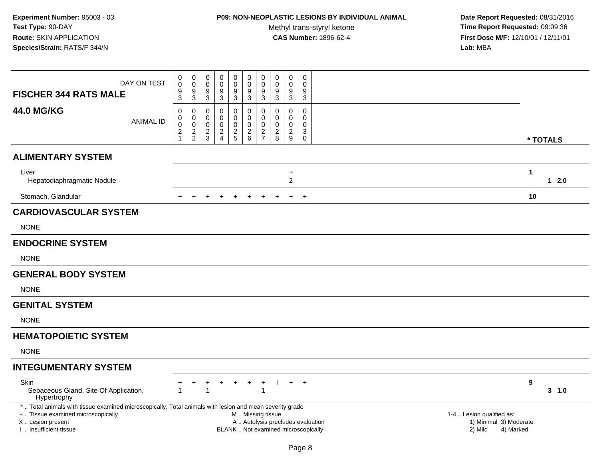## **P09: NON-NEOPLASTIC LESIONS BY INDIVIDUAL ANIMAL**

Methyl trans-styryl ketone<br>CAS Number: 1896-62-4

| DAY ON TEST<br><b>FISCHER 344 RATS MALE</b>                                                                                                    | 0<br>$\mathsf 0$<br>$\boldsymbol{9}$<br>3                 | $_{\rm 0}^{\rm 0}$<br>$\overline{9}$<br>$\mathbf{3}$              | $\mathsf{O}\xspace$<br>$\pmb{0}$<br>9<br>$\mathbf{3}$           | $\pmb{0}$<br>0<br>9<br>$\ensuremath{\mathsf{3}}$                | $\begin{smallmatrix} 0\\0 \end{smallmatrix}$<br>$\overline{9}$<br>$\ensuremath{\mathsf{3}}$ | $\mathbf 0$<br>$\pmb{0}$<br>$\boldsymbol{9}$<br>$\ensuremath{\mathsf{3}}$ | $\pmb{0}$<br>$\mathbf 0$<br>$9\,$<br>$\mathbf{3}$          | 0<br>0<br>9<br>3                             | $\mathbf 0$<br>$\pmb{0}$<br>$\overline{9}$<br>$\mathbf{3}$          | $\mathbf 0$<br>$\mathbf 0$<br>9<br>$\mathbf{3}$                          |                                                |          |
|------------------------------------------------------------------------------------------------------------------------------------------------|-----------------------------------------------------------|-------------------------------------------------------------------|-----------------------------------------------------------------|-----------------------------------------------------------------|---------------------------------------------------------------------------------------------|---------------------------------------------------------------------------|------------------------------------------------------------|----------------------------------------------|---------------------------------------------------------------------|--------------------------------------------------------------------------|------------------------------------------------|----------|
| <b>44.0 MG/KG</b><br><b>ANIMAL ID</b>                                                                                                          | $\mathbf 0$<br>0<br>0<br>$\boldsymbol{2}$<br>$\mathbf{1}$ | 0<br>$\begin{smallmatrix}0\0\0\end{smallmatrix}$<br>$\frac{2}{2}$ | 0<br>$\mathbf 0$<br>$\mathbf 0$<br>$\sqrt{2}$<br>$\mathfrak{S}$ | $\mathbf 0$<br>0<br>$\mathbf 0$<br>$\sqrt{2}$<br>$\overline{4}$ | $\mathbf 0$<br>$\mathbf 0$<br>$\mathbf 0$<br>$\frac{2}{5}$                                  | 0<br>$\mathsf{O}\xspace$<br>$\mathbf 0$<br>$\mathbf{2}$<br>$\,6\,$        | $\mathbf 0$<br>$\mathbf 0$<br>$\mathbf 0$<br>$\frac{2}{7}$ | 0<br>0<br>$\mathbf 0$<br>$\overline{c}$<br>8 | 0<br>$\pmb{0}$<br>$\mathbf 0$<br>$\overline{2}$<br>$\boldsymbol{9}$ | $\mathbf 0$<br>$\Omega$<br>$\Omega$<br>3<br>$\mathbf 0$                  |                                                | * TOTALS |
| <b>ALIMENTARY SYSTEM</b>                                                                                                                       |                                                           |                                                                   |                                                                 |                                                                 |                                                                                             |                                                                           |                                                            |                                              |                                                                     |                                                                          |                                                |          |
| Liver<br>Hepatodiaphragmatic Nodule                                                                                                            |                                                           |                                                                   |                                                                 |                                                                 |                                                                                             |                                                                           |                                                            |                                              | $\ddot{}$<br>$\overline{2}$                                         |                                                                          | $\mathbf{1}$                                   | $12.0$   |
| Stomach, Glandular                                                                                                                             |                                                           |                                                                   |                                                                 |                                                                 | $\overline{+}$                                                                              | $+$                                                                       | $^{+}$                                                     | $\ddot{}$                                    | $+$                                                                 | $+$                                                                      | 10                                             |          |
| <b>CARDIOVASCULAR SYSTEM</b>                                                                                                                   |                                                           |                                                                   |                                                                 |                                                                 |                                                                                             |                                                                           |                                                            |                                              |                                                                     |                                                                          |                                                |          |
| <b>NONE</b>                                                                                                                                    |                                                           |                                                                   |                                                                 |                                                                 |                                                                                             |                                                                           |                                                            |                                              |                                                                     |                                                                          |                                                |          |
| <b>ENDOCRINE SYSTEM</b>                                                                                                                        |                                                           |                                                                   |                                                                 |                                                                 |                                                                                             |                                                                           |                                                            |                                              |                                                                     |                                                                          |                                                |          |
| <b>NONE</b>                                                                                                                                    |                                                           |                                                                   |                                                                 |                                                                 |                                                                                             |                                                                           |                                                            |                                              |                                                                     |                                                                          |                                                |          |
| <b>GENERAL BODY SYSTEM</b>                                                                                                                     |                                                           |                                                                   |                                                                 |                                                                 |                                                                                             |                                                                           |                                                            |                                              |                                                                     |                                                                          |                                                |          |
| <b>NONE</b>                                                                                                                                    |                                                           |                                                                   |                                                                 |                                                                 |                                                                                             |                                                                           |                                                            |                                              |                                                                     |                                                                          |                                                |          |
| <b>GENITAL SYSTEM</b>                                                                                                                          |                                                           |                                                                   |                                                                 |                                                                 |                                                                                             |                                                                           |                                                            |                                              |                                                                     |                                                                          |                                                |          |
| <b>NONE</b>                                                                                                                                    |                                                           |                                                                   |                                                                 |                                                                 |                                                                                             |                                                                           |                                                            |                                              |                                                                     |                                                                          |                                                |          |
| <b>HEMATOPOIETIC SYSTEM</b>                                                                                                                    |                                                           |                                                                   |                                                                 |                                                                 |                                                                                             |                                                                           |                                                            |                                              |                                                                     |                                                                          |                                                |          |
| <b>NONE</b>                                                                                                                                    |                                                           |                                                                   |                                                                 |                                                                 |                                                                                             |                                                                           |                                                            |                                              |                                                                     |                                                                          |                                                |          |
| <b>INTEGUMENTARY SYSTEM</b>                                                                                                                    |                                                           |                                                                   |                                                                 |                                                                 |                                                                                             |                                                                           |                                                            |                                              |                                                                     |                                                                          |                                                |          |
| Skin<br>Sebaceous Gland, Site Of Application,<br>Hypertrophy                                                                                   | 1                                                         |                                                                   | $\mathbf{1}$                                                    | $\ddot{}$                                                       | $\ddot{}$                                                                                   | $\ddot{}$                                                                 | $\ddot{}$<br>$\overline{1}$                                | $\mathbf{I}$                                 |                                                                     | $+$ $+$                                                                  | 9                                              | 3, 1.0   |
| *  Total animals with tissue examined microscopically; Total animals with lesion and mean severity grade<br>+  Tissue examined microscopically |                                                           |                                                                   |                                                                 |                                                                 |                                                                                             | M  Missing tissue                                                         |                                                            |                                              |                                                                     |                                                                          | 1-4  Lesion qualified as:                      |          |
| X  Lesion present<br>I  Insufficient tissue                                                                                                    |                                                           |                                                                   |                                                                 |                                                                 |                                                                                             |                                                                           |                                                            |                                              |                                                                     | A  Autolysis precludes evaluation<br>BLANK  Not examined microscopically | 1) Minimal 3) Moderate<br>2) Mild<br>4) Marked |          |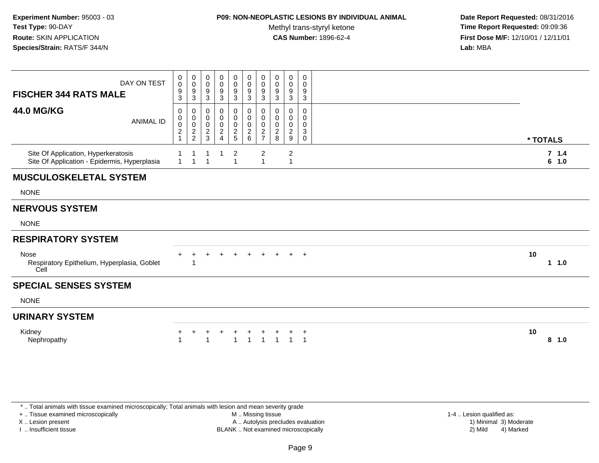### **P09: NON-NEOPLASTIC LESIONS BY INDIVIDUAL ANIMAL**

Methyl trans-styryl ketone<br>CAS Number: 1896-62-4

 **Date Report Requested:** 08/31/2016 **Time Report Requested:** 09:09:36 **First Dose M/F:** 12/10/01 / 12/11/01<br>**Lab:** MBA **Lab:** MBA

| DAY ON TEST<br><b>FISCHER 344 RATS MALE</b>                                         | 0<br>$\ddot{\mathbf{0}}$<br>9<br>3           | 0<br>0<br>9<br>$\mathbf{3}$            | $\mathbf 0$<br>$\mathbf 0$<br>9<br>3 | 0<br>0<br>9<br>3                     | 0<br>0<br>9<br>$\mathbf{3}$      | 0<br>$\mathbf 0$<br>$\boldsymbol{9}$<br>$\mathbf{3}$ | 0<br>$\pmb{0}$<br>9<br>3                    | $\mathbf 0$<br>0<br>9<br>3         | 0<br>$\mathbf 0$<br>9<br>$\sqrt{3}$          | 0<br>0<br>9<br>$\mathbf{3}$  |                   |
|-------------------------------------------------------------------------------------|----------------------------------------------|----------------------------------------|--------------------------------------|--------------------------------------|----------------------------------|------------------------------------------------------|---------------------------------------------|------------------------------------|----------------------------------------------|------------------------------|-------------------|
| <b>44.0 MG/KG</b><br><b>ANIMAL ID</b>                                               | 0<br>0<br>$\pmb{0}$<br>$\boldsymbol{2}$<br>1 | 0<br>0<br>$\mathbf 0$<br>$\frac{2}{2}$ | 0<br>0<br>0<br>$\boldsymbol{2}$<br>3 | 0<br>0<br>0<br>$\boldsymbol{2}$<br>4 | 0<br>0<br>0<br>$\frac{2}{5}$     | 0<br>$\pmb{0}$<br>$\pmb{0}$<br>$^2\phantom{1}6$      | 0<br>0<br>0<br>$\sqrt{2}$<br>$\overline{7}$ | 0<br>0<br>0<br>$\overline{c}$<br>8 | 0<br>0<br>$\mathbf 0$<br>$\overline{2}$<br>9 | 0<br>$\Omega$<br>0<br>3<br>0 | * TOTALS          |
| Site Of Application, Hyperkeratosis<br>Site Of Application - Epidermis, Hyperplasia | $\mathbf{1}$                                 | $\overline{1}$                         | $\overline{1}$                       |                                      | $\overline{2}$<br>$\overline{1}$ |                                                      | $\overline{c}$<br>$\overline{1}$            |                                    | $\boldsymbol{2}$<br>$\overline{1}$           |                              | 7.1.4<br>6<br>1.0 |
| <b>MUSCULOSKELETAL SYSTEM</b>                                                       |                                              |                                        |                                      |                                      |                                  |                                                      |                                             |                                    |                                              |                              |                   |
| <b>NONE</b>                                                                         |                                              |                                        |                                      |                                      |                                  |                                                      |                                             |                                    |                                              |                              |                   |
| <b>NERVOUS SYSTEM</b>                                                               |                                              |                                        |                                      |                                      |                                  |                                                      |                                             |                                    |                                              |                              |                   |
| <b>NONE</b>                                                                         |                                              |                                        |                                      |                                      |                                  |                                                      |                                             |                                    |                                              |                              |                   |
| <b>RESPIRATORY SYSTEM</b>                                                           |                                              |                                        |                                      |                                      |                                  |                                                      |                                             |                                    |                                              |                              |                   |
| Nose<br>Respiratory Epithelium, Hyperplasia, Goblet<br>Cell                         |                                              |                                        |                                      |                                      |                                  |                                                      |                                             |                                    |                                              | $+$                          | 10<br>1 1.0       |
| <b>SPECIAL SENSES SYSTEM</b>                                                        |                                              |                                        |                                      |                                      |                                  |                                                      |                                             |                                    |                                              |                              |                   |
| <b>NONE</b>                                                                         |                                              |                                        |                                      |                                      |                                  |                                                      |                                             |                                    |                                              |                              |                   |
| <b>URINARY SYSTEM</b>                                                               |                                              |                                        |                                      |                                      |                                  |                                                      |                                             |                                    |                                              |                              |                   |
| Kidney<br>Nephropathy                                                               | $\ddot{}$                                    | $\ddot{}$                              | $\ddot{}$                            |                                      | $\pm$                            | $+$                                                  | $+$                                         |                                    |                                              | $^{+}$                       | 10<br>8<br>1.0    |

\* .. Total animals with tissue examined microscopically; Total animals with lesion and mean severity grade

+ .. Tissue examined microscopically

X .. Lesion present

I .. Insufficient tissue

 M .. Missing tissueA .. Autolysis precludes evaluation

 1-4 .. Lesion qualified as: BLANK .. Not examined microscopically 2) Mild 4) Marked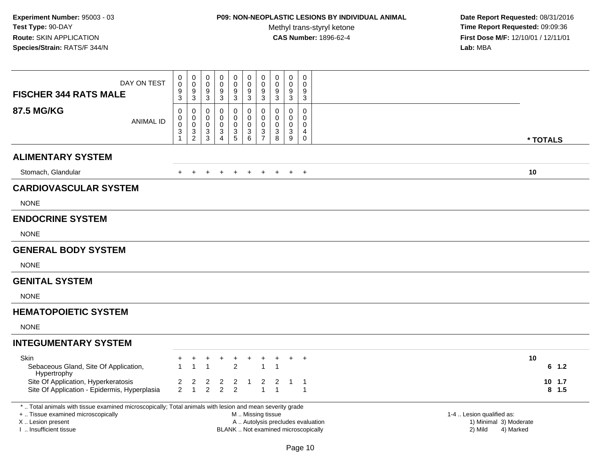# **P09: NON-NEOPLASTIC LESIONS BY INDIVIDUAL ANIMAL**

Methyl trans-styryl ketone<br>CAS Number: 1896-62-4

| DAY ON TEST<br><b>FISCHER 344 RATS MALE</b>                                                                                                                                                                                                                                                    | $\boldsymbol{0}$<br>$\mathbf 0$<br>$\frac{9}{3}$ | $\boldsymbol{0}$<br>$\pmb{0}$<br>$9\,$<br>$\overline{3}$   | 0<br>$\mathbf 0$<br>9<br>$\mathbf 3$      | $\pmb{0}$<br>$\pmb{0}$<br>9<br>$\overline{3}$                                  | $_0^0$<br>9<br>$\overline{3}$                               | $_{\rm 0}^{\rm 0}$<br>$\boldsymbol{9}$<br>$\overline{3}$ | $\pmb{0}$<br>$\mathbf 0$<br>9<br>$\overline{3}$         | $\pmb{0}$<br>$\mathbf 0$<br>$\frac{9}{3}$                         | $\pmb{0}$<br>$\mathbf 0$<br>9<br>$\sqrt{3}$               | $\pmb{0}$<br>$\mathbf 0$<br>9<br>$\overline{3}$                             |  |                         |
|------------------------------------------------------------------------------------------------------------------------------------------------------------------------------------------------------------------------------------------------------------------------------------------------|--------------------------------------------------|------------------------------------------------------------|-------------------------------------------|--------------------------------------------------------------------------------|-------------------------------------------------------------|----------------------------------------------------------|---------------------------------------------------------|-------------------------------------------------------------------|-----------------------------------------------------------|-----------------------------------------------------------------------------|--|-------------------------|
| <b>87.5 MG/KG</b><br><b>ANIMAL ID</b>                                                                                                                                                                                                                                                          | $\mathbf 0$<br>0<br>$\mathsf 0$<br>3<br>1        | $\mathbf 0$<br>$\mathbf 0$<br>$\mathbf 0$<br>$\frac{3}{2}$ | $\Omega$<br>0<br>$\mathbf 0$<br>3<br>3    | 0<br>$\mathbf 0$<br>$\mathbf 0$<br>$\ensuremath{\mathsf{3}}$<br>$\overline{4}$ | $\mathbf 0$<br>$\mathbf 0$<br>$\mathsf{O}$<br>$\frac{3}{5}$ | 0<br>$\mathbf 0$<br>$\pmb{0}$<br>$\frac{3}{6}$           | $\Omega$<br>$\mathbf 0$<br>$\mathbf 0$<br>$\frac{3}{7}$ | $\mathbf 0$<br>0<br>$\mathbf 0$<br>$\ensuremath{\mathsf{3}}$<br>8 | $\Omega$<br>$\mathbf 0$<br>$\mathbf 0$<br>$\sqrt{3}$<br>9 | 0<br>$\mathbf 0$<br>$\mathbf 0$<br>$\overline{4}$<br>$\pmb{0}$              |  | * TOTALS                |
| <b>ALIMENTARY SYSTEM</b>                                                                                                                                                                                                                                                                       |                                                  |                                                            |                                           |                                                                                |                                                             |                                                          |                                                         |                                                                   |                                                           |                                                                             |  |                         |
| Stomach, Glandular                                                                                                                                                                                                                                                                             |                                                  |                                                            |                                           |                                                                                | $\overline{+}$                                              | $\overline{+}$                                           | $+$                                                     | $+$                                                               | $+$                                                       | $+$                                                                         |  | 10                      |
| <b>CARDIOVASCULAR SYSTEM</b>                                                                                                                                                                                                                                                                   |                                                  |                                                            |                                           |                                                                                |                                                             |                                                          |                                                         |                                                                   |                                                           |                                                                             |  |                         |
| <b>NONE</b>                                                                                                                                                                                                                                                                                    |                                                  |                                                            |                                           |                                                                                |                                                             |                                                          |                                                         |                                                                   |                                                           |                                                                             |  |                         |
| <b>ENDOCRINE SYSTEM</b>                                                                                                                                                                                                                                                                        |                                                  |                                                            |                                           |                                                                                |                                                             |                                                          |                                                         |                                                                   |                                                           |                                                                             |  |                         |
| <b>NONE</b>                                                                                                                                                                                                                                                                                    |                                                  |                                                            |                                           |                                                                                |                                                             |                                                          |                                                         |                                                                   |                                                           |                                                                             |  |                         |
| <b>GENERAL BODY SYSTEM</b>                                                                                                                                                                                                                                                                     |                                                  |                                                            |                                           |                                                                                |                                                             |                                                          |                                                         |                                                                   |                                                           |                                                                             |  |                         |
| <b>NONE</b>                                                                                                                                                                                                                                                                                    |                                                  |                                                            |                                           |                                                                                |                                                             |                                                          |                                                         |                                                                   |                                                           |                                                                             |  |                         |
| <b>GENITAL SYSTEM</b>                                                                                                                                                                                                                                                                          |                                                  |                                                            |                                           |                                                                                |                                                             |                                                          |                                                         |                                                                   |                                                           |                                                                             |  |                         |
| <b>NONE</b>                                                                                                                                                                                                                                                                                    |                                                  |                                                            |                                           |                                                                                |                                                             |                                                          |                                                         |                                                                   |                                                           |                                                                             |  |                         |
| <b>HEMATOPOIETIC SYSTEM</b>                                                                                                                                                                                                                                                                    |                                                  |                                                            |                                           |                                                                                |                                                             |                                                          |                                                         |                                                                   |                                                           |                                                                             |  |                         |
| <b>NONE</b>                                                                                                                                                                                                                                                                                    |                                                  |                                                            |                                           |                                                                                |                                                             |                                                          |                                                         |                                                                   |                                                           |                                                                             |  |                         |
| <b>INTEGUMENTARY SYSTEM</b>                                                                                                                                                                                                                                                                    |                                                  |                                                            |                                           |                                                                                |                                                             |                                                          |                                                         |                                                                   |                                                           |                                                                             |  |                         |
| Skin<br>Sebaceous Gland, Site Of Application,<br>Hypertrophy<br>Site Of Application, Hyperkeratosis                                                                                                                                                                                            | $\overline{\mathbf{c}}$                          | 1<br>$\overline{\mathbf{c}}$                               | $\overline{1}$<br>$\overline{\mathbf{c}}$ | $\overline{2}$                                                                 | $\ddot{}$<br>$\overline{2}$<br>$\overline{2}$               | $^+$<br>$\mathbf{1}$                                     | $\mathbf{1}$<br>$\mathbf{2}$                            | $\overline{1}$<br>$\overline{2}$                                  | $\ddot{}$<br>$\mathbf{1}$                                 | $+$<br>$\overline{1}$                                                       |  | 10<br>$6$ 1.2<br>10 1.7 |
| Site Of Application - Epidermis, Hyperplasia                                                                                                                                                                                                                                                   | $\overline{2}$                                   | $\mathbf{1}$                                               | $\overline{2}$                            | $\overline{2}$                                                                 | $\overline{2}$                                              |                                                          | $\overline{1}$                                          | $\overline{1}$                                                    |                                                           | $\overline{1}$                                                              |  | $8$ 1.5                 |
| *  Total animals with tissue examined microscopically; Total animals with lesion and mean severity grade<br>+  Tissue examined microscopically<br>M  Missing tissue<br>X  Lesion present<br>A  Autolysis precludes evaluation<br>I. Insufficient tissue<br>BLANK  Not examined microscopically |                                                  |                                                            |                                           |                                                                                |                                                             |                                                          |                                                         |                                                                   |                                                           | 1-4  Lesion qualified as:<br>1) Minimal 3) Moderate<br>2) Mild<br>4) Marked |  |                         |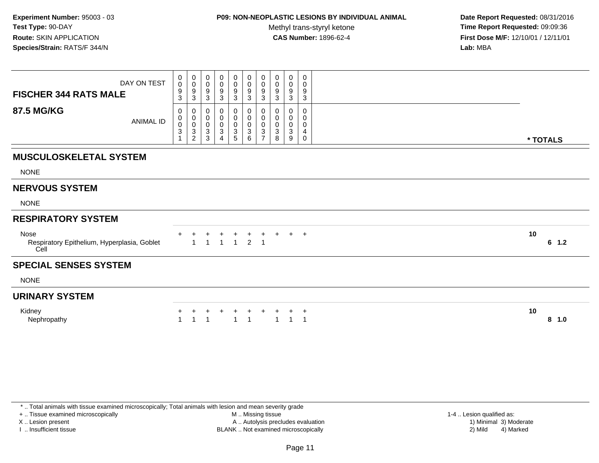## **P09: NON-NEOPLASTIC LESIONS BY INDIVIDUAL ANIMAL**

Methyl trans-styryl ketone<br>CAS Number: 1896-62-4

 **Date Report Requested:** 08/31/2016 **Time Report Requested:** 09:09:36 **First Dose M/F:** 12/10/01 / 12/11/01<br>**Lab:** MBA **Lab:** MBA

| $\begin{array}{c} 0 \\ 0 \\ 9 \\ 3 \end{array}$<br>$\begin{smallmatrix} 0\\0 \end{smallmatrix}$<br>$\mathbf 0$<br>0<br>0<br>$_0^0$<br>0<br>0<br>0<br>0<br>DAY ON TEST<br>$\ddot{\mathbf{0}}$<br>$\pmb{0}$<br>$\pmb{0}$<br>$\pmb{0}$<br>0<br>0<br>0<br>$\frac{9}{3}$<br>$\frac{9}{3}$<br>$^9_3$<br>$\frac{9}{3}$<br>9<br>9<br>9<br>$\frac{9}{3}$<br>9<br><b>FISCHER 344 RATS MALE</b><br>$\mathbf{3}$<br>$\sqrt{3}$<br>3<br>3<br><b>87.5 MG/KG</b><br>$\pmb{0}$<br>0<br>$\mathbf 0$<br>0<br>$\mathbf 0$<br>$\mathbf 0$<br>0<br>$\Omega$<br>0<br>0<br>$\mathbf 0$<br>$\pmb{0}$<br>$\pmb{0}$<br>$\boldsymbol{0}$<br>0<br>0<br>0<br>0<br>0<br>0<br><b>ANIMAL ID</b><br>$\mathbf 0$<br>$\mathbf 0$<br>$_{3}^{\rm 0}$<br>$\boldsymbol{0}$<br>$\pmb{0}$<br>$\pmb{0}$<br>$\pmb{0}$<br>0<br>0<br>0<br>$\overline{3}$<br>$\overline{3}$<br>$\ensuremath{\mathsf{3}}$<br>$\ensuremath{\mathsf{3}}$<br>$\sqrt{3}$<br>$\ensuremath{\mathsf{3}}$<br>$\sqrt{3}$<br>3<br>4<br>$\sqrt{2}$<br>3<br>5<br>6<br>$\overline{7}$<br>8<br>9<br>$\Omega$<br>4<br><b>MUSCULOSKELETAL SYSTEM</b><br><b>NONE</b><br><b>NERVOUS SYSTEM</b><br><b>NONE</b><br><b>RESPIRATORY SYSTEM</b><br>10<br>Nose<br>$+$ $+$<br>$\ddot{}$<br>$\ddot{}$<br>+<br>+<br>$2 \quad 1$<br>$\overline{1}$<br>$\overline{1}$<br>$\overline{1}$<br>Respiratory Epithelium, Hyperplasia, Goblet<br>1<br>Cell<br><b>SPECIAL SENSES SYSTEM</b><br><b>NONE</b><br><b>URINARY SYSTEM</b><br>10<br>Kidney<br>$\overline{1}$<br>$\overline{1}$<br>Nephropathy<br>$\overline{1}$<br>$\overline{\mathbf{1}}$<br>$\overline{1}$<br>$\overline{\mathbf{1}}$<br>$\overline{1}$ |  |  |  |  |  |          |
|----------------------------------------------------------------------------------------------------------------------------------------------------------------------------------------------------------------------------------------------------------------------------------------------------------------------------------------------------------------------------------------------------------------------------------------------------------------------------------------------------------------------------------------------------------------------------------------------------------------------------------------------------------------------------------------------------------------------------------------------------------------------------------------------------------------------------------------------------------------------------------------------------------------------------------------------------------------------------------------------------------------------------------------------------------------------------------------------------------------------------------------------------------------------------------------------------------------------------------------------------------------------------------------------------------------------------------------------------------------------------------------------------------------------------------------------------------------------------------------------------------------------------------------------------------------------------------------------------------------|--|--|--|--|--|----------|
|                                                                                                                                                                                                                                                                                                                                                                                                                                                                                                                                                                                                                                                                                                                                                                                                                                                                                                                                                                                                                                                                                                                                                                                                                                                                                                                                                                                                                                                                                                                                                                                                                |  |  |  |  |  |          |
|                                                                                                                                                                                                                                                                                                                                                                                                                                                                                                                                                                                                                                                                                                                                                                                                                                                                                                                                                                                                                                                                                                                                                                                                                                                                                                                                                                                                                                                                                                                                                                                                                |  |  |  |  |  | * TOTALS |
|                                                                                                                                                                                                                                                                                                                                                                                                                                                                                                                                                                                                                                                                                                                                                                                                                                                                                                                                                                                                                                                                                                                                                                                                                                                                                                                                                                                                                                                                                                                                                                                                                |  |  |  |  |  |          |
|                                                                                                                                                                                                                                                                                                                                                                                                                                                                                                                                                                                                                                                                                                                                                                                                                                                                                                                                                                                                                                                                                                                                                                                                                                                                                                                                                                                                                                                                                                                                                                                                                |  |  |  |  |  |          |
|                                                                                                                                                                                                                                                                                                                                                                                                                                                                                                                                                                                                                                                                                                                                                                                                                                                                                                                                                                                                                                                                                                                                                                                                                                                                                                                                                                                                                                                                                                                                                                                                                |  |  |  |  |  |          |
|                                                                                                                                                                                                                                                                                                                                                                                                                                                                                                                                                                                                                                                                                                                                                                                                                                                                                                                                                                                                                                                                                                                                                                                                                                                                                                                                                                                                                                                                                                                                                                                                                |  |  |  |  |  |          |
|                                                                                                                                                                                                                                                                                                                                                                                                                                                                                                                                                                                                                                                                                                                                                                                                                                                                                                                                                                                                                                                                                                                                                                                                                                                                                                                                                                                                                                                                                                                                                                                                                |  |  |  |  |  |          |
|                                                                                                                                                                                                                                                                                                                                                                                                                                                                                                                                                                                                                                                                                                                                                                                                                                                                                                                                                                                                                                                                                                                                                                                                                                                                                                                                                                                                                                                                                                                                                                                                                |  |  |  |  |  | 6<br>1.2 |
|                                                                                                                                                                                                                                                                                                                                                                                                                                                                                                                                                                                                                                                                                                                                                                                                                                                                                                                                                                                                                                                                                                                                                                                                                                                                                                                                                                                                                                                                                                                                                                                                                |  |  |  |  |  |          |
|                                                                                                                                                                                                                                                                                                                                                                                                                                                                                                                                                                                                                                                                                                                                                                                                                                                                                                                                                                                                                                                                                                                                                                                                                                                                                                                                                                                                                                                                                                                                                                                                                |  |  |  |  |  |          |
|                                                                                                                                                                                                                                                                                                                                                                                                                                                                                                                                                                                                                                                                                                                                                                                                                                                                                                                                                                                                                                                                                                                                                                                                                                                                                                                                                                                                                                                                                                                                                                                                                |  |  |  |  |  |          |
|                                                                                                                                                                                                                                                                                                                                                                                                                                                                                                                                                                                                                                                                                                                                                                                                                                                                                                                                                                                                                                                                                                                                                                                                                                                                                                                                                                                                                                                                                                                                                                                                                |  |  |  |  |  | $8$ 1.0  |

\* .. Total animals with tissue examined microscopically; Total animals with lesion and mean severity grade

+ .. Tissue examined microscopically

X .. Lesion present

I .. Insufficient tissue

 M .. Missing tissueA .. Autolysis precludes evaluation

BLANK .. Not examined microscopically 2) Mild 4) Marked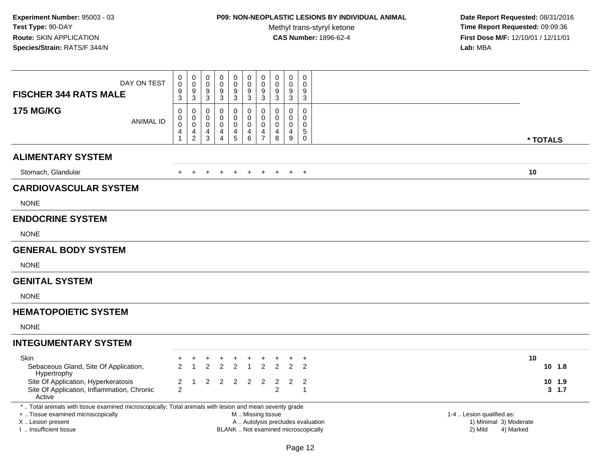# **P09: NON-NEOPLASTIC LESIONS BY INDIVIDUAL ANIMAL**

Methyl trans-styryl ketone<br>CAS Number: 1896-62-4

| DAY ON TEST<br><b>FISCHER 344 RATS MALE</b>                                                                                                                        | 0<br>$\mathsf{O}\xspace$<br>9<br>3                                                                                                                                                                        | $\boldsymbol{0}$<br>$\pmb{0}$<br>$9\,$<br>$\mathsf 3$      | 0<br>$\mathbf 0$<br>9<br>$\mathbf{3}$ | 0<br>$\pmb{0}$<br>$\boldsymbol{9}$<br>$\mathbf{3}$ | $\mathbf 0$<br>$\mathbf 0$<br>9<br>$\mathbf{3}$ | $\pmb{0}$<br>$\mathbf 0$<br>$\boldsymbol{9}$<br>$\mathbf{3}$                       | $\pmb{0}$<br>$\pmb{0}$<br>9<br>$\sqrt{3}$                      | $\mathbf 0$<br>$\pmb{0}$<br>9<br>$\sqrt{3}$                  | $\mathbf 0$<br>$\mathbf 0$<br>$9\,$<br>$\sqrt{3}$ | $\mathbf 0$<br>$\mathbf 0$<br>$9\,$<br>$\mathbf{3}$                          |                                      |                                     |
|--------------------------------------------------------------------------------------------------------------------------------------------------------------------|-----------------------------------------------------------------------------------------------------------------------------------------------------------------------------------------------------------|------------------------------------------------------------|---------------------------------------|----------------------------------------------------|-------------------------------------------------|------------------------------------------------------------------------------------|----------------------------------------------------------------|--------------------------------------------------------------|---------------------------------------------------|------------------------------------------------------------------------------|--------------------------------------|-------------------------------------|
| <b>175 MG/KG</b><br><b>ANIMAL ID</b>                                                                                                                               | $\mathbf 0$<br>0<br>$\pmb{0}$<br>4<br>$\overline{1}$                                                                                                                                                      | $\mathbf 0$<br>$\mathbf 0$<br>$\mathbf 0$<br>$\frac{4}{2}$ | $\Omega$<br>0<br>0<br>4<br>3          | $\Omega$<br>0<br>0<br>4<br>$\overline{4}$          | $\mathbf 0$<br>$\mathbf 0$<br>0<br>4<br>5       | $\mathbf 0$<br>$\mathbf 0$<br>$\mathbf 0$<br>$\begin{array}{c} 4 \\ 6 \end{array}$ | $\Omega$<br>$\mathbf 0$<br>$\mathbf{0}$<br>4<br>$\overline{7}$ | $\mathbf 0$<br>0<br>$\mathbf 0$<br>$\overline{4}$<br>$\,8\,$ | $\Omega$<br>$\mathbf 0$<br>$\Omega$<br>4<br>9     | $\mathbf 0$<br>$\mathbf 0$<br>$\mathbf 0$<br>$\mathbf 5$<br>$\boldsymbol{0}$ |                                      | * TOTALS                            |
| <b>ALIMENTARY SYSTEM</b>                                                                                                                                           |                                                                                                                                                                                                           |                                                            |                                       |                                                    |                                                 |                                                                                    |                                                                |                                                              |                                                   |                                                                              |                                      |                                     |
| Stomach, Glandular                                                                                                                                                 |                                                                                                                                                                                                           |                                                            |                                       |                                                    |                                                 |                                                                                    |                                                                |                                                              | $\pm$                                             | $+$                                                                          |                                      | 10                                  |
| <b>CARDIOVASCULAR SYSTEM</b>                                                                                                                                       |                                                                                                                                                                                                           |                                                            |                                       |                                                    |                                                 |                                                                                    |                                                                |                                                              |                                                   |                                                                              |                                      |                                     |
| <b>NONE</b>                                                                                                                                                        |                                                                                                                                                                                                           |                                                            |                                       |                                                    |                                                 |                                                                                    |                                                                |                                                              |                                                   |                                                                              |                                      |                                     |
| <b>ENDOCRINE SYSTEM</b>                                                                                                                                            |                                                                                                                                                                                                           |                                                            |                                       |                                                    |                                                 |                                                                                    |                                                                |                                                              |                                                   |                                                                              |                                      |                                     |
| <b>NONE</b>                                                                                                                                                        |                                                                                                                                                                                                           |                                                            |                                       |                                                    |                                                 |                                                                                    |                                                                |                                                              |                                                   |                                                                              |                                      |                                     |
| <b>GENERAL BODY SYSTEM</b>                                                                                                                                         |                                                                                                                                                                                                           |                                                            |                                       |                                                    |                                                 |                                                                                    |                                                                |                                                              |                                                   |                                                                              |                                      |                                     |
| <b>NONE</b>                                                                                                                                                        |                                                                                                                                                                                                           |                                                            |                                       |                                                    |                                                 |                                                                                    |                                                                |                                                              |                                                   |                                                                              |                                      |                                     |
| <b>GENITAL SYSTEM</b>                                                                                                                                              |                                                                                                                                                                                                           |                                                            |                                       |                                                    |                                                 |                                                                                    |                                                                |                                                              |                                                   |                                                                              |                                      |                                     |
| <b>NONE</b>                                                                                                                                                        |                                                                                                                                                                                                           |                                                            |                                       |                                                    |                                                 |                                                                                    |                                                                |                                                              |                                                   |                                                                              |                                      |                                     |
| <b>HEMATOPOIETIC SYSTEM</b>                                                                                                                                        |                                                                                                                                                                                                           |                                                            |                                       |                                                    |                                                 |                                                                                    |                                                                |                                                              |                                                   |                                                                              |                                      |                                     |
| <b>NONE</b>                                                                                                                                                        |                                                                                                                                                                                                           |                                                            |                                       |                                                    |                                                 |                                                                                    |                                                                |                                                              |                                                   |                                                                              |                                      |                                     |
| <b>INTEGUMENTARY SYSTEM</b>                                                                                                                                        |                                                                                                                                                                                                           |                                                            |                                       |                                                    |                                                 |                                                                                    |                                                                |                                                              |                                                   |                                                                              |                                      |                                     |
| <b>Skin</b><br>Sebaceous Gland, Site Of Application,<br>Hypertrophy<br>Site Of Application, Hyperkeratosis<br>Site Of Application, Inflammation, Chronic<br>Active | $\mathcal{P}$<br>2<br>2                                                                                                                                                                                   | $\overline{1}$<br>-1                                       | $\mathfrak{p}$<br>2                   | $\mathfrak{p}$<br>$\overline{2}$                   | $\ddot{}$<br>$\overline{2}$<br>$\overline{2}$   | $\ddot{}$<br>$\overline{2}$                                                        | $\ddot{}$<br>$\mathcal{P}$<br>2                                | $\mathfrak{p}$<br>$\overline{2}$<br>$\overline{2}$           | $\ddot{}$<br>$\mathfrak{p}$<br>2                  | $+$<br>$\mathcal{P}$<br>$\overline{2}$<br>$\mathbf{1}$                       |                                      | 10<br>10, 1.8<br>10 1.9<br>3, 1.7   |
| +  Tissue examined microscopically<br>X  Lesion present<br>I. Insufficient tissue                                                                                  | *  Total animals with tissue examined microscopically; Total animals with lesion and mean severity grade<br>M  Missing tissue<br>A  Autolysis precludes evaluation<br>BLANK  Not examined microscopically |                                                            |                                       |                                                    |                                                 |                                                                                    |                                                                |                                                              |                                                   |                                                                              | 1-4  Lesion qualified as:<br>2) Mild | 1) Minimal 3) Moderate<br>4) Marked |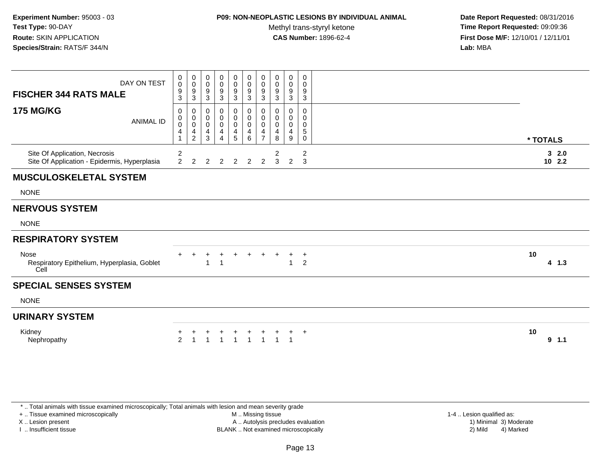### **P09: NON-NEOPLASTIC LESIONS BY INDIVIDUAL ANIMAL**

Methyl trans-styryl ketone<br>CAS Number: 1896-62-4

 **Date Report Requested:** 08/31/2016 **Time Report Requested:** 09:09:36 **First Dose M/F:** 12/10/01 / 12/11/01<br>**Lab:** MBA **Lab:** MBA

| DAY ON TEST<br><b>FISCHER 344 RATS MALE</b><br><b>175 MG/KG</b><br><b>ANIMAL ID</b> | 0<br>$\mathsf 0$<br>9<br>3<br>0<br>$\,0\,$<br>$\boldsymbol{0}$<br>4<br>1 | $\pmb{0}$<br>$\mathsf{O}\xspace$<br>$\boldsymbol{9}$<br>3<br>0<br>$\pmb{0}$<br>$\pmb{0}$<br>$\frac{4}{2}$ | 0<br>0<br>9<br>3<br>0<br>$\mathbf 0$<br>0<br>4<br>3 | 0<br>$\pmb{0}$<br>9<br>3<br>0<br>$\pmb{0}$<br>$\pmb{0}$<br>$\overline{\mathbf{4}}$<br>$\overline{4}$ | $_{\rm 0}^{\rm 0}$<br>$\overline{9}$<br>$\mathbf{3}$<br>0<br>$\pmb{0}$<br>$\pmb{0}$<br>$\overline{\mathbf{4}}$<br>$\overline{5}$ | $\begin{matrix} 0 \\ 0 \\ 9 \end{matrix}$<br>$\ensuremath{\mathsf{3}}$<br>0<br>$\mathbf 0$<br>$\mathbf 0$<br>$\begin{array}{c} 4 \\ 6 \end{array}$ | $\pmb{0}$<br>$\mathbf 0$<br>$\boldsymbol{9}$<br>3<br>0<br>$\mathbf 0$<br>$\mathbf 0$<br>$\overline{4}$<br>$\overline{7}$ | $\pmb{0}$<br>$\mathbf 0$<br>9<br>3<br>0<br>0<br>0<br>4<br>8 | $\pmb{0}$<br>$\pmb{0}$<br>9<br>3<br>0<br>0<br>$\mathbf 0$<br>$\overline{\mathbf{4}}$<br>9 | 0<br>$\mathbf 0$<br>9<br>$\mathbf{3}$<br>0<br>0<br>0<br>5<br>0 | * TOTALS         |
|-------------------------------------------------------------------------------------|--------------------------------------------------------------------------|-----------------------------------------------------------------------------------------------------------|-----------------------------------------------------|------------------------------------------------------------------------------------------------------|----------------------------------------------------------------------------------------------------------------------------------|----------------------------------------------------------------------------------------------------------------------------------------------------|--------------------------------------------------------------------------------------------------------------------------|-------------------------------------------------------------|-------------------------------------------------------------------------------------------|----------------------------------------------------------------|------------------|
| Site Of Application, Necrosis<br>Site Of Application - Epidermis, Hyperplasia       | $\overline{c}$<br>$\overline{2}$                                         | $\mathcal{P}$                                                                                             |                                                     |                                                                                                      | $\overline{2}$                                                                                                                   | 2                                                                                                                                                  | 2                                                                                                                        | $\overline{c}$<br>3                                         | 2                                                                                         | $\overline{\mathbf{c}}$<br>3                                   | 32.0<br>$10$ 2.2 |
| <b>MUSCULOSKELETAL SYSTEM</b>                                                       |                                                                          |                                                                                                           |                                                     |                                                                                                      |                                                                                                                                  |                                                                                                                                                    |                                                                                                                          |                                                             |                                                                                           |                                                                |                  |
| <b>NONE</b>                                                                         |                                                                          |                                                                                                           |                                                     |                                                                                                      |                                                                                                                                  |                                                                                                                                                    |                                                                                                                          |                                                             |                                                                                           |                                                                |                  |
| <b>NERVOUS SYSTEM</b>                                                               |                                                                          |                                                                                                           |                                                     |                                                                                                      |                                                                                                                                  |                                                                                                                                                    |                                                                                                                          |                                                             |                                                                                           |                                                                |                  |
| <b>NONE</b>                                                                         |                                                                          |                                                                                                           |                                                     |                                                                                                      |                                                                                                                                  |                                                                                                                                                    |                                                                                                                          |                                                             |                                                                                           |                                                                |                  |
| <b>RESPIRATORY SYSTEM</b>                                                           |                                                                          |                                                                                                           |                                                     |                                                                                                      |                                                                                                                                  |                                                                                                                                                    |                                                                                                                          |                                                             |                                                                                           |                                                                |                  |
| Nose<br>Respiratory Epithelium, Hyperplasia, Goblet<br>Cell                         | $\pm$                                                                    |                                                                                                           | $\ddot{}$                                           | $\pm$                                                                                                | $\div$                                                                                                                           | $\pm$                                                                                                                                              | $\pm$                                                                                                                    |                                                             | ÷.                                                                                        | $\overline{1}$<br>$\overline{c}$                               | 10<br>$4 \t1.3$  |
| <b>SPECIAL SENSES SYSTEM</b>                                                        |                                                                          |                                                                                                           |                                                     |                                                                                                      |                                                                                                                                  |                                                                                                                                                    |                                                                                                                          |                                                             |                                                                                           |                                                                |                  |
| <b>NONE</b>                                                                         |                                                                          |                                                                                                           |                                                     |                                                                                                      |                                                                                                                                  |                                                                                                                                                    |                                                                                                                          |                                                             |                                                                                           |                                                                |                  |
| <b>URINARY SYSTEM</b>                                                               |                                                                          |                                                                                                           |                                                     |                                                                                                      |                                                                                                                                  |                                                                                                                                                    |                                                                                                                          |                                                             |                                                                                           |                                                                |                  |
| Kidney<br>Nephropathy                                                               | $\mathcal{P}$                                                            |                                                                                                           |                                                     |                                                                                                      |                                                                                                                                  |                                                                                                                                                    |                                                                                                                          |                                                             |                                                                                           | $\ddot{}$                                                      | 10<br>9, 1.1     |

\* .. Total animals with tissue examined microscopically; Total animals with lesion and mean severity grade

+ .. Tissue examined microscopically

X .. Lesion present

I .. Insufficient tissue

 M .. Missing tissueA .. Autolysis precludes evaluation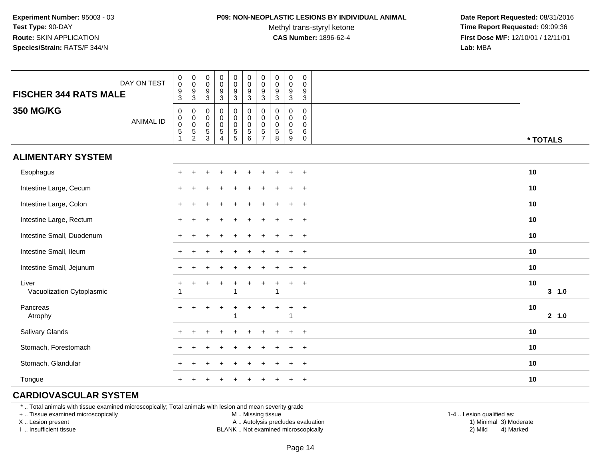#### **P09: NON-NEOPLASTIC LESIONS BY INDIVIDUAL ANIMAL**

Methyl trans-styryl ketone<br>CAS Number: 1896-62-4

 **Date Report Requested:** 08/31/2016 **Time Report Requested:** 09:09:36 **First Dose M/F:** 12/10/01 / 12/11/01<br>**Lab:** MBA **Lab:** MBA

| <b>FISCHER 344 RATS MALE</b>       | DAY ON TEST      | $_{\rm 0}^{\rm 0}$<br>$\frac{9}{3}$                                        | $\pmb{0}$<br>$\mathsf 0$<br>$\frac{9}{3}$           | $\boldsymbol{0}$<br>$\mathbf 0$<br>$\frac{9}{3}$   | $\pmb{0}$<br>$\mathbf 0$<br>$\boldsymbol{9}$<br>$\mathbf{3}$          | 0<br>$\mathsf{O}\xspace$<br>$\boldsymbol{9}$<br>3 | $\begin{smallmatrix} 0\\0 \end{smallmatrix}$<br>$\frac{9}{3}$ | $\mathbf 0$<br>$\mathbf 0$<br>$9\,$<br>3                                  | $\pmb{0}$<br>$\pmb{0}$<br>9<br>$\mathbf{3}$      | $\begin{smallmatrix} 0\\0 \end{smallmatrix}$<br>$\frac{9}{3}$     | 0<br>$\mathsf 0$<br>9<br>$\sqrt{3}$                            |                 |
|------------------------------------|------------------|----------------------------------------------------------------------------|-----------------------------------------------------|----------------------------------------------------|-----------------------------------------------------------------------|---------------------------------------------------|---------------------------------------------------------------|---------------------------------------------------------------------------|--------------------------------------------------|-------------------------------------------------------------------|----------------------------------------------------------------|-----------------|
| <b>350 MG/KG</b>                   | <b>ANIMAL ID</b> | $\pmb{0}$<br>$\begin{smallmatrix}0\0\0\5\end{smallmatrix}$<br>$\mathbf{1}$ | $\pmb{0}$<br>$\begin{matrix}0\\0\\5\\2\end{matrix}$ | $\mathbf 0$<br>$_{\rm 0}^{\rm 0}$<br>$\frac{5}{3}$ | $\pmb{0}$<br>$\mathsf 0$<br>$\pmb{0}$<br>$\sqrt{5}$<br>$\overline{4}$ | 0<br>$\mathbf 0$<br>0<br>$\frac{5}{5}$            | $\pmb{0}$<br>$\pmb{0}$<br>$\frac{0}{5}$                       | $\mathbf 0$<br>$\mathbf 0$<br>$\mathbf 0$<br>$\sqrt{5}$<br>$\overline{7}$ | $\mathbf 0$<br>0<br>$\pmb{0}$<br>$\sqrt{5}$<br>8 | $\pmb{0}$<br>$\mathbf 0$<br>$\overline{0}$<br>5<br>$\overline{9}$ | $\mathbf 0$<br>$\Omega$<br>$\mathbf 0$<br>$\,6$<br>$\mathbf 0$ | * TOTALS        |
| <b>ALIMENTARY SYSTEM</b>           |                  |                                                                            |                                                     |                                                    |                                                                       |                                                   |                                                               |                                                                           |                                                  |                                                                   |                                                                |                 |
| Esophagus                          |                  | $+$                                                                        | $\ddot{}$                                           | ÷                                                  | ÷                                                                     | $\ddot{}$                                         |                                                               | $\div$                                                                    |                                                  | ÷.                                                                | $+$                                                            | 10              |
| Intestine Large, Cecum             |                  | $+$                                                                        | $\overline{1}$                                      |                                                    |                                                                       |                                                   |                                                               |                                                                           |                                                  |                                                                   | $\overline{+}$                                                 | 10              |
| Intestine Large, Colon             |                  |                                                                            |                                                     |                                                    |                                                                       |                                                   |                                                               |                                                                           |                                                  |                                                                   | $\ddot{}$                                                      | 10              |
| Intestine Large, Rectum            |                  |                                                                            |                                                     |                                                    |                                                                       |                                                   |                                                               |                                                                           |                                                  |                                                                   | $\ddot{}$                                                      | 10              |
| Intestine Small, Duodenum          |                  |                                                                            |                                                     |                                                    |                                                                       |                                                   |                                                               |                                                                           |                                                  |                                                                   | $+$                                                            | 10              |
| Intestine Small, Ileum             |                  |                                                                            |                                                     |                                                    |                                                                       |                                                   |                                                               |                                                                           |                                                  | $\div$                                                            | $+$                                                            | 10              |
| Intestine Small, Jejunum           |                  |                                                                            |                                                     |                                                    |                                                                       |                                                   |                                                               |                                                                           |                                                  |                                                                   | $+$                                                            | 10              |
| Liver<br>Vacuolization Cytoplasmic |                  |                                                                            |                                                     |                                                    |                                                                       | 1                                                 |                                                               | $\ddot{}$                                                                 | 1                                                | $\ddot{}$                                                         | $+$                                                            | 10<br>$3 - 1.0$ |
| Pancreas<br>Atrophy                |                  | $+$                                                                        | $\pm$                                               | +                                                  | $\ddot{}$                                                             | $\ddot{}$                                         | $\ddot{}$                                                     | $\ddot{}$                                                                 | $+$                                              | $\ddot{}$                                                         | $+$                                                            | 10<br>2 1.0     |
| Salivary Glands                    |                  |                                                                            |                                                     |                                                    |                                                                       |                                                   |                                                               |                                                                           |                                                  |                                                                   | $\ddot{}$                                                      | 10              |
| Stomach, Forestomach               |                  |                                                                            |                                                     |                                                    |                                                                       |                                                   |                                                               |                                                                           |                                                  |                                                                   | $\ddot{}$                                                      | 10              |
| Stomach, Glandular                 |                  |                                                                            |                                                     |                                                    |                                                                       |                                                   |                                                               |                                                                           |                                                  |                                                                   | $+$                                                            | 10              |
| Tongue                             |                  | $\pm$                                                                      |                                                     |                                                    |                                                                       |                                                   |                                                               |                                                                           |                                                  |                                                                   | $+$                                                            | 10              |

## **CARDIOVASCULAR SYSTEM**

\* .. Total animals with tissue examined microscopically; Total animals with lesion and mean severity grade

+ .. Tissue examined microscopically

X .. Lesion present

I .. Insufficient tissue

M .. Missing tissue

A .. Autolysis precludes evaluation

BLANK .. Not examined microscopically 2) Mild 4) Marked

1-4 .. Lesion qualified as: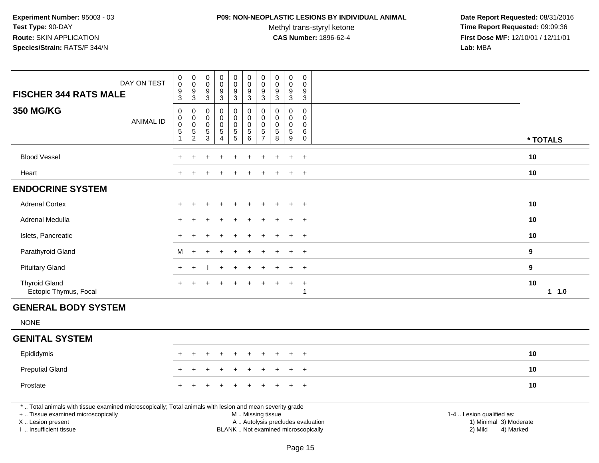### **P09: NON-NEOPLASTIC LESIONS BY INDIVIDUAL ANIMAL**

Methyl trans-styryl ketone<br>CAS Number: 1896-62-4

| DAY ON TEST<br><b>FISCHER 344 RATS MALE</b>                                                                                                                                                   | $\pmb{0}$<br>$\pmb{0}$<br>9<br>$\overline{3}$                          | $\mathbf 0$<br>$\mathbf 0$<br>9<br>$\mathbf{3}$                    | $\pmb{0}$<br>$\mathbf 0$<br>$9\,$<br>$\sqrt{3}$                           | $\pmb{0}$<br>$\pmb{0}$<br>9<br>$\mathbf{3}$                                     | $\pmb{0}$<br>$\mathbf 0$<br>9<br>$\mathbf{3}$        | $\mathsf{O}\xspace$<br>$\mathbf 0$<br>9<br>$\overline{3}$      | $\pmb{0}$<br>$\pmb{0}$<br>9<br>$\mathbf{3}$ | $\pmb{0}$<br>$\mathbf 0$<br>$\boldsymbol{9}$<br>$\mathbf{3}$                     | $\pmb{0}$<br>$\pmb{0}$<br>9<br>$\ensuremath{\mathsf{3}}$ | $\pmb{0}$<br>$\Omega$<br>9<br>$\overline{3}$                  |                                                                                                                  |          |
|-----------------------------------------------------------------------------------------------------------------------------------------------------------------------------------------------|------------------------------------------------------------------------|--------------------------------------------------------------------|---------------------------------------------------------------------------|---------------------------------------------------------------------------------|------------------------------------------------------|----------------------------------------------------------------|---------------------------------------------|----------------------------------------------------------------------------------|----------------------------------------------------------|---------------------------------------------------------------|------------------------------------------------------------------------------------------------------------------|----------|
| <b>350 MG/KG</b><br><b>ANIMAL ID</b>                                                                                                                                                          | $\pmb{0}$<br>$\mathbf 0$<br>$\mathbf 0$<br>$\mathbf 5$<br>$\mathbf{1}$ | $\mathbf 0$<br>$\mathbf 0$<br>$\mathsf{O}\xspace$<br>$\frac{5}{2}$ | $\mathbf 0$<br>$\mathbf 0$<br>$\mathbf 0$<br>$\sqrt{5}$<br>$\overline{3}$ | $\mathbf 0$<br>$\pmb{0}$<br>$\mathsf{O}\xspace$<br>$\sqrt{5}$<br>$\overline{4}$ | $\mathbf 0$<br>0<br>$\pmb{0}$<br>5<br>$\overline{5}$ | $\mathbf 0$<br>$\mathbf 0$<br>$\pmb{0}$<br>5<br>$\overline{6}$ | 0<br>0<br>$\pmb{0}$<br>5<br>$\overline{7}$  | $\mathbf 0$<br>$\mathbf 0$<br>$\pmb{0}$<br>$\begin{array}{c} 5 \\ 8 \end{array}$ | $\mathbf 0$<br>0<br>$\mathbf 0$<br>$\frac{5}{9}$         | $\mathbf 0$<br>$\mathbf 0$<br>$\mathbf 0$<br>6<br>$\mathbf 0$ |                                                                                                                  | * TOTALS |
| <b>Blood Vessel</b>                                                                                                                                                                           |                                                                        |                                                                    |                                                                           |                                                                                 |                                                      |                                                                |                                             |                                                                                  | $\ddot{}$                                                | $+$                                                           | 10                                                                                                               |          |
| Heart                                                                                                                                                                                         |                                                                        |                                                                    |                                                                           |                                                                                 |                                                      |                                                                |                                             |                                                                                  | $\ddot{}$                                                | $+$                                                           | 10                                                                                                               |          |
| <b>ENDOCRINE SYSTEM</b>                                                                                                                                                                       |                                                                        |                                                                    |                                                                           |                                                                                 |                                                      |                                                                |                                             |                                                                                  |                                                          |                                                               |                                                                                                                  |          |
| <b>Adrenal Cortex</b>                                                                                                                                                                         |                                                                        |                                                                    |                                                                           |                                                                                 |                                                      |                                                                |                                             |                                                                                  | $\div$                                                   | $+$                                                           | 10                                                                                                               |          |
| Adrenal Medulla                                                                                                                                                                               | $\div$                                                                 |                                                                    |                                                                           |                                                                                 |                                                      |                                                                |                                             |                                                                                  | $\ddot{}$                                                | $+$                                                           | 10                                                                                                               |          |
| Islets, Pancreatic                                                                                                                                                                            | ÷                                                                      |                                                                    |                                                                           |                                                                                 |                                                      |                                                                |                                             |                                                                                  |                                                          | $+$                                                           | 10                                                                                                               |          |
| Parathyroid Gland                                                                                                                                                                             | м                                                                      |                                                                    |                                                                           |                                                                                 |                                                      |                                                                |                                             |                                                                                  |                                                          | $\ddot{}$                                                     | 9                                                                                                                |          |
| <b>Pituitary Gland</b>                                                                                                                                                                        | $+$                                                                    | ÷.                                                                 |                                                                           | ÷.                                                                              |                                                      |                                                                |                                             |                                                                                  | ÷                                                        | $+$                                                           | 9                                                                                                                |          |
| <b>Thyroid Gland</b><br>Ectopic Thymus, Focal                                                                                                                                                 |                                                                        |                                                                    |                                                                           |                                                                                 |                                                      |                                                                |                                             |                                                                                  | $\ddot{}$                                                | $+$<br>1                                                      | 10                                                                                                               | $1 1.0$  |
| <b>GENERAL BODY SYSTEM</b>                                                                                                                                                                    |                                                                        |                                                                    |                                                                           |                                                                                 |                                                      |                                                                |                                             |                                                                                  |                                                          |                                                               |                                                                                                                  |          |
| <b>NONE</b>                                                                                                                                                                                   |                                                                        |                                                                    |                                                                           |                                                                                 |                                                      |                                                                |                                             |                                                                                  |                                                          |                                                               |                                                                                                                  |          |
| <b>GENITAL SYSTEM</b>                                                                                                                                                                         |                                                                        |                                                                    |                                                                           |                                                                                 |                                                      |                                                                |                                             |                                                                                  |                                                          |                                                               |                                                                                                                  |          |
| Epididymis                                                                                                                                                                                    | $\div$                                                                 |                                                                    |                                                                           |                                                                                 |                                                      |                                                                |                                             |                                                                                  |                                                          | $\ddot{}$                                                     | 10                                                                                                               |          |
| <b>Preputial Gland</b>                                                                                                                                                                        |                                                                        |                                                                    |                                                                           |                                                                                 |                                                      |                                                                |                                             |                                                                                  |                                                          | $\overline{+}$                                                | 10                                                                                                               |          |
| Prostate                                                                                                                                                                                      |                                                                        |                                                                    |                                                                           |                                                                                 |                                                      |                                                                |                                             |                                                                                  | ÷                                                        | $+$                                                           | 10                                                                                                               |          |
| *  Total animals with tissue examined microscopically; Total animals with lesion and mean severity grade<br>+  Tissue examined microscopically<br>X  Lesion present<br>I. Insufficient tissue |                                                                        |                                                                    |                                                                           |                                                                                 | BLANK  Not examined microscopically                  |                                                                | M  Missing tissue                           |                                                                                  |                                                          |                                                               | 1-4  Lesion qualified as:<br>A  Autolysis precludes evaluation<br>1) Minimal 3) Moderate<br>2) Mild<br>4) Marked |          |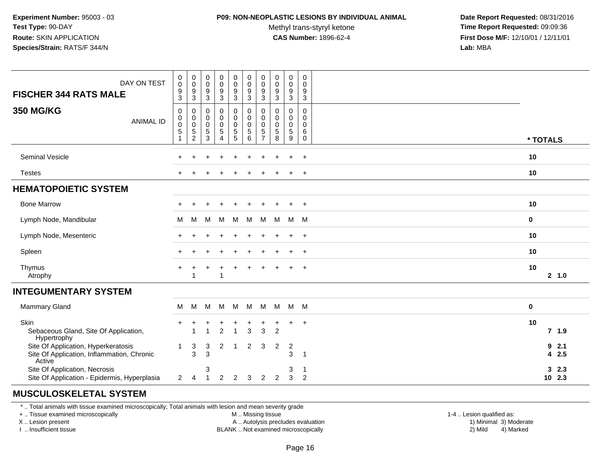#### **P09: NON-NEOPLASTIC LESIONS BY INDIVIDUAL ANIMAL**

Methyl trans-styryl ketone<br>CAS Number: 1896-62-4

 **Date Report Requested:** 08/31/2016 **Time Report Requested:** 09:09:36 **First Dose M/F:** 12/10/01 / 12/11/01<br>**Lab:** MBA **Lab:** MBA

| DAY ON TEST<br><b>FISCHER 344 RATS MALE</b>                                                 | $\boldsymbol{0}$<br>$\pmb{0}$<br>$\frac{9}{3}$            | $\boldsymbol{0}$<br>$\boldsymbol{0}$<br>$\frac{9}{3}$               | 0<br>$\mathbf 0$<br>$\boldsymbol{9}$<br>3 | 0<br>$\mathsf{O}\xspace$<br>$\boldsymbol{9}$<br>3        | $_{\rm 0}^{\rm 0}$<br>$\frac{9}{3}$                                        | $\pmb{0}$<br>$\pmb{0}$<br>9<br>$\mathbf{3}$   | 0<br>0<br>$\boldsymbol{9}$<br>3                                           | $\pmb{0}$<br>$\boldsymbol{0}$<br>$9$<br>3                    | $\pmb{0}$<br>$\pmb{0}$<br>$\boldsymbol{9}$<br>3  | 0<br>$\mathbf 0$<br>9<br>3                          |          |                  |
|---------------------------------------------------------------------------------------------|-----------------------------------------------------------|---------------------------------------------------------------------|-------------------------------------------|----------------------------------------------------------|----------------------------------------------------------------------------|-----------------------------------------------|---------------------------------------------------------------------------|--------------------------------------------------------------|--------------------------------------------------|-----------------------------------------------------|----------|------------------|
| <b>350 MG/KG</b><br><b>ANIMAL ID</b>                                                        | $\mathbf 0$<br>$\pmb{0}$<br>$\pmb{0}$<br>$\,$ 5 $\,$<br>1 | $\mathbf 0$<br>$\pmb{0}$<br>$\,0\,$<br>$\sqrt{5}$<br>$\overline{2}$ | 0<br>$\pmb{0}$<br>0<br>$\,$ 5 $\,$<br>3   | 0<br>$\mathsf{O}\xspace$<br>$\pmb{0}$<br>$\sqrt{5}$<br>4 | $\pmb{0}$<br>$\begin{smallmatrix} 0\\0 \end{smallmatrix}$<br>$\frac{5}{5}$ | $\pmb{0}$<br>$\pmb{0}$<br>$\pmb{0}$<br>5<br>6 | $\mathbf 0$<br>$\mathbf 0$<br>$\mathbf 0$<br>$\sqrt{5}$<br>$\overline{7}$ | $\mathbf 0$<br>$\mathbf 0$<br>$\mathbf 0$<br>$\sqrt{5}$<br>8 | 0<br>$\mathbf 0$<br>$\pmb{0}$<br>$\sqrt{5}$<br>9 | $\mathbf 0$<br>$\mathbf 0$<br>0<br>6<br>$\mathbf 0$ | * TOTALS |                  |
| Seminal Vesicle                                                                             |                                                           |                                                                     |                                           |                                                          |                                                                            |                                               |                                                                           |                                                              | $\ddot{}$                                        | $+$                                                 | 10       |                  |
| <b>Testes</b>                                                                               |                                                           |                                                                     |                                           |                                                          |                                                                            |                                               |                                                                           |                                                              |                                                  | $\ddot{}$                                           | 10       |                  |
| <b>HEMATOPOIETIC SYSTEM</b>                                                                 |                                                           |                                                                     |                                           |                                                          |                                                                            |                                               |                                                                           |                                                              |                                                  |                                                     |          |                  |
| <b>Bone Marrow</b>                                                                          | ÷                                                         |                                                                     |                                           |                                                          |                                                                            |                                               |                                                                           |                                                              | $\ddot{}$                                        | $+$                                                 | 10       |                  |
| Lymph Node, Mandibular                                                                      | м                                                         | М                                                                   | M                                         | M                                                        | M                                                                          | M                                             | M                                                                         | M                                                            | M M                                              |                                                     | 0        |                  |
| Lymph Node, Mesenteric                                                                      |                                                           |                                                                     |                                           |                                                          |                                                                            |                                               |                                                                           |                                                              |                                                  | $\overline{1}$                                      | 10       |                  |
| Spleen                                                                                      |                                                           |                                                                     |                                           |                                                          |                                                                            |                                               |                                                                           |                                                              |                                                  | $\overline{1}$                                      | 10       |                  |
| Thymus<br>Atrophy                                                                           | $\div$                                                    |                                                                     |                                           | 1                                                        |                                                                            |                                               |                                                                           |                                                              | $\ddot{}$                                        | $+$                                                 | 10       | 2, 1.0           |
| <b>INTEGUMENTARY SYSTEM</b>                                                                 |                                                           |                                                                     |                                           |                                                          |                                                                            |                                               |                                                                           |                                                              |                                                  |                                                     |          |                  |
| <b>Mammary Gland</b>                                                                        | M                                                         | M                                                                   | M                                         | M                                                        | M                                                                          | M                                             | M                                                                         | M                                                            | M M                                              |                                                     | $\bf{0}$ |                  |
| Skin<br>Sebaceous Gland, Site Of Application,<br>Hypertrophy                                | $+$                                                       | 1                                                                   | -1                                        | $\overline{2}$                                           | $\overline{1}$                                                             | ÷<br>3                                        | 3                                                                         | 2                                                            | $\ddot{}$                                        | $^{+}$                                              | 10       | $7$ 1.9          |
| Site Of Application, Hyperkeratosis<br>Site Of Application, Inflammation, Chronic<br>Active | $\overline{1}$                                            | $\mathbf{3}$<br>3                                                   | 3<br>3                                    | 2                                                        | -1                                                                         | $\overline{2}$                                | 3                                                                         | $\overline{2}$                                               | $\overline{c}$<br>3                              | $\overline{\mathbf{1}}$                             |          | 92.1<br>4 2.5    |
| Site Of Application, Necrosis<br>Site Of Application - Epidermis, Hyperplasia               | $\mathbf{2}$                                              | 4                                                                   | 3<br>$\mathbf{1}$                         | 2                                                        | 2                                                                          | 3                                             | 2                                                                         | 2                                                            | 3<br>3                                           | -1<br>2                                             |          | 32.3<br>$10$ 2.3 |

## **MUSCULOSKELETAL SYSTEM**

\* .. Total animals with tissue examined microscopically; Total animals with lesion and mean severity grade

+ .. Tissue examined microscopically

X .. Lesion present

I .. Insufficient tissue

M .. Missing tissue

A .. Autolysis precludes evaluation

BLANK .. Not examined microscopically 2) Mild 4) Marked

1-4 .. Lesion qualified as:<br>1) Minimal 3) Moderate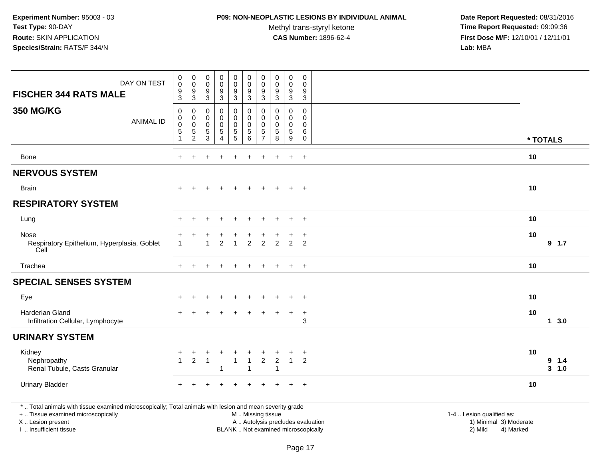### **P09: NON-NEOPLASTIC LESIONS BY INDIVIDUAL ANIMAL**

Methyl trans-styryl ketone<br>CAS Number: 1896-62-4

 **Date Report Requested:** 08/31/2016 **Time Report Requested:** 09:09:36 **First Dose M/F:** 12/10/01 / 12/11/01<br>**Lab:** MBA **Lab:** MBA

| DAY ON TEST<br><b>FISCHER 344 RATS MALE</b>                                                                                                                         | $\begin{smallmatrix} 0\\0 \end{smallmatrix}$<br>$\frac{9}{3}$ | $\pmb{0}$<br>$\overline{0}$<br>$^9_3$              | 0<br>$\mathbf 0$<br>9<br>$\sqrt{3}$                 | $\pmb{0}$<br>$\mathsf 0$<br>$\boldsymbol{9}$<br>$\overline{3}$   | $_0^0$<br>$\frac{9}{3}$                                | $_{\rm 0}^{\rm 0}$<br>$\frac{9}{3}$                       | $\boldsymbol{0}$<br>$\overline{0}$<br>$^9_3$                           | $\begin{smallmatrix} 0\\0 \end{smallmatrix}$<br>$\frac{9}{3}$ | 0<br>$\pmb{0}$<br>$\boldsymbol{9}$<br>$\overline{3}$             | 0<br>$\mathbf 0$<br>9<br>3                                 |                                                                                          |
|---------------------------------------------------------------------------------------------------------------------------------------------------------------------|---------------------------------------------------------------|----------------------------------------------------|-----------------------------------------------------|------------------------------------------------------------------|--------------------------------------------------------|-----------------------------------------------------------|------------------------------------------------------------------------|---------------------------------------------------------------|------------------------------------------------------------------|------------------------------------------------------------|------------------------------------------------------------------------------------------|
| <b>350 MG/KG</b><br><b>ANIMAL ID</b>                                                                                                                                | 0<br>$\mathbf 0$<br>$\mathbf 0$<br>$\mathbf 5$<br>1           | 0<br>$\mathbf 0$<br>$\mathbf 0$<br>$\sqrt{5}$<br>2 | $\mathbf 0$<br>$\mathbf 0$<br>0<br>$\,$ 5 $\,$<br>3 | $\mathbf 0$<br>$\mathbf 0$<br>0<br>$\,$ 5 $\,$<br>$\overline{4}$ | $\mathsf{O}$<br>0<br>$\boldsymbol{0}$<br>$\frac{5}{5}$ | $\pmb{0}$<br>$\mathbf 0$<br>$\pmb{0}$<br>$\,$ 5 $\,$<br>6 | $\pmb{0}$<br>$\mathbf 0$<br>$\pmb{0}$<br>$\,$ 5 $\,$<br>$\overline{7}$ | 0<br>$\mathbf 0$<br>$\mathbf 0$<br>$\sqrt{5}$<br>8            | $\mathbf 0$<br>$\mathbf 0$<br>$\mathbf 0$<br>$\overline{5}$<br>9 | $\mathbf 0$<br>$\mathbf 0$<br>$\Omega$<br>6<br>$\mathbf 0$ | * TOTALS                                                                                 |
| Bone                                                                                                                                                                | $+$                                                           | $\ddot{}$                                          | $\ddot{}$                                           |                                                                  | $\ddot{}$                                              | $\ddot{}$                                                 | $\ddot{}$                                                              | $+$                                                           | $+$                                                              | $+$                                                        | 10                                                                                       |
| <b>NERVOUS SYSTEM</b>                                                                                                                                               |                                                               |                                                    |                                                     |                                                                  |                                                        |                                                           |                                                                        |                                                               |                                                                  |                                                            |                                                                                          |
| <b>Brain</b>                                                                                                                                                        | $\ddot{}$                                                     |                                                    |                                                     |                                                                  |                                                        |                                                           |                                                                        | $+$                                                           | $+$                                                              | $+$                                                        | 10                                                                                       |
| <b>RESPIRATORY SYSTEM</b>                                                                                                                                           |                                                               |                                                    |                                                     |                                                                  |                                                        |                                                           |                                                                        |                                                               |                                                                  |                                                            |                                                                                          |
| Lung                                                                                                                                                                |                                                               | $\div$                                             | ÷                                                   |                                                                  | $\ddot{}$                                              | $\ddot{}$                                                 | $\overline{+}$                                                         | $\ddot{}$                                                     | $\ddot{}$                                                        | $+$                                                        | 10                                                                                       |
| Nose<br>Respiratory Epithelium, Hyperplasia, Goblet<br>Cell                                                                                                         |                                                               |                                                    | 1                                                   | 2                                                                | $\overline{1}$                                         | $\overline{2}$                                            | $\overline{2}$                                                         | 2                                                             | 2                                                                | $\overline{+}$<br>$\overline{2}$                           | 10<br>$9$ 1.7                                                                            |
| Trachea                                                                                                                                                             | $+$                                                           |                                                    |                                                     |                                                                  | $\div$                                                 | $\ddot{}$                                                 | $\ddot{}$                                                              |                                                               | $+$                                                              | $+$                                                        | 10                                                                                       |
| <b>SPECIAL SENSES SYSTEM</b>                                                                                                                                        |                                                               |                                                    |                                                     |                                                                  |                                                        |                                                           |                                                                        |                                                               |                                                                  |                                                            |                                                                                          |
| Eye                                                                                                                                                                 |                                                               |                                                    |                                                     |                                                                  |                                                        |                                                           |                                                                        |                                                               |                                                                  | $\ddot{}$                                                  | 10                                                                                       |
| Harderian Gland<br>Infiltration Cellular, Lymphocyte                                                                                                                |                                                               |                                                    |                                                     |                                                                  |                                                        |                                                           |                                                                        |                                                               | $\ddot{}$                                                        | $\ddot{}$<br>3                                             | 10<br>13.0                                                                               |
| <b>URINARY SYSTEM</b>                                                                                                                                               |                                                               |                                                    |                                                     |                                                                  |                                                        |                                                           |                                                                        |                                                               |                                                                  |                                                            |                                                                                          |
| Kidney<br>Nephropathy<br>Renal Tubule, Casts Granular                                                                                                               | $\blacktriangleleft$                                          | $\overline{2}$                                     | $\overline{1}$                                      | -1                                                               | $\mathbf{1}$                                           | +<br>$\mathbf{1}$                                         | $\overline{2}$                                                         | $\overline{2}$<br>$\overline{1}$                              | $\overline{1}$                                                   | $\ddot{}$<br>2                                             | 10<br>9 1.4<br>$3 - 1.0$                                                                 |
| <b>Urinary Bladder</b>                                                                                                                                              |                                                               |                                                    |                                                     |                                                                  |                                                        |                                                           |                                                                        |                                                               |                                                                  | $+$                                                        | 10                                                                                       |
| *  Total animals with tissue examined microscopically; Total animals with lesion and mean severity grade<br>+  Tissue examined microscopically<br>X  Lesion present |                                                               |                                                    |                                                     |                                                                  |                                                        | M  Missing tissue                                         |                                                                        |                                                               |                                                                  |                                                            | 1-4  Lesion qualified as:<br>A  Autolysis precludes evaluation<br>1) Minimal 3) Moderate |

I .. Insufficient tissue

BLANK .. Not examined microscopically 2) Mild 4) Marked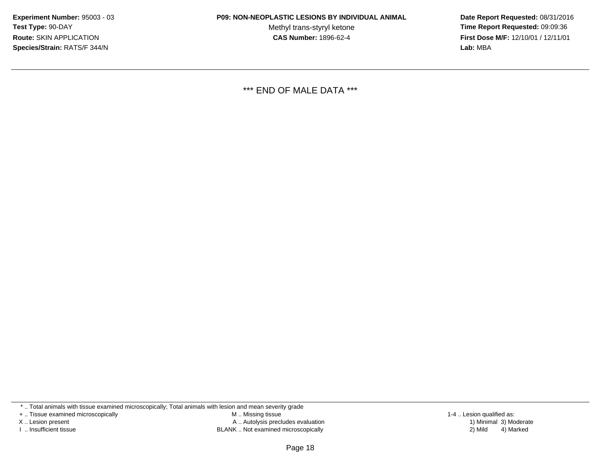Methyl trans-styryl ketone<br>CAS Number: 1896-62-4

 **Date Report Requested:** 08/31/2016 **Time Report Requested:** 09:09:36 **First Dose M/F:** 12/10/01 / 12/11/01<br>**Lab:** MBA **Lab:** MBA

\*\*\* END OF MALE DATA \*\*\*

\* .. Total animals with tissue examined microscopically; Total animals with lesion and mean severity grade

+ .. Tissue examined microscopically

X .. Lesion present

I .. Insufficient tissue

 M .. Missing tissueA .. Autolysis precludes evaluation

BLANK .. Not examined microscopically 2) Mild 4) Marked

1-4 .. Lesion qualified as: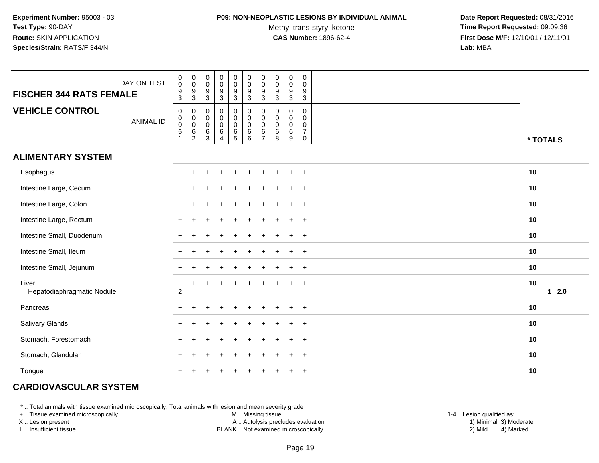### **P09: NON-NEOPLASTIC LESIONS BY INDIVIDUAL ANIMAL**

Methyl trans-styryl ketone<br>CAS Number: 1896-62-4

 **Date Report Requested:** 08/31/2016 **Time Report Requested:** 09:09:36 **First Dose M/F:** 12/10/01 / 12/11/01<br>**Lab:** MBA **Lab:** MBA

| DAY ON TEST<br><b>FISCHER 344 RATS FEMALE</b> | $\pmb{0}$<br>$\mathsf{O}\xspace$<br>$\frac{9}{3}$                                     | $\begin{array}{c} 0 \\ 0 \\ 9 \\ 3 \end{array}$ | $\,0\,$<br>$\boldsymbol{0}$<br>$9\,$<br>$\mathfrak{S}$      | 0<br>$\mathbf 0$<br>9<br>3                         | $\begin{smallmatrix} 0\\0 \end{smallmatrix}$<br>$\frac{9}{3}$ | $\begin{smallmatrix} 0\\0 \end{smallmatrix}$<br>$\overline{9}$<br>$\overline{3}$      | $\pmb{0}$<br>$\mathsf 0$<br>$\boldsymbol{9}$<br>$\mathfrak{Z}$ | $\pmb{0}$<br>$\pmb{0}$<br>$\frac{9}{3}$                     | $\pmb{0}$<br>$\mathbf 0$<br>$\boldsymbol{9}$<br>$\mathbf{3}$ | $\pmb{0}$<br>0<br>9<br>3                               |              |
|-----------------------------------------------|---------------------------------------------------------------------------------------|-------------------------------------------------|-------------------------------------------------------------|----------------------------------------------------|---------------------------------------------------------------|---------------------------------------------------------------------------------------|----------------------------------------------------------------|-------------------------------------------------------------|--------------------------------------------------------------|--------------------------------------------------------|--------------|
| <b>VEHICLE CONTROL</b><br><b>ANIMAL ID</b>    | $\mathbf 0$<br>$\begin{smallmatrix}0\0\0\end{smallmatrix}$<br>$\,6\,$<br>$\mathbf{1}$ | $\pmb{0}$                                       | $\pmb{0}$<br>$\boldsymbol{0}$<br>$\pmb{0}$<br>$\frac{6}{3}$ | 0<br>$\pmb{0}$<br>$\pmb{0}$<br>6<br>$\overline{4}$ | 0<br>$\pmb{0}$<br>$\boldsymbol{0}$<br>$\frac{6}{5}$           | $\begin{smallmatrix}0\\0\\0\end{smallmatrix}$<br>$\begin{matrix} 6 \\ 6 \end{matrix}$ | $\pmb{0}$<br>$\pmb{0}$<br>$\ddot{\mathbf{0}}$<br>$\frac{6}{7}$ | $\mathbf 0$<br>$\pmb{0}$<br>$\mathbf 0$<br>$\,6$<br>$\,8\,$ | $\mathbf 0$<br>$\mathbf 0$<br>$\mathbf 0$<br>$\,6\,$<br>9    | 0<br>$\mathbf 0$<br>0<br>$\overline{7}$<br>$\mathbf 0$ | * TOTALS     |
| <b>ALIMENTARY SYSTEM</b>                      |                                                                                       |                                                 |                                                             |                                                    |                                                               |                                                                                       |                                                                |                                                             |                                                              |                                                        |              |
| Esophagus                                     |                                                                                       |                                                 |                                                             |                                                    |                                                               | $\pm$                                                                                 |                                                                |                                                             |                                                              | $+$                                                    | 10           |
| Intestine Large, Cecum                        |                                                                                       |                                                 |                                                             |                                                    |                                                               |                                                                                       | $\ddot{}$                                                      |                                                             | $\ddot{}$                                                    | $+$                                                    | 10           |
| Intestine Large, Colon                        |                                                                                       |                                                 |                                                             |                                                    |                                                               |                                                                                       |                                                                |                                                             | $\ddot{}$                                                    | $+$                                                    | 10           |
| Intestine Large, Rectum                       |                                                                                       |                                                 |                                                             |                                                    |                                                               |                                                                                       |                                                                |                                                             | $\div$                                                       | $+$                                                    | 10           |
| Intestine Small, Duodenum                     | $+$                                                                                   |                                                 |                                                             |                                                    |                                                               |                                                                                       |                                                                |                                                             | $\div$                                                       | $+$                                                    | 10           |
| Intestine Small, Ileum                        | $+$                                                                                   |                                                 |                                                             |                                                    |                                                               |                                                                                       |                                                                |                                                             | $\ddot{}$                                                    | $+$                                                    | 10           |
| Intestine Small, Jejunum                      | $+$                                                                                   |                                                 |                                                             |                                                    |                                                               |                                                                                       |                                                                |                                                             | $\div$                                                       | $+$                                                    | 10           |
| Liver<br>Hepatodiaphragmatic Nodule           | $\ddot{}$<br>$\overline{c}$                                                           | $\ddot{}$                                       |                                                             |                                                    |                                                               |                                                                                       |                                                                |                                                             |                                                              | $\overline{+}$                                         | 10<br>$12.0$ |
| Pancreas                                      | $\div$                                                                                |                                                 |                                                             |                                                    |                                                               |                                                                                       |                                                                |                                                             |                                                              | $\ddot{}$                                              | 10           |
| <b>Salivary Glands</b>                        |                                                                                       |                                                 |                                                             |                                                    |                                                               |                                                                                       |                                                                |                                                             |                                                              | $\ddot{}$                                              | 10           |
| Stomach, Forestomach                          |                                                                                       |                                                 |                                                             |                                                    |                                                               |                                                                                       |                                                                |                                                             |                                                              | $\div$                                                 | 10           |
| Stomach, Glandular                            |                                                                                       |                                                 |                                                             |                                                    |                                                               |                                                                                       |                                                                |                                                             |                                                              | $\overline{+}$                                         | 10           |
| Tongue                                        |                                                                                       |                                                 |                                                             |                                                    |                                                               |                                                                                       |                                                                |                                                             | $\pm$                                                        | $+$                                                    | 10           |

## **CARDIOVASCULAR SYSTEM**

\* .. Total animals with tissue examined microscopically; Total animals with lesion and mean severity grade

+ .. Tissue examined microscopically

X .. Lesion present

I .. Insufficient tissue

M .. Missing tissue

A .. Autolysis precludes evaluation

BLANK .. Not examined microscopically 2) Mild 4) Marked

1-4 .. Lesion qualified as:<br>1) Minimal 3) Moderate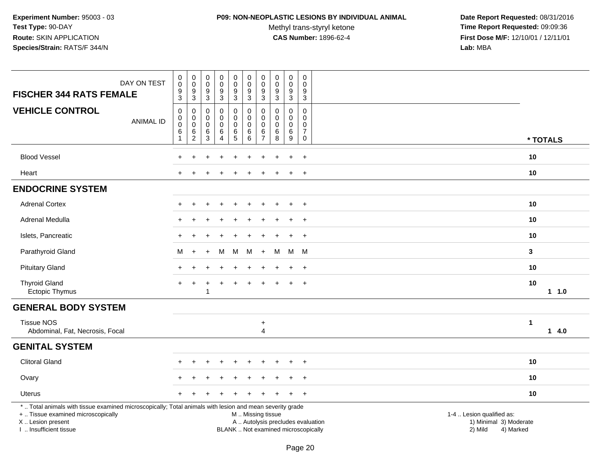### **P09: NON-NEOPLASTIC LESIONS BY INDIVIDUAL ANIMAL**

Methyl trans-styryl ketone<br>CAS Number: 1896-62-4

| DAY ON TEST<br><b>FISCHER 344 RATS FEMALE</b>                                                                                                                                                 | $\pmb{0}$<br>$\mathsf 0$<br>$\boldsymbol{9}$<br>3                    | $\mathbf 0$<br>$\,0\,$<br>$\boldsymbol{9}$<br>$\mathbf{3}$ | $\pmb{0}$<br>$\mathbf 0$<br>$\boldsymbol{9}$<br>$\mathbf{3}$ | 0<br>0<br>9<br>3      | $\pmb{0}$<br>$\mathbf 0$<br>9<br>3      | $\pmb{0}$<br>$\mathbf 0$<br>$9\,$<br>3                   | $\pmb{0}$<br>$\mathbf 0$<br>$\boldsymbol{9}$<br>3       | $\mathsf 0$<br>$\mathbf 0$<br>9<br>3   | $\pmb{0}$<br>0<br>$\boldsymbol{9}$<br>3 | $\mathsf 0$<br>$\Omega$<br>9<br>3                      |                                                                                                                  |                      |
|-----------------------------------------------------------------------------------------------------------------------------------------------------------------------------------------------|----------------------------------------------------------------------|------------------------------------------------------------|--------------------------------------------------------------|-----------------------|-----------------------------------------|----------------------------------------------------------|---------------------------------------------------------|----------------------------------------|-----------------------------------------|--------------------------------------------------------|------------------------------------------------------------------------------------------------------------------|----------------------|
| <b>VEHICLE CONTROL</b><br><b>ANIMAL ID</b>                                                                                                                                                    | $\mathbf 0$<br>$\mathbf 0$<br>$\pmb{0}$<br>$\,6\,$<br>$\overline{1}$ | $\mathbf 0$<br>$\mathbf 0$<br>$\mathbf 0$<br>$\frac{6}{2}$ | 0<br>$\mathbf 0$<br>0<br>$\,6\,$<br>3                        | 0<br>0<br>0<br>6<br>4 | 0<br>$\mathbf 0$<br>$\pmb{0}$<br>$^6_5$ | $\mathbf 0$<br>$\pmb{0}$<br>$\mathbf 0$<br>$\,6\,$<br>6  | $\Omega$<br>$\Omega$<br>$\Omega$<br>6<br>$\overline{7}$ | 0<br>$\Omega$<br>$\mathbf 0$<br>6<br>8 | 0<br>0<br>0<br>$\,6$<br>$9\,$           | $\mathbf 0$<br>0<br>0<br>$\overline{7}$<br>$\mathbf 0$ |                                                                                                                  | * TOTALS             |
| <b>Blood Vessel</b>                                                                                                                                                                           |                                                                      |                                                            |                                                              |                       |                                         |                                                          |                                                         |                                        |                                         | $\ddot{}$                                              |                                                                                                                  | 10                   |
| Heart                                                                                                                                                                                         |                                                                      |                                                            |                                                              |                       |                                         |                                                          |                                                         |                                        |                                         | $\ddot{}$                                              |                                                                                                                  | 10                   |
| <b>ENDOCRINE SYSTEM</b>                                                                                                                                                                       |                                                                      |                                                            |                                                              |                       |                                         |                                                          |                                                         |                                        |                                         |                                                        |                                                                                                                  |                      |
| <b>Adrenal Cortex</b>                                                                                                                                                                         |                                                                      |                                                            |                                                              |                       |                                         |                                                          |                                                         |                                        |                                         | $\overline{+}$                                         |                                                                                                                  | 10                   |
| Adrenal Medulla                                                                                                                                                                               |                                                                      |                                                            |                                                              |                       |                                         |                                                          |                                                         |                                        |                                         | $\ddot{}$                                              |                                                                                                                  | 10                   |
| Islets, Pancreatic                                                                                                                                                                            |                                                                      |                                                            |                                                              |                       |                                         |                                                          |                                                         |                                        |                                         | $\ddot{}$                                              |                                                                                                                  | 10                   |
| Parathyroid Gland                                                                                                                                                                             | м                                                                    | $\ddot{}$                                                  |                                                              | м                     | M                                       | M                                                        | $+$                                                     | М                                      | M                                       | - M                                                    |                                                                                                                  | 3                    |
| <b>Pituitary Gland</b>                                                                                                                                                                        | $\pm$                                                                | $\div$                                                     |                                                              | $\div$                | $\ddot{}$                               | $\pm$                                                    | $\pm$                                                   |                                        | $\ddot{}$                               | $+$                                                    |                                                                                                                  | 10                   |
| <b>Thyroid Gland</b><br><b>Ectopic Thymus</b>                                                                                                                                                 |                                                                      |                                                            | 1                                                            |                       |                                         |                                                          |                                                         |                                        |                                         | $\ddot{}$                                              |                                                                                                                  | 10<br>11.0           |
| <b>GENERAL BODY SYSTEM</b>                                                                                                                                                                    |                                                                      |                                                            |                                                              |                       |                                         |                                                          |                                                         |                                        |                                         |                                                        |                                                                                                                  |                      |
| <b>Tissue NOS</b><br>Abdominal, Fat, Necrosis, Focal                                                                                                                                          |                                                                      |                                                            |                                                              |                       |                                         |                                                          | $\ddot{}$<br>$\overline{4}$                             |                                        |                                         |                                                        |                                                                                                                  | $\mathbf{1}$<br>14.0 |
| <b>GENITAL SYSTEM</b>                                                                                                                                                                         |                                                                      |                                                            |                                                              |                       |                                         |                                                          |                                                         |                                        |                                         |                                                        |                                                                                                                  |                      |
| <b>Clitoral Gland</b>                                                                                                                                                                         |                                                                      |                                                            |                                                              |                       |                                         |                                                          |                                                         |                                        |                                         | $\ddot{}$                                              |                                                                                                                  | 10                   |
| Ovary                                                                                                                                                                                         |                                                                      |                                                            |                                                              |                       |                                         |                                                          |                                                         |                                        |                                         | $\ddot{}$                                              |                                                                                                                  | 10                   |
| <b>Uterus</b>                                                                                                                                                                                 |                                                                      |                                                            |                                                              |                       |                                         |                                                          |                                                         |                                        | $\ddot{}$                               | $+$                                                    |                                                                                                                  | 10                   |
| *  Total animals with tissue examined microscopically; Total animals with lesion and mean severity grade<br>+  Tissue examined microscopically<br>X  Lesion present<br>I. Insufficient tissue |                                                                      |                                                            |                                                              |                       |                                         | M  Missing tissue<br>BLANK  Not examined microscopically |                                                         |                                        |                                         |                                                        | 1-4  Lesion qualified as:<br>A  Autolysis precludes evaluation<br>1) Minimal 3) Moderate<br>2) Mild<br>4) Marked |                      |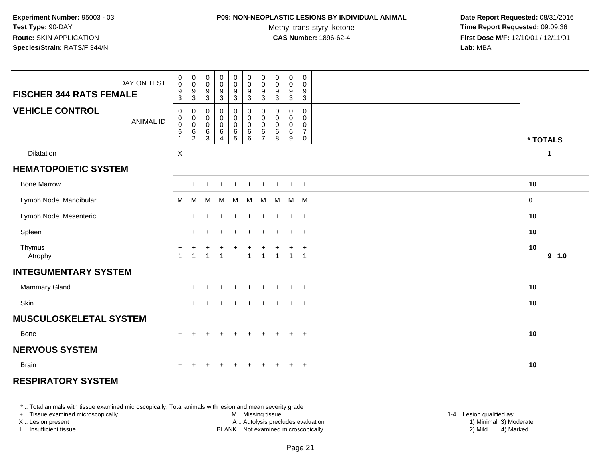### **P09: NON-NEOPLASTIC LESIONS BY INDIVIDUAL ANIMAL**

Methyl trans-styryl ketone<br>CAS Number: 1896-62-4

 **Date Report Requested:** 08/31/2016 **Time Report Requested:** 09:09:36 **First Dose M/F:** 12/10/01 / 12/11/01<br>**Lab:** MBA **Lab:** MBA

| DAY ON TEST                                | $\begin{smallmatrix} 0\\0 \end{smallmatrix}$                 | $\begin{smallmatrix}0\\0\end{smallmatrix}$           | $_{\rm 0}^{\rm 0}$                                        | $\begin{array}{c} 0 \\ 0 \\ 9 \\ 3 \end{array}$ | $\pmb{0}$                                                       | $\begin{matrix} 0 \\ 0 \\ 9 \\ 3 \end{matrix}$                                  | $\mathbf 0$<br>$\boldsymbol{0}$              | $\pmb{0}$<br>$\pmb{0}$                                  | 0<br>$\pmb{0}$                  | $\pmb{0}$<br>$\pmb{0}$                                   |             |
|--------------------------------------------|--------------------------------------------------------------|------------------------------------------------------|-----------------------------------------------------------|-------------------------------------------------|-----------------------------------------------------------------|---------------------------------------------------------------------------------|----------------------------------------------|---------------------------------------------------------|---------------------------------|----------------------------------------------------------|-------------|
| <b>FISCHER 344 RATS FEMALE</b>             | $\frac{9}{3}$                                                | $\boldsymbol{9}$<br>$\sqrt{3}$                       | $\frac{9}{3}$                                             |                                                 | $\frac{0}{9}$                                                   |                                                                                 | 9<br>$\mathbf{3}$                            | $\boldsymbol{9}$<br>$\mathbf{3}$                        | 9<br>3                          | $\boldsymbol{9}$<br>$\mathfrak{S}$                       |             |
| <b>VEHICLE CONTROL</b><br><b>ANIMAL ID</b> | $\mathsf 0$<br>$_{\rm 0}^{\rm 0}$<br>$\,6\,$<br>$\mathbf{1}$ | 0<br>$_{\rm 0}^{\rm 0}$<br>$\,6\,$<br>$\overline{c}$ | $\mathbf 0$<br>$\pmb{0}$<br>$\ddot{\mathbf{0}}$<br>$^6_3$ | 0<br>0<br>$\bar{0}$<br>$\,6\,$<br>4             | $\mathbf 0$<br>$\boldsymbol{0}$<br>$\mathbf 0$<br>$\frac{6}{5}$ | $\pmb{0}$<br>$\begin{smallmatrix} 0\\0 \end{smallmatrix}$<br>$\,6\,$<br>$\,6\,$ | 0<br>0<br>$\mathbf 0$<br>6<br>$\overline{7}$ | $\mathbf 0$<br>$\mathbf 0$<br>$\mathbf 0$<br>$\,6$<br>8 | 0<br>0<br>$\mathbf 0$<br>6<br>9 | $\mathbf 0$<br>$\mathbf 0$<br>0<br>$\boldsymbol{7}$<br>0 | * TOTALS    |
| Dilatation                                 | $\boldsymbol{\mathsf{X}}$                                    |                                                      |                                                           |                                                 |                                                                 |                                                                                 |                                              |                                                         |                                 |                                                          | 1           |
| <b>HEMATOPOIETIC SYSTEM</b>                |                                                              |                                                      |                                                           |                                                 |                                                                 |                                                                                 |                                              |                                                         |                                 |                                                          |             |
| <b>Bone Marrow</b>                         |                                                              |                                                      |                                                           |                                                 |                                                                 |                                                                                 |                                              |                                                         |                                 |                                                          | 10          |
| Lymph Node, Mandibular                     | M                                                            | M                                                    | M                                                         | M                                               | M                                                               | M                                                                               | M                                            | M                                                       | M M                             |                                                          | 0           |
| Lymph Node, Mesenteric                     | $+$                                                          |                                                      |                                                           |                                                 |                                                                 |                                                                                 |                                              |                                                         | $\ddot{}$                       | $+$                                                      | 10          |
| Spleen                                     | +                                                            |                                                      |                                                           |                                                 |                                                                 |                                                                                 |                                              |                                                         | $\div$                          | $^{+}$                                                   | 10          |
| Thymus<br>Atrophy                          | $\overline{1}$                                               |                                                      |                                                           | $\overline{1}$                                  | $\ddot{}$                                                       | $\mathbf{1}$                                                                    | $\overline{1}$                               | $\overline{1}$                                          | $\ddot{}$<br>$\overline{1}$     | $\overline{+}$<br>$\overline{1}$                         | 10<br>9 1.0 |
| <b>INTEGUMENTARY SYSTEM</b>                |                                                              |                                                      |                                                           |                                                 |                                                                 |                                                                                 |                                              |                                                         |                                 |                                                          |             |
| Mammary Gland                              |                                                              |                                                      |                                                           |                                                 |                                                                 |                                                                                 |                                              |                                                         |                                 | $\ddot{}$                                                | 10          |
| Skin                                       |                                                              |                                                      |                                                           | $\div$                                          | $\ddot{}$                                                       | $\div$                                                                          | $\pm$                                        |                                                         | $\pm$                           | $^{+}$                                                   | 10          |
| <b>MUSCULOSKELETAL SYSTEM</b>              |                                                              |                                                      |                                                           |                                                 |                                                                 |                                                                                 |                                              |                                                         |                                 |                                                          |             |
| Bone                                       | $+$                                                          | $\ddot{}$                                            |                                                           | $\ddot{}$                                       | $\ddot{}$                                                       | $+$                                                                             | $+$                                          | $+$                                                     | $+$                             | $+$                                                      | 10          |
| <b>NERVOUS SYSTEM</b>                      |                                                              |                                                      |                                                           |                                                 |                                                                 |                                                                                 |                                              |                                                         |                                 |                                                          |             |
| <b>Brain</b>                               | $+$                                                          |                                                      |                                                           | $\div$                                          | $\pm$                                                           | $\div$                                                                          | $\pm$                                        | $\pm$                                                   | $\pm$                           | $+$                                                      | 10          |
|                                            |                                                              |                                                      |                                                           |                                                 |                                                                 |                                                                                 |                                              |                                                         |                                 |                                                          |             |

## **RESPIRATORY SYSTEM**

\* .. Total animals with tissue examined microscopically; Total animals with lesion and mean severity grade

+ .. Tissue examined microscopically

X .. Lesion present

I .. Insufficient tissue

M .. Missing tissue

A .. Autolysis precludes evaluation

BLANK .. Not examined microscopically 2) Mild 4) Marked

1-4 .. Lesion qualified as:<br>1) Minimal 3) Moderate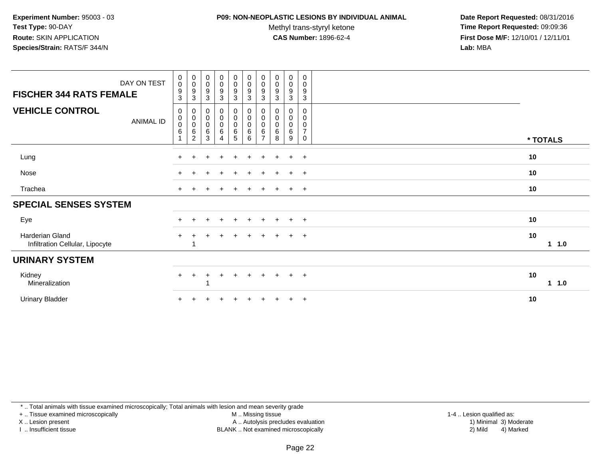#### **P09: NON-NEOPLASTIC LESIONS BY INDIVIDUAL ANIMAL**

Methyl trans-styryl ketone<br>CAS Number: 1896-62-4

 **Date Report Requested:** 08/31/2016 **Time Report Requested:** 09:09:36 **First Dose M/F:** 12/10/01 / 12/11/01<br>**Lab:** MBA **Lab:** MBA

| DAY ON TEST<br><b>FISCHER 344 RATS FEMALE</b>      | $\boldsymbol{0}$<br>$\mathbf 0$<br>9<br>$\sqrt{3}$ | $\pmb{0}$<br>$\mathbf 0$<br>9<br>3                   | $\pmb{0}$<br>$\pmb{0}$<br>9<br>3            | $\mathbf 0$<br>$\mathbf 0$<br>9<br>3            | $\begin{smallmatrix}0\0\0\9\end{smallmatrix}$<br>3 | $\begin{smallmatrix}0\\0\end{smallmatrix}$<br>$\boldsymbol{9}$<br>$\mathbf{3}$ | 0<br>$\pmb{0}$<br>9<br>3                     | $\pmb{0}$<br>$\mathbf 0$<br>9<br>3 | 0<br>$\mathbf 0$<br>9<br>3 | 0<br>0<br>9<br>3                          |             |
|----------------------------------------------------|----------------------------------------------------|------------------------------------------------------|---------------------------------------------|-------------------------------------------------|----------------------------------------------------|--------------------------------------------------------------------------------|----------------------------------------------|------------------------------------|----------------------------|-------------------------------------------|-------------|
| <b>VEHICLE CONTROL</b><br>ANIMAL ID                | $\mathbf 0$<br>$\,0\,$<br>$\pmb{0}$<br>$\,6\,$     | 0<br>0<br>$\mathsf{O}\xspace$<br>6<br>$\overline{c}$ | 0<br>$\pmb{0}$<br>$\pmb{0}$<br>$\,6\,$<br>3 | 0<br>$\bar{0}$<br>$\mathsf{O}\xspace$<br>6<br>4 | $_{\rm 0}^{\rm 0}$<br>$\frac{0}{6}$                | $_{\rm 0}^{\rm 0}$<br>$\pmb{0}$<br>$\,6\,$<br>$\,6\,$                          | 0<br>0<br>$\mathbf 0$<br>6<br>$\overline{ }$ | 0<br>0<br>0<br>6<br>8              | 0<br>0<br>0<br>6<br>9      | 0<br>0<br>0<br>$\overline{7}$<br>$\Omega$ | * TOTALS    |
| Lung                                               |                                                    |                                                      |                                             |                                                 | $\pm$                                              |                                                                                |                                              |                                    | $\ddot{+}$                 | $+$                                       | 10          |
| Nose                                               |                                                    |                                                      |                                             | $\div$                                          | $+$                                                | $\pm$                                                                          | $+$                                          | $+$                                | $\ddot{}$                  | $+$                                       | 10          |
| Trachea                                            | $+$                                                | $\pm$                                                |                                             | $\div$                                          | $+$                                                | $\overline{+}$                                                                 | $\ddot{}$                                    | $+$                                | $+$                        | $+$                                       | 10          |
| <b>SPECIAL SENSES SYSTEM</b>                       |                                                    |                                                      |                                             |                                                 |                                                    |                                                                                |                                              |                                    |                            |                                           |             |
| Eye                                                |                                                    |                                                      |                                             |                                                 |                                                    |                                                                                |                                              |                                    | $\pm$                      | $+$                                       | 10          |
| Harderian Gland<br>Infiltration Cellular, Lipocyte | $\pm$                                              |                                                      |                                             |                                                 | +                                                  | $+$                                                                            | $\pm$                                        | $+$                                | $+$                        | $+$                                       | 10<br>1 1.0 |
| <b>URINARY SYSTEM</b>                              |                                                    |                                                      |                                             |                                                 |                                                    |                                                                                |                                              |                                    |                            |                                           |             |
| Kidney<br>Mineralization                           | $+$                                                | $\div$                                               | ٠                                           | $\div$                                          | $+$                                                | $+$                                                                            | $+$                                          | $+$                                | $+$                        | $+$                                       | 10<br>1 1.0 |
| Urinary Bladder                                    |                                                    |                                                      |                                             |                                                 |                                                    |                                                                                |                                              |                                    | $\ddot{}$                  | $+$                                       | 10          |

\* .. Total animals with tissue examined microscopically; Total animals with lesion and mean severity grade

+ .. Tissue examined microscopically

X .. Lesion present

I .. Insufficient tissue

M .. Missing tissue

Lesion present A .. Autolysis precludes evaluation 1) Minimal 3) Moderate

 1-4 .. Lesion qualified as: BLANK .. Not examined microscopically 2) Mild 4) Marked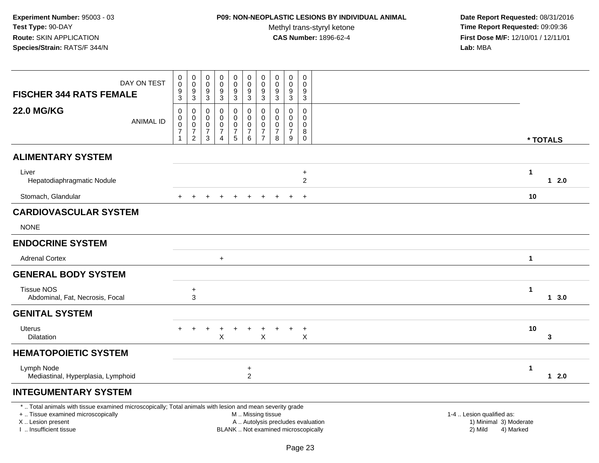# **P09: NON-NEOPLASTIC LESIONS BY INDIVIDUAL ANIMAL**

Methyl trans-styryl ketone<br>CAS Number: 1896-62-4

| DAY ON TEST<br><b>FISCHER 344 RATS FEMALE</b>                                                                                                                                                 | $\pmb{0}$<br>$\pmb{0}$<br>$\boldsymbol{9}$<br>$\overline{3}$          | $\pmb{0}$<br>$\pmb{0}$<br>9<br>$\sqrt{3}$                                        | $\mathbf 0$<br>$\mathbf 0$<br>9<br>$\ensuremath{\mathsf{3}}$             | 0<br>$\mathbf 0$<br>9<br>$\ensuremath{\mathsf{3}}$                           | 0<br>$\mathsf{O}\xspace$<br>$\overline{9}$<br>$\overline{3}$           | $\pmb{0}$<br>$\mathsf{O}\xspace$<br>$\boldsymbol{9}$<br>$\mathbf{3}$    | $\pmb{0}$<br>$\pmb{0}$<br>9<br>$\sqrt{3}$                                  | $\pmb{0}$<br>$\pmb{0}$<br>9<br>$\sqrt{3}$                                | $\pmb{0}$<br>$\mathbf 0$<br>9<br>$\sqrt{3}$                    | $\mathbf 0$<br>$\Omega$<br>9<br>$\mathbf{3}$             |                                                                |                        |
|-----------------------------------------------------------------------------------------------------------------------------------------------------------------------------------------------|-----------------------------------------------------------------------|----------------------------------------------------------------------------------|--------------------------------------------------------------------------|------------------------------------------------------------------------------|------------------------------------------------------------------------|-------------------------------------------------------------------------|----------------------------------------------------------------------------|--------------------------------------------------------------------------|----------------------------------------------------------------|----------------------------------------------------------|----------------------------------------------------------------|------------------------|
| <b>22.0 MG/KG</b><br><b>ANIMAL ID</b>                                                                                                                                                         | $\pmb{0}$<br>$\pmb{0}$<br>$\pmb{0}$<br>$\overline{7}$<br>$\mathbf{1}$ | $\Omega$<br>$\mathbf 0$<br>$\mathsf 0$<br>$\overline{\mathcal{I}}$<br>$\sqrt{2}$ | $\Omega$<br>$\mathbf 0$<br>$\mathbf 0$<br>$\overline{7}$<br>$\mathbf{3}$ | $\Omega$<br>$\mathbf 0$<br>$\mathbf 0$<br>$\boldsymbol{7}$<br>$\overline{4}$ | $\mathbf 0$<br>$\mathbf 0$<br>0<br>$\boldsymbol{7}$<br>$5\phantom{.0}$ | $\mathbf 0$<br>$\mathsf{O}$<br>$\pmb{0}$<br>$\boldsymbol{7}$<br>$\,6\,$ | $\Omega$<br>$\mathbf 0$<br>$\mathbf 0$<br>$\overline{7}$<br>$\overline{7}$ | $\mathbf{0}$<br>0<br>$\mathbf 0$<br>$\overline{7}$<br>$\bf8$             | $\Omega$<br>$\mathbf{0}$<br>$\mathbf 0$<br>$\overline{7}$<br>9 | 0<br>$\mathbf 0$<br>$\mathbf 0$<br>8<br>$\boldsymbol{0}$ |                                                                | * TOTALS               |
| <b>ALIMENTARY SYSTEM</b>                                                                                                                                                                      |                                                                       |                                                                                  |                                                                          |                                                                              |                                                                        |                                                                         |                                                                            |                                                                          |                                                                |                                                          |                                                                |                        |
| Liver<br>Hepatodiaphragmatic Nodule                                                                                                                                                           |                                                                       |                                                                                  |                                                                          |                                                                              |                                                                        |                                                                         |                                                                            |                                                                          |                                                                | $\ddot{}$<br>$\overline{2}$                              |                                                                | $\mathbf{1}$<br>$12.0$ |
| Stomach, Glandular                                                                                                                                                                            |                                                                       |                                                                                  |                                                                          |                                                                              |                                                                        |                                                                         |                                                                            |                                                                          |                                                                | $+$                                                      |                                                                | 10                     |
| <b>CARDIOVASCULAR SYSTEM</b><br><b>NONE</b>                                                                                                                                                   |                                                                       |                                                                                  |                                                                          |                                                                              |                                                                        |                                                                         |                                                                            |                                                                          |                                                                |                                                          |                                                                |                        |
| <b>ENDOCRINE SYSTEM</b>                                                                                                                                                                       |                                                                       |                                                                                  |                                                                          |                                                                              |                                                                        |                                                                         |                                                                            |                                                                          |                                                                |                                                          |                                                                |                        |
| <b>Adrenal Cortex</b>                                                                                                                                                                         |                                                                       |                                                                                  |                                                                          | $+$                                                                          |                                                                        |                                                                         |                                                                            |                                                                          |                                                                |                                                          |                                                                | $\mathbf{1}$           |
| <b>GENERAL BODY SYSTEM</b>                                                                                                                                                                    |                                                                       |                                                                                  |                                                                          |                                                                              |                                                                        |                                                                         |                                                                            |                                                                          |                                                                |                                                          |                                                                |                        |
| <b>Tissue NOS</b><br>Abdominal, Fat, Necrosis, Focal                                                                                                                                          |                                                                       | $\ddot{}$<br>3                                                                   |                                                                          |                                                                              |                                                                        |                                                                         |                                                                            |                                                                          |                                                                |                                                          |                                                                | $\mathbf{1}$<br>13.0   |
| <b>GENITAL SYSTEM</b>                                                                                                                                                                         |                                                                       |                                                                                  |                                                                          |                                                                              |                                                                        |                                                                         |                                                                            |                                                                          |                                                                |                                                          |                                                                |                        |
| Uterus<br>Dilatation                                                                                                                                                                          | $+$                                                                   | $\pm$                                                                            | $\ddot{}$                                                                | X                                                                            | $\ddot{}$                                                              | $\ddot{}$                                                               | $\ddot{}$<br>$\mathsf{X}$                                                  | $\ddot{}$                                                                | $\ddot{}$                                                      | $\ddot{}$<br>X                                           |                                                                | 10<br>3                |
| <b>HEMATOPOIETIC SYSTEM</b>                                                                                                                                                                   |                                                                       |                                                                                  |                                                                          |                                                                              |                                                                        |                                                                         |                                                                            |                                                                          |                                                                |                                                          |                                                                |                        |
| Lymph Node<br>Mediastinal, Hyperplasia, Lymphoid                                                                                                                                              |                                                                       |                                                                                  |                                                                          |                                                                              |                                                                        | $\ddot{}$<br>$\overline{2}$                                             |                                                                            |                                                                          |                                                                |                                                          |                                                                | 1<br>$12.0$            |
| <b>INTEGUMENTARY SYSTEM</b>                                                                                                                                                                   |                                                                       |                                                                                  |                                                                          |                                                                              |                                                                        |                                                                         |                                                                            |                                                                          |                                                                |                                                          |                                                                |                        |
| *  Total animals with tissue examined microscopically; Total animals with lesion and mean severity grade<br>+  Tissue examined microscopically<br>X  Lesion present<br>I. Insufficient tissue |                                                                       |                                                                                  |                                                                          |                                                                              |                                                                        | M  Missing tissue                                                       |                                                                            | A  Autolysis precludes evaluation<br>BLANK  Not examined microscopically |                                                                |                                                          | 1-4  Lesion qualified as:<br>1) Minimal 3) Moderate<br>2) Mild | 4) Marked              |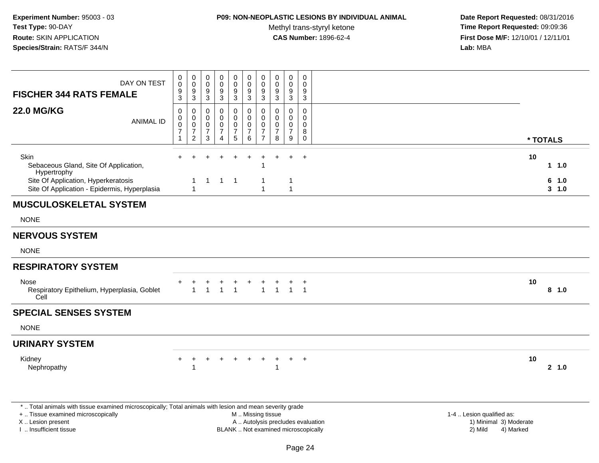## **P09: NON-NEOPLASTIC LESIONS BY INDIVIDUAL ANIMAL**

Methyl trans-styryl ketone<br>CAS Number: 1896-62-4

 **Date Report Requested:** 08/31/2016 **Time Report Requested:** 09:09:36 **First Dose M/F:** 12/10/01 / 12/11/01<br>**Lab:** MBA **Lab:** MBA

| DAY ON TEST<br><b>FISCHER 344 RATS FEMALE</b>                                                                                                                       | $_{\rm 0}^{\rm 0}$<br>$\frac{9}{3}$                                    | $\pmb{0}$<br>$\mathbf 0$<br>$\frac{9}{3}$                                               | 0<br>$\mathbf 0$<br>9<br>3                   | 0<br>$\mathsf 0$<br>$\frac{9}{3}$              | 0<br>$\ddot{\mathbf{0}}$<br>$\frac{9}{3}$                      | 0<br>$\boldsymbol{0}$<br>$\frac{9}{3}$         | $\pmb{0}$<br>$\pmb{0}$<br>$\boldsymbol{9}$<br>$\sqrt{3}$                  | 0<br>$\mathbf 0$<br>9<br>$\mathbf{3}$     | $\mathbf 0$<br>$\mathbf 0$<br>9<br>3                | 0<br>$\mathbf 0$<br>9<br>$\mathbf{3}$                       |                                                                                          |
|---------------------------------------------------------------------------------------------------------------------------------------------------------------------|------------------------------------------------------------------------|-----------------------------------------------------------------------------------------|----------------------------------------------|------------------------------------------------|----------------------------------------------------------------|------------------------------------------------|---------------------------------------------------------------------------|-------------------------------------------|-----------------------------------------------------|-------------------------------------------------------------|------------------------------------------------------------------------------------------|
| <b>22.0 MG/KG</b><br><b>ANIMAL ID</b>                                                                                                                               | $\pmb{0}$<br>$\mathsf{O}\xspace$<br>$\mathbf 0$<br>$\overline{7}$<br>1 | $\mathbf 0$<br>$\mathbf 0$<br>$\mathsf{O}\xspace$<br>$\boldsymbol{7}$<br>$\overline{2}$ | 0<br>$\mathbf 0$<br>0<br>$\overline{7}$<br>3 | 0<br>$\mathbf 0$<br>0<br>$\boldsymbol{7}$<br>4 | $\mathsf 0$<br>$\mathbf 0$<br>$\pmb{0}$<br>$\overline{7}$<br>5 | 0<br>0<br>$\mathsf 0$<br>$\boldsymbol{7}$<br>6 | $\mathbf 0$<br>$\pmb{0}$<br>$\pmb{0}$<br>$\overline{7}$<br>$\overline{7}$ | 0<br>$\Omega$<br>0<br>$\overline{7}$<br>8 | $\mathbf 0$<br>$\Omega$<br>0<br>$\overline{7}$<br>9 | $\mathbf 0$<br>$\mathbf 0$<br>0<br>8<br>$\mathsf{O}\xspace$ | * TOTALS                                                                                 |
| Skin<br>Sebaceous Gland, Site Of Application,<br>Hypertrophy                                                                                                        | $+$                                                                    |                                                                                         |                                              |                                                | $\ddot{}$                                                      | $\div$                                         | 1                                                                         | $\ddot{}$                                 | $\pm$                                               | $\ddot{}$                                                   | 10<br>11.0                                                                               |
| Site Of Application, Hyperkeratosis<br>Site Of Application - Epidermis, Hyperplasia                                                                                 |                                                                        | 1<br>$\mathbf{1}$                                                                       |                                              | $1 \quad 1 \quad 1$                            |                                                                |                                                | -1<br>$\overline{1}$                                                      |                                           | -1<br>$\mathbf{1}$                                  |                                                             | 6<br>1.0<br>$3 - 1.0$                                                                    |
| <b>MUSCULOSKELETAL SYSTEM</b>                                                                                                                                       |                                                                        |                                                                                         |                                              |                                                |                                                                |                                                |                                                                           |                                           |                                                     |                                                             |                                                                                          |
| <b>NONE</b>                                                                                                                                                         |                                                                        |                                                                                         |                                              |                                                |                                                                |                                                |                                                                           |                                           |                                                     |                                                             |                                                                                          |
| <b>NERVOUS SYSTEM</b>                                                                                                                                               |                                                                        |                                                                                         |                                              |                                                |                                                                |                                                |                                                                           |                                           |                                                     |                                                             |                                                                                          |
| <b>NONE</b>                                                                                                                                                         |                                                                        |                                                                                         |                                              |                                                |                                                                |                                                |                                                                           |                                           |                                                     |                                                             |                                                                                          |
| <b>RESPIRATORY SYSTEM</b>                                                                                                                                           |                                                                        |                                                                                         |                                              |                                                |                                                                |                                                |                                                                           |                                           |                                                     |                                                             |                                                                                          |
| Nose<br>Respiratory Epithelium, Hyperplasia, Goblet<br>Cell                                                                                                         |                                                                        | $\mathbf{1}$                                                                            | $\blacktriangleleft$                         | $\mathbf 1$                                    | $\overline{1}$                                                 |                                                | $\overline{1}$                                                            | $\mathbf{1}$                              |                                                     | $\pm$<br>$1 \quad 1$                                        | 10<br>8 1.0                                                                              |
| <b>SPECIAL SENSES SYSTEM</b>                                                                                                                                        |                                                                        |                                                                                         |                                              |                                                |                                                                |                                                |                                                                           |                                           |                                                     |                                                             |                                                                                          |
| <b>NONE</b>                                                                                                                                                         |                                                                        |                                                                                         |                                              |                                                |                                                                |                                                |                                                                           |                                           |                                                     |                                                             |                                                                                          |
| <b>URINARY SYSTEM</b>                                                                                                                                               |                                                                        |                                                                                         |                                              |                                                |                                                                |                                                |                                                                           |                                           |                                                     |                                                             |                                                                                          |
| Kidney<br>Nephropathy                                                                                                                                               | $\ddot{}$                                                              | $\ddot{}$<br>1                                                                          |                                              |                                                | $\div$                                                         | $\ddot{}$                                      | $\ddot{}$                                                                 | $\ddot{}$<br>1                            | $+$                                                 | $^{+}$                                                      | 10<br>2, 1.0                                                                             |
| *  Total animals with tissue examined microscopically; Total animals with lesion and mean severity grade<br>+  Tissue examined microscopically<br>X  Lesion present |                                                                        |                                                                                         |                                              |                                                |                                                                | M  Missing tissue                              |                                                                           |                                           |                                                     |                                                             | 1-4  Lesion qualified as:<br>A  Autolysis precludes evaluation<br>1) Minimal 3) Moderate |

I .. Insufficient tissue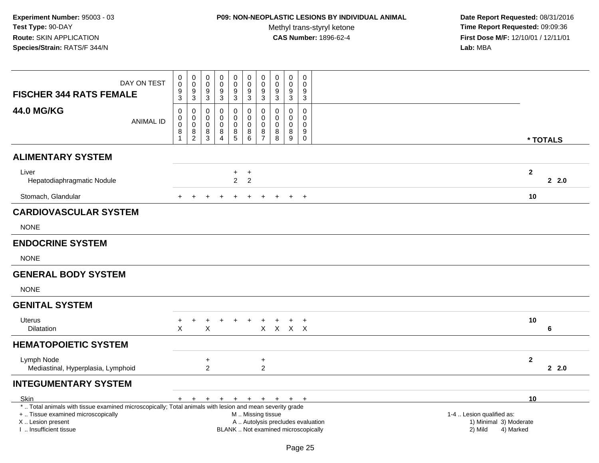## **P09: NON-NEOPLASTIC LESIONS BY INDIVIDUAL ANIMAL**

Methyl trans-styryl ketone<br>CAS Number: 1896-62-4

| DAY ON TEST<br><b>FISCHER 344 RATS FEMALE</b>                                                                                                  | 0<br>0<br>9                                              | $\mathbf 0$<br>$\overline{0}$<br>$\boldsymbol{9}$          | 0<br>$\mathbf 0$<br>9                                  | 0<br>$\mathbf 0$<br>$\boldsymbol{9}$                        | $\boldsymbol{0}$<br>$\ddot{\mathbf{0}}$           | 0<br>$\mathbf 0$                                                         | $\pmb{0}$<br>$\overline{0}$<br>$\boldsymbol{9}$          | $\mathbf 0$<br>$\mathbf 0$<br>9 | $\mathbf 0$<br>0<br>$\boldsymbol{9}$                 | 0<br>$\Omega$<br>9                         |                                                |                     |
|------------------------------------------------------------------------------------------------------------------------------------------------|----------------------------------------------------------|------------------------------------------------------------|--------------------------------------------------------|-------------------------------------------------------------|---------------------------------------------------|--------------------------------------------------------------------------|----------------------------------------------------------|---------------------------------|------------------------------------------------------|--------------------------------------------|------------------------------------------------|---------------------|
|                                                                                                                                                | $\overline{3}$                                           | $\overline{3}$                                             | $\mathbf{3}$                                           | $\sqrt{3}$                                                  | $\frac{9}{3}$                                     | $\frac{9}{3}$                                                            | $\sqrt{3}$                                               | $\sqrt{3}$                      | $\mathbf{3}$                                         | 3                                          |                                                |                     |
| <b>44.0 MG/KG</b><br><b>ANIMAL ID</b>                                                                                                          | $\pmb{0}$<br>0<br>$\mathbf 0$<br>$\bf 8$<br>$\mathbf{1}$ | $\mathbf 0$<br>$\mathbf 0$<br>$\mathbf 0$<br>$\frac{8}{2}$ | 0<br>$\mathbf 0$<br>$\mathbf 0$<br>8<br>$\mathfrak{S}$ | 0<br>$\Omega$<br>$\mathbf 0$<br>8<br>$\boldsymbol{\Lambda}$ | $\mathbf 0$<br>$\mathbf 0$<br>$\pmb{0}$<br>$^8$ 5 | 0<br>$\mathbf 0$<br>$\mathbf 0$<br>$_{6}^{8}$                            | $\pmb{0}$<br>$\mathbf 0$<br>$\mathbf 0$<br>$\frac{8}{7}$ | 0<br>$\Omega$<br>0<br>8<br>8    | $\mathbf 0$<br>$\Omega$<br>$\mathbf 0$<br>8<br>$9\,$ | 0<br>$\mathbf{0}$<br>0<br>9<br>$\mathbf 0$ |                                                | * TOTALS            |
| <b>ALIMENTARY SYSTEM</b>                                                                                                                       |                                                          |                                                            |                                                        |                                                             |                                                   |                                                                          |                                                          |                                 |                                                      |                                            |                                                |                     |
| Liver<br>Hepatodiaphragmatic Nodule                                                                                                            |                                                          |                                                            |                                                        |                                                             | $+$<br>$\overline{2}$                             | $\ddot{}$<br>$\overline{2}$                                              |                                                          |                                 |                                                      |                                            |                                                | $\mathbf{2}$<br>2.0 |
| Stomach, Glandular                                                                                                                             |                                                          |                                                            |                                                        |                                                             |                                                   |                                                                          |                                                          |                                 | $+$                                                  | $+$                                        |                                                | 10                  |
| <b>CARDIOVASCULAR SYSTEM</b>                                                                                                                   |                                                          |                                                            |                                                        |                                                             |                                                   |                                                                          |                                                          |                                 |                                                      |                                            |                                                |                     |
| <b>NONE</b>                                                                                                                                    |                                                          |                                                            |                                                        |                                                             |                                                   |                                                                          |                                                          |                                 |                                                      |                                            |                                                |                     |
| <b>ENDOCRINE SYSTEM</b>                                                                                                                        |                                                          |                                                            |                                                        |                                                             |                                                   |                                                                          |                                                          |                                 |                                                      |                                            |                                                |                     |
| <b>NONE</b>                                                                                                                                    |                                                          |                                                            |                                                        |                                                             |                                                   |                                                                          |                                                          |                                 |                                                      |                                            |                                                |                     |
| <b>GENERAL BODY SYSTEM</b>                                                                                                                     |                                                          |                                                            |                                                        |                                                             |                                                   |                                                                          |                                                          |                                 |                                                      |                                            |                                                |                     |
| <b>NONE</b>                                                                                                                                    |                                                          |                                                            |                                                        |                                                             |                                                   |                                                                          |                                                          |                                 |                                                      |                                            |                                                |                     |
| <b>GENITAL SYSTEM</b>                                                                                                                          |                                                          |                                                            |                                                        |                                                             |                                                   |                                                                          |                                                          |                                 |                                                      |                                            |                                                |                     |
| <b>Uterus</b><br><b>Dilatation</b>                                                                                                             | $\ddot{}$<br>X                                           | $\ddot{}$                                                  | $\ddot{}$<br>X                                         | $+$                                                         | $+$                                               | $+$                                                                      | $\ddot{}$                                                | $\ddot{}$<br>X X X X            | $+$                                                  | $+$                                        |                                                | 10<br>6             |
| <b>HEMATOPOIETIC SYSTEM</b>                                                                                                                    |                                                          |                                                            |                                                        |                                                             |                                                   |                                                                          |                                                          |                                 |                                                      |                                            |                                                |                     |
| Lymph Node<br>Mediastinal, Hyperplasia, Lymphoid                                                                                               |                                                          |                                                            | $\ddot{}$<br>$\overline{2}$                            |                                                             |                                                   |                                                                          | $\ddot{}$<br>$\overline{2}$                              |                                 |                                                      |                                            |                                                | $\mathbf{2}$<br>2.0 |
| <b>INTEGUMENTARY SYSTEM</b>                                                                                                                    |                                                          |                                                            |                                                        |                                                             |                                                   |                                                                          |                                                          |                                 |                                                      |                                            |                                                |                     |
| Skin                                                                                                                                           |                                                          | $+$ $+$                                                    |                                                        | $+$ $+$ $+$                                                 |                                                   | + + + + +                                                                |                                                          |                                 |                                                      |                                            |                                                | 10                  |
| *  Total animals with tissue examined microscopically; Total animals with lesion and mean severity grade<br>+  Tissue examined microscopically |                                                          |                                                            |                                                        |                                                             |                                                   | M  Missing tissue                                                        |                                                          |                                 |                                                      |                                            | 1-4  Lesion qualified as:                      |                     |
| X  Lesion present<br>I  Insufficient tissue                                                                                                    |                                                          |                                                            |                                                        |                                                             |                                                   | A  Autolysis precludes evaluation<br>BLANK  Not examined microscopically |                                                          |                                 |                                                      |                                            | 1) Minimal 3) Moderate<br>2) Mild<br>4) Marked |                     |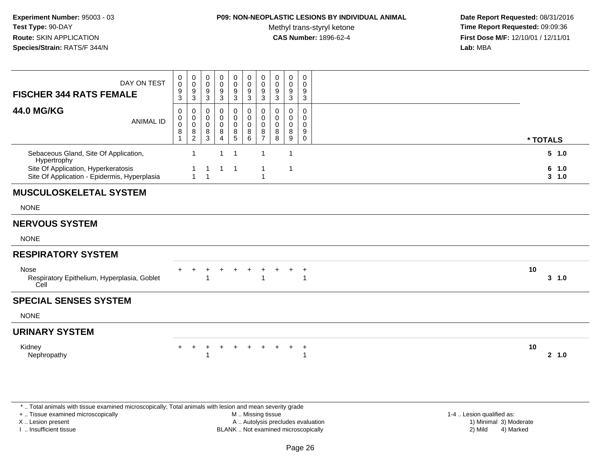## **P09: NON-NEOPLASTIC LESIONS BY INDIVIDUAL ANIMAL**

Methyl trans-styryl ketone<br>CAS Number: 1896-62-4

 **Date Report Requested:** 08/31/2016 **Time Report Requested:** 09:09:36 **First Dose M/F:** 12/10/01 / 12/11/01<br>**Lab:** MBA **Lab:** MBA

| DAY ON TEST<br><b>FISCHER 344 RATS FEMALE</b>                                       | 0<br>$\boldsymbol{0}$<br>$\frac{9}{3}$                   | $\begin{smallmatrix} 0\\0 \end{smallmatrix}$<br>$\frac{9}{3}$ | 0<br>$\mathbf 0$<br>9<br>$\mathsf 3$      | $\mathbf 0$<br>$\overline{0}$<br>$^9_3$                        | $\mathbf 0$<br>$\pmb{0}$<br>9<br>$\mathbf{3}$          | $\mathbf 0$<br>$\pmb{0}$<br>9<br>$\sqrt{3}$         | 0<br>0<br>9<br>3                                 | $\pmb{0}$<br>$\pmb{0}$<br>9<br>$\sqrt{3}$ | $\mathbf 0$<br>0<br>9<br>$\overline{3}$   | 0<br>0<br>9<br>$\mathbf{3}$                            |                    |
|-------------------------------------------------------------------------------------|----------------------------------------------------------|---------------------------------------------------------------|-------------------------------------------|----------------------------------------------------------------|--------------------------------------------------------|-----------------------------------------------------|--------------------------------------------------|-------------------------------------------|-------------------------------------------|--------------------------------------------------------|--------------------|
| <b>44.0 MG/KG</b><br><b>ANIMAL ID</b>                                               | $\mathbf 0$<br>0<br>0<br>$\bf 8$<br>$\blacktriangleleft$ | 0<br>$\boldsymbol{0}$<br>$\mathbf 0$<br>$\frac{8}{2}$         | $\mathbf 0$<br>0<br>$\mathbf 0$<br>8<br>3 | $\mathbf 0$<br>$\pmb{0}$<br>$\mathbf 0$<br>8<br>$\overline{4}$ | $\mathbf 0$<br>0<br>$\mathbf 0$<br>8<br>$\overline{5}$ | $\mathbf 0$<br>$\mathbf 0$<br>$\mathbf 0$<br>8<br>6 | $\Omega$<br>0<br>$\Omega$<br>8<br>$\overline{7}$ | $\Omega$<br>0<br>$\Omega$<br>8<br>8       | $\mathbf 0$<br>0<br>$\mathbf 0$<br>8<br>9 | $\mathbf 0$<br>0<br>$\mathbf 0$<br>9<br>$\overline{0}$ | * TOTALS           |
| Sebaceous Gland, Site Of Application,<br>Hypertrophy                                |                                                          | $\mathbf 1$                                                   |                                           | $\overline{1}$                                                 | $\overline{1}$                                         |                                                     | $\mathbf{1}$                                     |                                           | $\mathbf{1}$                              |                                                        | 5 1.0              |
| Site Of Application, Hyperkeratosis<br>Site Of Application - Epidermis, Hyperplasia |                                                          | 1<br>$\mathbf{1}$                                             | $\mathbf 1$<br>$\mathbf{1}$               | $\mathbf{1}$                                                   | $\overline{\phantom{0}}$                               |                                                     | $\mathbf{1}$<br>$\mathbf{1}$                     |                                           | $\mathbf{1}$                              |                                                        | 6 1.0<br>$3 - 1.0$ |
| <b>MUSCULOSKELETAL SYSTEM</b>                                                       |                                                          |                                                               |                                           |                                                                |                                                        |                                                     |                                                  |                                           |                                           |                                                        |                    |
| <b>NONE</b>                                                                         |                                                          |                                                               |                                           |                                                                |                                                        |                                                     |                                                  |                                           |                                           |                                                        |                    |
| <b>NERVOUS SYSTEM</b>                                                               |                                                          |                                                               |                                           |                                                                |                                                        |                                                     |                                                  |                                           |                                           |                                                        |                    |
| <b>NONE</b>                                                                         |                                                          |                                                               |                                           |                                                                |                                                        |                                                     |                                                  |                                           |                                           |                                                        |                    |
| <b>RESPIRATORY SYSTEM</b>                                                           |                                                          |                                                               |                                           |                                                                |                                                        |                                                     |                                                  |                                           |                                           |                                                        |                    |
| Nose<br>Respiratory Epithelium, Hyperplasia, Goblet<br>Cell                         |                                                          |                                                               |                                           |                                                                | $\ddot{}$                                              |                                                     | 1                                                |                                           | $\div$                                    | $\ddot{}$<br>$\overline{1}$                            | 10<br>3, 1.0       |
| <b>SPECIAL SENSES SYSTEM</b>                                                        |                                                          |                                                               |                                           |                                                                |                                                        |                                                     |                                                  |                                           |                                           |                                                        |                    |
| <b>NONE</b>                                                                         |                                                          |                                                               |                                           |                                                                |                                                        |                                                     |                                                  |                                           |                                           |                                                        |                    |
| <b>URINARY SYSTEM</b>                                                               |                                                          |                                                               |                                           |                                                                |                                                        |                                                     |                                                  |                                           |                                           |                                                        |                    |
| Kidney<br>Nephropathy                                                               | $+$                                                      | $+$                                                           | +                                         |                                                                | $+$                                                    | $+$                                                 | $+$                                              | $+$                                       | $+$                                       | $+$                                                    | 10<br>2, 1.0       |
|                                                                                     |                                                          |                                                               |                                           |                                                                |                                                        |                                                     |                                                  |                                           |                                           |                                                        |                    |

\* .. Total animals with tissue examined microscopically; Total animals with lesion and mean severity grade

+ .. Tissue examined microscopically

X .. Lesion present

I .. Insufficient tissue

 M .. Missing tissueA .. Autolysis precludes evaluation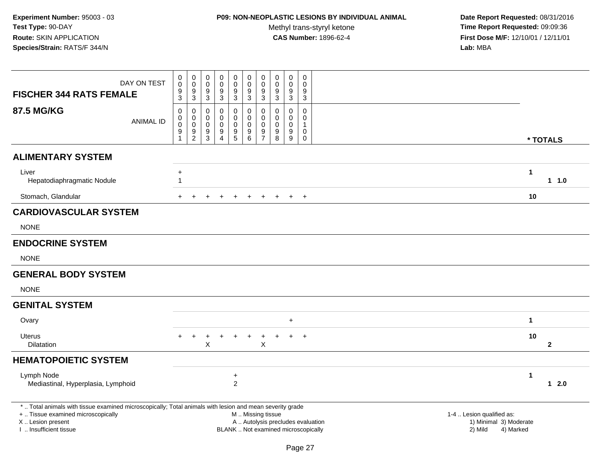# **P09: NON-NEOPLASTIC LESIONS BY INDIVIDUAL ANIMAL**

Methyl trans-styryl ketone<br>CAS Number: 1896-62-4

| <b>FISCHER 344 RATS FEMALE</b>                                                                           | DAY ON TEST      | $\begin{smallmatrix}0\\0\end{smallmatrix}$<br>9<br>3 | $_{\rm 0}^{\rm 0}$<br>$\frac{9}{3}$                                   | $\boldsymbol{0}$<br>$\boldsymbol{0}$<br>9<br>$\mathbf{3}$  | $\mathbf 0$<br>$\mathbf 0$<br>$\boldsymbol{9}$<br>3    | $\pmb{0}$<br>$\boldsymbol{0}$<br>$\overline{9}$<br>$\mathbf{3}$         | $\begin{smallmatrix}0\0\0\end{smallmatrix}$<br>$\overline{9}$<br>$\mathbf{3}$ | $\pmb{0}$<br>$\mathbf 0$<br>$\boldsymbol{9}$<br>$\mathbf{3}$               | $\pmb{0}$<br>$\pmb{0}$<br>$\boldsymbol{9}$<br>$\mathbf{3}$               | $\pmb{0}$<br>$\mathbf 0$<br>$\boldsymbol{9}$<br>$\mathbf{3}$       | $\pmb{0}$<br>$\mathbf 0$<br>$\boldsymbol{9}$<br>3                 |                                                                             |              |              |
|----------------------------------------------------------------------------------------------------------|------------------|------------------------------------------------------|-----------------------------------------------------------------------|------------------------------------------------------------|--------------------------------------------------------|-------------------------------------------------------------------------|-------------------------------------------------------------------------------|----------------------------------------------------------------------------|--------------------------------------------------------------------------|--------------------------------------------------------------------|-------------------------------------------------------------------|-----------------------------------------------------------------------------|--------------|--------------|
| <b>87.5 MG/KG</b>                                                                                        | <b>ANIMAL ID</b> | $\mathbf 0$<br>0<br>$\mathbf 0$<br>$9\,$<br>1        | $\mathbf 0$<br>$\mathsf{O}\xspace$<br>$\overline{0}$<br>$\frac{9}{2}$ | $\mathbf 0$<br>$\mathbf 0$<br>$\mathbf 0$<br>$\frac{9}{3}$ | 0<br>$\mathbf 0$<br>$\mathbf 0$<br>9<br>$\overline{4}$ | 0<br>$\mathsf{O}$<br>$\pmb{0}$<br>$\begin{array}{c} 9 \\ 5 \end{array}$ | 0<br>0<br>$\mathbf 0$<br>$\frac{9}{6}$                                        | $\mathbf 0$<br>$\mathsf{O}\xspace$<br>$\mathsf{O}\xspace$<br>$\frac{9}{7}$ | 0<br>$\mathbf 0$<br>$\mathbf 0$<br>$_{\rm 8}^{\rm 9}$                    | $\mathbf 0$<br>$\mathbf 0$<br>$\mathbf 0$<br>$\boldsymbol{9}$<br>9 | 0<br>$\mathbf 0$<br>$\mathbf{1}$<br>$\boldsymbol{0}$<br>$\pmb{0}$ |                                                                             | * TOTALS     |              |
| <b>ALIMENTARY SYSTEM</b>                                                                                 |                  |                                                      |                                                                       |                                                            |                                                        |                                                                         |                                                                               |                                                                            |                                                                          |                                                                    |                                                                   |                                                                             |              |              |
| Liver<br>Hepatodiaphragmatic Nodule                                                                      |                  | $\ddot{}$<br>$\mathbf{1}$                            |                                                                       |                                                            |                                                        |                                                                         |                                                                               |                                                                            |                                                                          |                                                                    |                                                                   |                                                                             | $\mathbf{1}$ | $1 1.0$      |
| Stomach, Glandular                                                                                       |                  |                                                      |                                                                       |                                                            |                                                        | $\ddot{}$                                                               | $+$                                                                           | $+$                                                                        | $+$                                                                      | $+$ $+$                                                            |                                                                   |                                                                             | 10           |              |
| <b>CARDIOVASCULAR SYSTEM</b>                                                                             |                  |                                                      |                                                                       |                                                            |                                                        |                                                                         |                                                                               |                                                                            |                                                                          |                                                                    |                                                                   |                                                                             |              |              |
| <b>NONE</b>                                                                                              |                  |                                                      |                                                                       |                                                            |                                                        |                                                                         |                                                                               |                                                                            |                                                                          |                                                                    |                                                                   |                                                                             |              |              |
| <b>ENDOCRINE SYSTEM</b>                                                                                  |                  |                                                      |                                                                       |                                                            |                                                        |                                                                         |                                                                               |                                                                            |                                                                          |                                                                    |                                                                   |                                                                             |              |              |
| <b>NONE</b>                                                                                              |                  |                                                      |                                                                       |                                                            |                                                        |                                                                         |                                                                               |                                                                            |                                                                          |                                                                    |                                                                   |                                                                             |              |              |
| <b>GENERAL BODY SYSTEM</b>                                                                               |                  |                                                      |                                                                       |                                                            |                                                        |                                                                         |                                                                               |                                                                            |                                                                          |                                                                    |                                                                   |                                                                             |              |              |
| <b>NONE</b>                                                                                              |                  |                                                      |                                                                       |                                                            |                                                        |                                                                         |                                                                               |                                                                            |                                                                          |                                                                    |                                                                   |                                                                             |              |              |
| <b>GENITAL SYSTEM</b>                                                                                    |                  |                                                      |                                                                       |                                                            |                                                        |                                                                         |                                                                               |                                                                            |                                                                          |                                                                    |                                                                   |                                                                             |              |              |
| Ovary                                                                                                    |                  |                                                      |                                                                       |                                                            |                                                        |                                                                         |                                                                               |                                                                            |                                                                          | $\ddot{}$                                                          |                                                                   |                                                                             | $\mathbf{1}$ |              |
| <b>Uterus</b><br><b>Dilatation</b>                                                                       |                  |                                                      |                                                                       | X                                                          |                                                        |                                                                         | +                                                                             | $\ddot{}$<br>$\boldsymbol{\mathsf{X}}$                                     |                                                                          |                                                                    | $+$                                                               |                                                                             | 10           | $\mathbf{2}$ |
| <b>HEMATOPOIETIC SYSTEM</b>                                                                              |                  |                                                      |                                                                       |                                                            |                                                        |                                                                         |                                                                               |                                                                            |                                                                          |                                                                    |                                                                   |                                                                             |              |              |
| Lymph Node<br>Mediastinal, Hyperplasia, Lymphoid                                                         |                  |                                                      |                                                                       |                                                            |                                                        | $\ddot{}$<br>$\overline{c}$                                             |                                                                               |                                                                            |                                                                          |                                                                    |                                                                   |                                                                             | 1            | $12.0$       |
| *  Total animals with tissue examined microscopically; Total animals with lesion and mean severity grade |                  |                                                      |                                                                       |                                                            |                                                        |                                                                         |                                                                               |                                                                            |                                                                          |                                                                    |                                                                   |                                                                             |              |              |
| +  Tissue examined microscopically<br>X  Lesion present<br>I  Insufficient tissue                        |                  |                                                      |                                                                       |                                                            |                                                        |                                                                         | M  Missing tissue                                                             |                                                                            | A  Autolysis precludes evaluation<br>BLANK  Not examined microscopically |                                                                    |                                                                   | 1-4  Lesion qualified as:<br>1) Minimal 3) Moderate<br>2) Mild<br>4) Marked |              |              |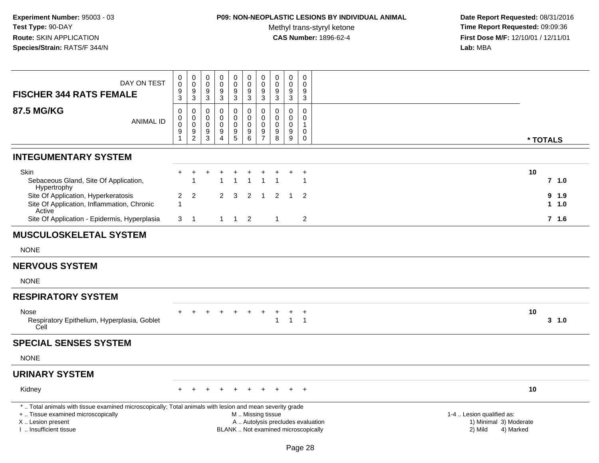# **P09: NON-NEOPLASTIC LESIONS BY INDIVIDUAL ANIMAL**

Methyl trans-styryl ketone<br>CAS Number: 1896-62-4

| DAY ON TEST<br><b>FISCHER 344 RATS FEMALE</b>                                                                                                                                                | 0<br>$\pmb{0}$<br>$\frac{9}{3}$                                             | 0<br>$\mathsf 0$<br>9<br>$\sqrt{3}$                              | $\mathbf 0$<br>$\mathbf 0$<br>9<br>$\ensuremath{\mathsf{3}}$ | $\mathbf 0$<br>$\pmb{0}$<br>9<br>$\sqrt{3}$            | 0<br>$\mathsf{O}\xspace$<br>9<br>$\mathbf{3}$                   | $\pmb{0}$<br>$\mathsf{O}\xspace$<br>9<br>$\mathbf{3}$ | $\pmb{0}$<br>$\pmb{0}$<br>9<br>$\mathfrak{Z}$    | $\mathbf 0$<br>$\pmb{0}$<br>9<br>$\sqrt{3}$                              | 0<br>$\mathbf 0$<br>$9\,$<br>$\sqrt{3}$                   | $\mathbf 0$<br>$\mathbf 0$<br>$9\,$<br>$\sqrt{3}$            |                                                                             |
|----------------------------------------------------------------------------------------------------------------------------------------------------------------------------------------------|-----------------------------------------------------------------------------|------------------------------------------------------------------|--------------------------------------------------------------|--------------------------------------------------------|-----------------------------------------------------------------|-------------------------------------------------------|--------------------------------------------------|--------------------------------------------------------------------------|-----------------------------------------------------------|--------------------------------------------------------------|-----------------------------------------------------------------------------|
| <b>87.5 MG/KG</b><br><b>ANIMAL ID</b>                                                                                                                                                        | $\mathbf 0$<br>0<br>$\mathsf{O}\xspace$<br>$\boldsymbol{9}$<br>$\mathbf{1}$ | $\mathbf 0$<br>$\mathbf 0$<br>$\mathbf 0$<br>9<br>$\overline{2}$ | 0<br>0<br>$\Omega$<br>9<br>$\mathsf 3$                       | 0<br>$\mathbf 0$<br>$\mathbf 0$<br>9<br>$\overline{4}$ | 0<br>0<br>$\mathsf{O}$<br>$\begin{array}{c} 9 \\ 5 \end{array}$ | 0<br>$\mathsf{O}$<br>$\pmb{0}$<br>$^9$ 6              | $\mathbf 0$<br>$\mathbf 0$<br>0<br>$\frac{9}{7}$ | $\mathbf 0$<br>0<br>$\mathbf 0$<br>9<br>8                                | $\Omega$<br>$\mathbf 0$<br>$\mathbf{0}$<br>$9\,$<br>$9\,$ | 0<br>$\mathbf 0$<br>$\mathbf{1}$<br>$\mathbf 0$<br>$\pmb{0}$ | * TOTALS                                                                    |
| <b>INTEGUMENTARY SYSTEM</b>                                                                                                                                                                  |                                                                             |                                                                  |                                                              |                                                        |                                                                 |                                                       |                                                  |                                                                          |                                                           |                                                              |                                                                             |
| Skin<br>Sebaceous Gland, Site Of Application,<br>Hypertrophy                                                                                                                                 |                                                                             |                                                                  |                                                              |                                                        |                                                                 | $\overline{1}$                                        | $\overline{1}$                                   |                                                                          |                                                           | $\mathbf{1}$                                                 | 10<br>$7$ 1.0                                                               |
| Site Of Application, Hyperkeratosis<br>Site Of Application, Inflammation, Chronic<br>Active                                                                                                  | $\overline{2}$<br>1                                                         | 2                                                                |                                                              | 2                                                      | 3                                                               | 2                                                     | $\overline{1}$                                   | 2                                                                        | -1                                                        | 2                                                            | 9 1.9<br>1 1.0                                                              |
| Site Of Application - Epidermis, Hyperplasia                                                                                                                                                 | 3                                                                           | $\overline{1}$                                                   |                                                              | $\mathbf{1}$                                           | $1\quad 2$                                                      |                                                       |                                                  | $\mathbf{1}$                                                             |                                                           | $\overline{\mathbf{c}}$                                      | $7$ 1.6                                                                     |
| <b>MUSCULOSKELETAL SYSTEM</b>                                                                                                                                                                |                                                                             |                                                                  |                                                              |                                                        |                                                                 |                                                       |                                                  |                                                                          |                                                           |                                                              |                                                                             |
| <b>NONE</b>                                                                                                                                                                                  |                                                                             |                                                                  |                                                              |                                                        |                                                                 |                                                       |                                                  |                                                                          |                                                           |                                                              |                                                                             |
| <b>NERVOUS SYSTEM</b>                                                                                                                                                                        |                                                                             |                                                                  |                                                              |                                                        |                                                                 |                                                       |                                                  |                                                                          |                                                           |                                                              |                                                                             |
| <b>NONE</b>                                                                                                                                                                                  |                                                                             |                                                                  |                                                              |                                                        |                                                                 |                                                       |                                                  |                                                                          |                                                           |                                                              |                                                                             |
| <b>RESPIRATORY SYSTEM</b>                                                                                                                                                                    |                                                                             |                                                                  |                                                              |                                                        |                                                                 |                                                       |                                                  |                                                                          |                                                           |                                                              |                                                                             |
| Nose<br>Respiratory Epithelium, Hyperplasia, Goblet<br>Cell                                                                                                                                  |                                                                             |                                                                  |                                                              |                                                        | $\ddot{}$                                                       | $\ddot{}$                                             | $\ddot{}$                                        | +<br>1                                                                   | $\pm$<br>$\overline{1}$                                   | $\overline{+}$<br>$\overline{1}$                             | 10<br>$3 - 1.0$                                                             |
| <b>SPECIAL SENSES SYSTEM</b>                                                                                                                                                                 |                                                                             |                                                                  |                                                              |                                                        |                                                                 |                                                       |                                                  |                                                                          |                                                           |                                                              |                                                                             |
| <b>NONE</b>                                                                                                                                                                                  |                                                                             |                                                                  |                                                              |                                                        |                                                                 |                                                       |                                                  |                                                                          |                                                           |                                                              |                                                                             |
| <b>URINARY SYSTEM</b>                                                                                                                                                                        |                                                                             |                                                                  |                                                              |                                                        |                                                                 |                                                       |                                                  |                                                                          |                                                           |                                                              |                                                                             |
| Kidney                                                                                                                                                                                       |                                                                             |                                                                  |                                                              |                                                        |                                                                 |                                                       |                                                  |                                                                          |                                                           | $+$                                                          | 10                                                                          |
| *  Total animals with tissue examined microscopically; Total animals with lesion and mean severity grade<br>+  Tissue examined microscopically<br>X Lesion present<br>I  Insufficient tissue |                                                                             |                                                                  |                                                              |                                                        |                                                                 | M  Missing tissue                                     |                                                  | A  Autolysis precludes evaluation<br>BLANK  Not examined microscopically |                                                           |                                                              | 1-4  Lesion qualified as:<br>1) Minimal 3) Moderate<br>2) Mild<br>4) Marked |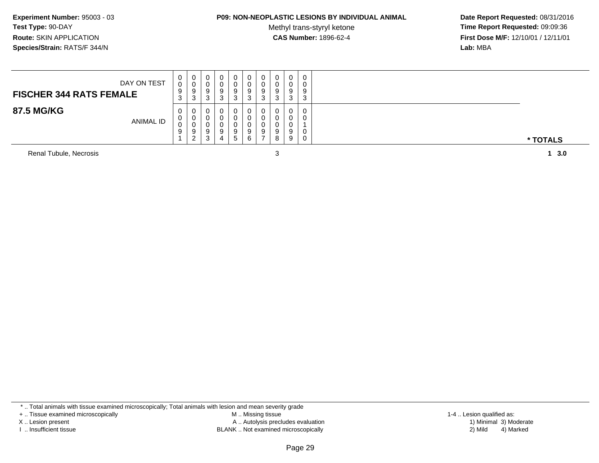#### **P09: NON-NEOPLASTIC LESIONS BY INDIVIDUAL ANIMAL**

Methyl trans-styryl ketone<br>CAS Number: 1896-62-4

 **Date Report Requested:** 08/31/2016 **Time Report Requested:** 09:09:36 **First Dose M/F:** 12/10/01 / 12/11/01<br>**Lab:** MBA **Lab:** MBA

| 0<br>0<br>0<br>0<br>0<br>0<br>U<br>U<br>v<br>υ<br>DAY ON TEST<br>0<br>0<br>0<br>0<br>U<br>v<br>υ<br>9<br>9<br>9<br>9<br>9<br>9<br>9<br>9<br><b>FISCHER 344 RATS FEMALE</b><br>≏<br>3<br>3<br>3<br>-3<br>n<br>- ၁<br>ت<br>-c<br>◡<br>J<br>ت |  |
|--------------------------------------------------------------------------------------------------------------------------------------------------------------------------------------------------------------------------------------------|--|
| 0<br>0<br>0<br>0<br>0<br>0<br>v<br>0<br>0<br>0<br>$\Omega$<br>0<br><b>ANIMAL ID</b><br>0<br>0<br>U<br>9<br>9<br>9<br>9<br>0<br>9<br>9<br>$\mathcal{D}$<br>9<br>0<br><sup>o</sup><br>8<br>G<br>ت                                            |  |

Renal Tubule, Necrosis

1 3.0

\* .. Total animals with tissue examined microscopically; Total animals with lesion and mean severity grade

+ .. Tissue examined microscopically

X .. Lesion present

I .. Insufficient tissue

 M .. Missing tissueA .. Autolysis precludes evaluation

BLANK .. Not examined microscopically 2) Mild 4) Marked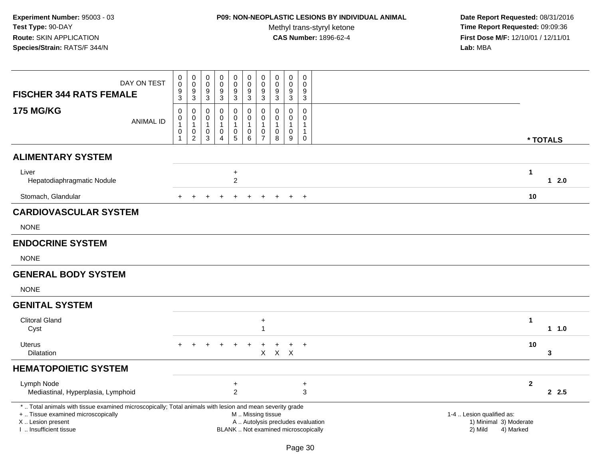# **P09: NON-NEOPLASTIC LESIONS BY INDIVIDUAL ANIMAL**

Methyl trans-styryl ketone<br>CAS Number: 1896-62-4

| DAY ON TEST<br><b>FISCHER 344 RATS FEMALE</b>                                                                                                                                                |                  | 0<br>$\mathsf 0$<br>$\frac{9}{3}$                                         | $\pmb{0}$<br>$\mathbf 0$<br>9<br>$\mathbf{3}$                               | $\mathbf 0$<br>$\mathbf 0$<br>9<br>$\ensuremath{\mathsf{3}}$ | $\pmb{0}$<br>$\pmb{0}$<br>9<br>$\sqrt{3}$                       | $\mathbf 0$<br>$\mathsf{O}\xspace$<br>$\boldsymbol{9}$<br>$\mathbf{3}$    | $\begin{smallmatrix} 0\\0 \end{smallmatrix}$<br>$\boldsymbol{9}$<br>$\mathbf{3}$    | $\pmb{0}$<br>$\pmb{0}$<br>9<br>$\sqrt{3}$                                 | $\pmb{0}$<br>$\pmb{0}$<br>9<br>$\sqrt{3}$                                | $\pmb{0}$<br>$\mathbf 0$<br>$9\,$<br>$\sqrt{3}$          | $\mathbf 0$<br>$\mathbf 0$<br>$9\,$<br>$\mathbf{3}$                  |  |                                                                |              |          |
|----------------------------------------------------------------------------------------------------------------------------------------------------------------------------------------------|------------------|---------------------------------------------------------------------------|-----------------------------------------------------------------------------|--------------------------------------------------------------|-----------------------------------------------------------------|---------------------------------------------------------------------------|-------------------------------------------------------------------------------------|---------------------------------------------------------------------------|--------------------------------------------------------------------------|----------------------------------------------------------|----------------------------------------------------------------------|--|----------------------------------------------------------------|--------------|----------|
| <b>175 MG/KG</b>                                                                                                                                                                             | <b>ANIMAL ID</b> | $\mathbf 0$<br>$\mathbf 0$<br>$\mathbf{1}$<br>$\mathbf 0$<br>$\mathbf{1}$ | $\mathbf 0$<br>$\mathbf 0$<br>$\overline{1}$<br>$\pmb{0}$<br>$\overline{c}$ | $\mathbf 0$<br>0<br>$\mathbf{1}$<br>0<br>$\sqrt{3}$          | 0<br>$\mathbf 0$<br>$\mathbf{1}$<br>$\pmb{0}$<br>$\overline{4}$ | 0<br>$\mathbf 0$<br>$\mathbf{1}$<br>$\begin{array}{c} 0 \\ 5 \end{array}$ | $\mathbf 0$<br>$\mathbf 0$<br>$\mathbf{1}$<br>$\begin{array}{c} 0 \\ 6 \end{array}$ | $\mathbf 0$<br>$\mathsf{O}\xspace$<br>$\mathbf{1}$<br>0<br>$\overline{7}$ | $\mathbf 0$<br>0<br>$\mathbf{1}$<br>$\pmb{0}$<br>$\,8\,$                 | $\mathbf 0$<br>$\mathbf 0$<br>$\mathbf{1}$<br>0<br>$9\,$ | 0<br>$\mathbf 0$<br>$\mathbf{1}$<br>$\mathbf{1}$<br>$\boldsymbol{0}$ |  |                                                                |              | * TOTALS |
| <b>ALIMENTARY SYSTEM</b>                                                                                                                                                                     |                  |                                                                           |                                                                             |                                                              |                                                                 |                                                                           |                                                                                     |                                                                           |                                                                          |                                                          |                                                                      |  |                                                                |              |          |
| Liver<br>Hepatodiaphragmatic Nodule                                                                                                                                                          |                  |                                                                           |                                                                             |                                                              |                                                                 | $\ddot{}$<br>$\overline{2}$                                               |                                                                                     |                                                                           |                                                                          |                                                          |                                                                      |  |                                                                | $\mathbf{1}$ | $12.0$   |
| Stomach, Glandular                                                                                                                                                                           |                  |                                                                           |                                                                             |                                                              |                                                                 |                                                                           | $\ddot{}$                                                                           | $+$                                                                       | $+$                                                                      | $+$                                                      | $+$                                                                  |  |                                                                | 10           |          |
| <b>CARDIOVASCULAR SYSTEM</b>                                                                                                                                                                 |                  |                                                                           |                                                                             |                                                              |                                                                 |                                                                           |                                                                                     |                                                                           |                                                                          |                                                          |                                                                      |  |                                                                |              |          |
| <b>NONE</b>                                                                                                                                                                                  |                  |                                                                           |                                                                             |                                                              |                                                                 |                                                                           |                                                                                     |                                                                           |                                                                          |                                                          |                                                                      |  |                                                                |              |          |
| <b>ENDOCRINE SYSTEM</b>                                                                                                                                                                      |                  |                                                                           |                                                                             |                                                              |                                                                 |                                                                           |                                                                                     |                                                                           |                                                                          |                                                          |                                                                      |  |                                                                |              |          |
| <b>NONE</b>                                                                                                                                                                                  |                  |                                                                           |                                                                             |                                                              |                                                                 |                                                                           |                                                                                     |                                                                           |                                                                          |                                                          |                                                                      |  |                                                                |              |          |
| <b>GENERAL BODY SYSTEM</b>                                                                                                                                                                   |                  |                                                                           |                                                                             |                                                              |                                                                 |                                                                           |                                                                                     |                                                                           |                                                                          |                                                          |                                                                      |  |                                                                |              |          |
| <b>NONE</b>                                                                                                                                                                                  |                  |                                                                           |                                                                             |                                                              |                                                                 |                                                                           |                                                                                     |                                                                           |                                                                          |                                                          |                                                                      |  |                                                                |              |          |
| <b>GENITAL SYSTEM</b>                                                                                                                                                                        |                  |                                                                           |                                                                             |                                                              |                                                                 |                                                                           |                                                                                     |                                                                           |                                                                          |                                                          |                                                                      |  |                                                                |              |          |
| <b>Clitoral Gland</b><br>Cyst                                                                                                                                                                |                  |                                                                           |                                                                             |                                                              |                                                                 |                                                                           |                                                                                     | $\ddot{}$<br>1                                                            |                                                                          |                                                          |                                                                      |  |                                                                | $\mathbf{1}$ | $1 1.0$  |
| Uterus<br><b>Dilatation</b>                                                                                                                                                                  |                  |                                                                           |                                                                             |                                                              |                                                                 |                                                                           |                                                                                     | $\mathsf{X}$                                                              | $X$ $X$                                                                  | +                                                        | $+$                                                                  |  |                                                                | 10           | 3        |
| <b>HEMATOPOIETIC SYSTEM</b>                                                                                                                                                                  |                  |                                                                           |                                                                             |                                                              |                                                                 |                                                                           |                                                                                     |                                                                           |                                                                          |                                                          |                                                                      |  |                                                                |              |          |
| Lymph Node<br>Mediastinal, Hyperplasia, Lymphoid                                                                                                                                             |                  |                                                                           |                                                                             |                                                              |                                                                 | $\ddot{}$<br>$\overline{2}$                                               |                                                                                     |                                                                           |                                                                          |                                                          | $\ddot{}$<br>3                                                       |  |                                                                | $\mathbf{2}$ | 2.5      |
| *  Total animals with tissue examined microscopically; Total animals with lesion and mean severity grade<br>+  Tissue examined microscopically<br>X Lesion present<br>I  Insufficient tissue |                  |                                                                           |                                                                             |                                                              |                                                                 |                                                                           | M  Missing tissue                                                                   |                                                                           | A  Autolysis precludes evaluation<br>BLANK  Not examined microscopically |                                                          |                                                                      |  | 1-4  Lesion qualified as:<br>1) Minimal 3) Moderate<br>2) Mild | 4) Marked    |          |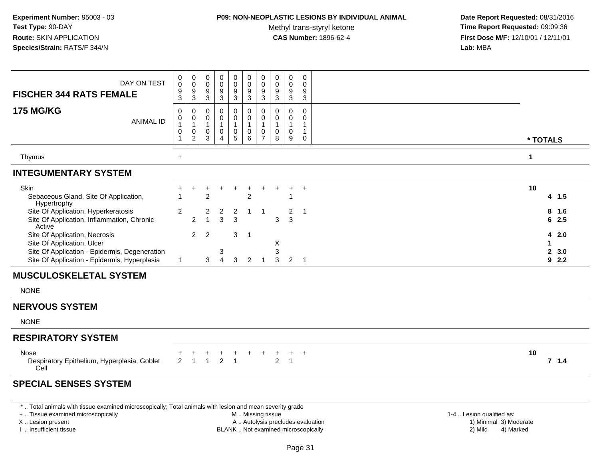### **P09: NON-NEOPLASTIC LESIONS BY INDIVIDUAL ANIMAL**

Methyl trans-styryl ketone<br>CAS Number: 1896-62-4

 **Date Report Requested:** 08/31/2016 **Time Report Requested:** 09:09:36 **First Dose M/F:** 12/10/01 / 12/11/01<br>**Lab:** MBA **Lab:** MBA

| DAY ON TEST<br><b>FISCHER 344 RATS FEMALE</b>                                                                | 0<br>$\mathsf{O}\xspace$<br>$\boldsymbol{9}$<br>$\mathbf{3}$    | $\mathbf 0$<br>$\pmb{0}$<br>$\frac{9}{3}$                                 | 0<br>0<br>9<br>3                          | 0<br>0<br>9<br>3                           | 0<br>0<br>$\boldsymbol{9}$<br>$\mathbf{3}$ | $\boldsymbol{0}$<br>$\pmb{0}$<br>$\boldsymbol{9}$<br>$\mathbf{3}$ | 0<br>0<br>$\boldsymbol{9}$<br>$\ensuremath{\mathsf{3}}$ | 0<br>0<br>9<br>3                             | $\boldsymbol{0}$<br>$\boldsymbol{0}$<br>9<br>$\mathbf{3}$ | 0<br>0<br>9<br>3                 |                                |            |
|--------------------------------------------------------------------------------------------------------------|-----------------------------------------------------------------|---------------------------------------------------------------------------|-------------------------------------------|--------------------------------------------|--------------------------------------------|-------------------------------------------------------------------|---------------------------------------------------------|----------------------------------------------|-----------------------------------------------------------|----------------------------------|--------------------------------|------------|
| <b>175 MG/KG</b><br><b>ANIMAL ID</b>                                                                         | $\mathbf 0$<br>0<br>$\overline{1}$<br>$\pmb{0}$<br>$\mathbf{1}$ | $\mathbf 0$<br>$\pmb{0}$<br>$\overline{1}$<br>$\pmb{0}$<br>$\overline{2}$ | 0<br>0<br>$\mathbf{1}$<br>0<br>3          | 0<br>$\mathbf 0$<br>$\mathbf{1}$<br>0<br>4 | 0<br>$\pmb{0}$<br>$\mathbf{1}$<br>0<br>5   | 0<br>0<br>$\mathbf{1}$<br>$\pmb{0}$<br>6                          | 0<br>0<br>$\mathbf{1}$<br>$\pmb{0}$<br>$\overline{7}$   | $\mathbf 0$<br>0<br>$\overline{1}$<br>0<br>8 | $\mathbf 0$<br>0<br>$\mathbf{1}$<br>$\mathbf 0$<br>9      | 0<br>0<br>1<br>$\mathbf{1}$<br>0 | * TOTALS                       |            |
| Thymus                                                                                                       | $\ddot{}$                                                       |                                                                           |                                           |                                            |                                            |                                                                   |                                                         |                                              |                                                           |                                  | $\mathbf 1$                    |            |
| <b>INTEGUMENTARY SYSTEM</b>                                                                                  |                                                                 |                                                                           |                                           |                                            |                                            |                                                                   |                                                         |                                              |                                                           |                                  |                                |            |
| Skin<br>Sebaceous Gland, Site Of Application,<br>Hypertrophy                                                 |                                                                 |                                                                           | ٠<br>$\overline{2}$                       |                                            | $\ddot{}$                                  | $\ddot{}$<br>$\overline{2}$                                       | $\pm$                                                   |                                              |                                                           | $+$                              | 10<br>4, 1.5                   |            |
| Site Of Application, Hyperkeratosis<br>Site Of Application, Inflammation, Chronic<br>Active                  | $\overline{2}$                                                  | $\overline{2}$                                                            | $\overline{\mathbf{c}}$<br>$\overline{1}$ | $\overline{a}$<br>3                        | $\overline{\mathbf{c}}$<br>$\mathbf{3}$    | $\mathbf{1}$                                                      | $\overline{1}$                                          | 3                                            | $\overline{\mathbf{c}}$<br>3                              | $\overline{1}$                   | 8<br>$6\overline{6}$           | 1.6<br>2.5 |
| Site Of Application, Necrosis<br>Site Of Application, Ulcer<br>Site Of Application - Epidermis, Degeneration | $\mathbf{1}$                                                    | 2                                                                         | 2                                         | 3<br>$\overline{4}$                        | 3                                          | $\mathbf 1$                                                       | $\overline{1}$                                          | X<br>3<br>3                                  |                                                           | $2 \quad 1$                      | 4<br>1<br>$\mathbf{2}$<br>92.2 | 2.0<br>3.0 |
| Site Of Application - Epidermis, Hyperplasia<br><b>MUSCULOSKELETAL SYSTEM</b>                                |                                                                 |                                                                           | 3                                         |                                            | 3                                          | $\overline{2}$                                                    |                                                         |                                              |                                                           |                                  |                                |            |
| <b>NONE</b>                                                                                                  |                                                                 |                                                                           |                                           |                                            |                                            |                                                                   |                                                         |                                              |                                                           |                                  |                                |            |
| <b>NERVOUS SYSTEM</b>                                                                                        |                                                                 |                                                                           |                                           |                                            |                                            |                                                                   |                                                         |                                              |                                                           |                                  |                                |            |
| <b>NONE</b>                                                                                                  |                                                                 |                                                                           |                                           |                                            |                                            |                                                                   |                                                         |                                              |                                                           |                                  |                                |            |
| <b>RESPIRATORY SYSTEM</b>                                                                                    |                                                                 |                                                                           |                                           |                                            |                                            |                                                                   |                                                         |                                              |                                                           |                                  |                                |            |
| Nose<br>Respiratory Epithelium, Hyperplasia, Goblet<br>Cell                                                  | $\overline{2}$                                                  | $\overline{1}$                                                            | $\mathbf{1}$                              | $\overline{2}$                             | $\mathbf{1}$                               |                                                                   |                                                         | $\overline{2}$                               | $\overline{1}$                                            | $^{+}$                           | 10<br>7.1.4                    |            |
| <b>SPECIAL SENSES SYSTEM</b>                                                                                 |                                                                 |                                                                           |                                           |                                            |                                            |                                                                   |                                                         |                                              |                                                           |                                  |                                |            |

\* .. Total animals with tissue examined microscopically; Total animals with lesion and mean severity grade

+ .. Tissue examined microscopically

X .. Lesion present

I .. Insufficient tissue

M .. Missing tissue

A .. Autolysis precludes evaluation

BLANK .. Not examined microscopically 2) Mild 4) Marked

1-4 .. Lesion qualified as: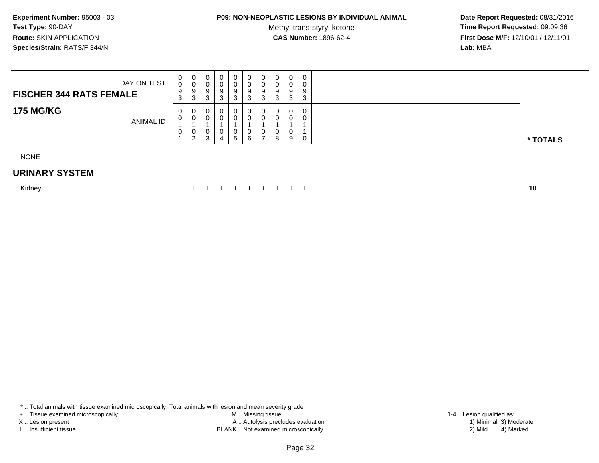## **P09: NON-NEOPLASTIC LESIONS BY INDIVIDUAL ANIMAL**

Methyl trans-styryl ketone<br>CAS Number: 1896-62-4

 **Date Report Requested:** 08/31/2016 **Time Report Requested:** 09:09:36 **First Dose M/F:** 12/10/01 / 12/11/01<br>**Lab:** MBA **Lab:** MBA

| DAY ON TEST<br><b>FISCHER 344 RATS FEMALE</b> | U<br>0<br>9<br>$\sim$<br>ა | 0<br>U<br>-9<br>-3 | 0<br>v<br>9<br>◠<br>J.     | 0<br>a<br>c<br>J | Q           | U<br>U<br>9<br>J | 0<br>0<br>9<br>◠<br>◡   | 0<br>0<br>9<br>3 | 0<br>0<br>9<br>$\sim$<br>ັ |          |
|-----------------------------------------------|----------------------------|--------------------|----------------------------|------------------|-------------|------------------|-------------------------|------------------|----------------------------|----------|
| <b>175 MG/KG</b><br><b>ANIMAL ID</b>          | 0<br>U<br>U                | 0<br>-0<br>U<br>ົ  | 0<br>$\mathbf 0$<br>v<br>3 | 0<br>4           | 0<br>u<br>ь | 0<br>υ           | 0<br>$\Omega$<br>0<br>8 | 0<br>0<br>0<br>9 | 0<br>0<br>0                | * TOTALS |

NONE

### **URINARY SYSTEM**

Kidney $\mathsf y$ 

<sup>+</sup> <sup>+</sup> <sup>+</sup> <sup>+</sup> <sup>+</sup> <sup>+</sup> <sup>+</sup> <sup>+</sup> <sup>+</sup> **<sup>10</sup>**

\* .. Total animals with tissue examined microscopically; Total animals with lesion and mean severity grade

+ .. Tissue examined microscopically

X .. Lesion present

I .. Insufficient tissue

 M .. Missing tissueA .. Autolysis precludes evaluation

BLANK .. Not examined microscopically 2) Mild 4) Marked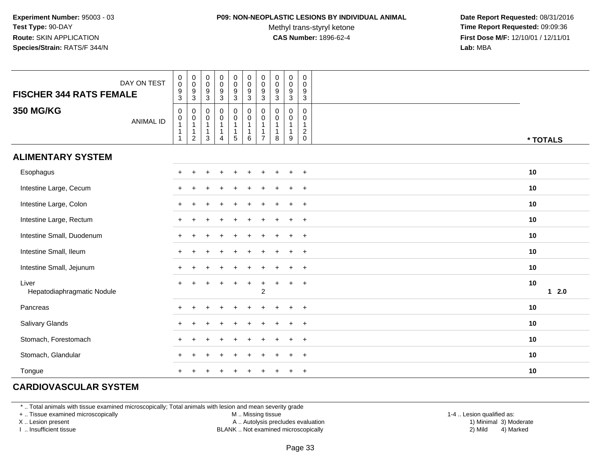#### **P09: NON-NEOPLASTIC LESIONS BY INDIVIDUAL ANIMAL**

Methyl trans-styryl ketone<br>CAS Number: 1896-62-4

 **Date Report Requested:** 08/31/2016 **Time Report Requested:** 09:09:36 **First Dose M/F:** 12/10/01 / 12/11/01<br>**Lab:** MBA **Lab:** MBA

| <b>FISCHER 344 RATS FEMALE</b>      | DAY ON TEST      | $_{\rm 0}^{\rm 0}$<br>$\frac{9}{3}$                                          | $\pmb{0}$<br>$\mathbf 0$<br>$\frac{9}{3}$                              | $\pmb{0}$<br>$\mathsf{O}\xspace$<br>9<br>$\mathbf{3}$                   | $\pmb{0}$<br>$\mathsf 0$<br>$\boldsymbol{9}$<br>$\mathbf{3}$               | $\pmb{0}$<br>$\pmb{0}$<br>$\boldsymbol{9}$<br>$\overline{3}$ | $\begin{smallmatrix}0\\0\end{smallmatrix}$<br>$\boldsymbol{9}$<br>$\mathbf{3}$                        | $\pmb{0}$<br>$\mathbf 0$<br>9<br>$\mathbf{3}$      | $\pmb{0}$<br>$\pmb{0}$<br>9<br>$\mathfrak{Z}$ | $\begin{smallmatrix} 0\\0 \end{smallmatrix}$<br>$\overline{9}$<br>$\overline{3}$ | 0<br>$\mathsf 0$<br>9<br>$\mathbf{3}$                     |              |
|-------------------------------------|------------------|------------------------------------------------------------------------------|------------------------------------------------------------------------|-------------------------------------------------------------------------|----------------------------------------------------------------------------|--------------------------------------------------------------|-------------------------------------------------------------------------------------------------------|----------------------------------------------------|-----------------------------------------------|----------------------------------------------------------------------------------|-----------------------------------------------------------|--------------|
| <b>350 MG/KG</b>                    | <b>ANIMAL ID</b> | $\pmb{0}$<br>$\begin{smallmatrix}0\\1\end{smallmatrix}$<br>$\mathbf{1}$<br>1 | $\,0\,$<br>$\pmb{0}$<br>$\mathbf{1}$<br>$\mathbf{1}$<br>$\overline{c}$ | $\mathbf 0$<br>$\mathsf{O}\xspace$<br>$\mathbf{1}$<br>$\mathbf{1}$<br>3 | $\pmb{0}$<br>$\mathbf 0$<br>$\mathbf{1}$<br>$\mathbf{1}$<br>$\overline{4}$ | $\pmb{0}$<br>$\pmb{0}$<br>$\mathbf{1}$<br>1<br>$\sqrt{5}$    | $\begin{smallmatrix} 0\\0 \end{smallmatrix}$<br>$\mathbf{1}$<br>$\begin{array}{c} 1 \\ 6 \end{array}$ | 0<br>$\mathsf 0$<br>$\mathbf{1}$<br>$\overline{7}$ | 0<br>0<br>$\mathbf 1$<br>8                    | $\pmb{0}$<br>$\pmb{0}$<br>$\mathbf{1}$<br>1<br>9                                 | 0<br>0<br>$\overline{1}$<br>$\overline{c}$<br>$\mathbf 0$ | * TOTALS     |
| <b>ALIMENTARY SYSTEM</b>            |                  |                                                                              |                                                                        |                                                                         |                                                                            |                                                              |                                                                                                       |                                                    |                                               |                                                                                  |                                                           |              |
| Esophagus                           |                  |                                                                              |                                                                        |                                                                         |                                                                            |                                                              |                                                                                                       |                                                    |                                               |                                                                                  | $\overline{+}$                                            | 10           |
| Intestine Large, Cecum              |                  |                                                                              |                                                                        |                                                                         |                                                                            |                                                              |                                                                                                       |                                                    |                                               |                                                                                  | $+$                                                       | 10           |
| Intestine Large, Colon              |                  |                                                                              |                                                                        |                                                                         |                                                                            |                                                              |                                                                                                       |                                                    |                                               |                                                                                  | $+$                                                       | 10           |
| Intestine Large, Rectum             |                  | $\pm$                                                                        |                                                                        |                                                                         |                                                                            |                                                              |                                                                                                       |                                                    |                                               | $\overline{ }$                                                                   | $+$                                                       | 10           |
| Intestine Small, Duodenum           |                  | $+$                                                                          |                                                                        |                                                                         |                                                                            |                                                              |                                                                                                       |                                                    |                                               |                                                                                  | $+$                                                       | 10           |
| Intestine Small, Ileum              |                  | $+$                                                                          |                                                                        |                                                                         |                                                                            |                                                              |                                                                                                       |                                                    |                                               |                                                                                  | $+$                                                       | 10           |
| Intestine Small, Jejunum            |                  | $\pm$                                                                        |                                                                        |                                                                         |                                                                            |                                                              |                                                                                                       |                                                    |                                               |                                                                                  | $+$                                                       | 10           |
| Liver<br>Hepatodiaphragmatic Nodule |                  |                                                                              |                                                                        |                                                                         |                                                                            | $\ddot{}$                                                    | $\overline{+}$                                                                                        | $\ddot{}$<br>$\overline{2}$                        | $+$                                           | $\ddot{}$                                                                        | $+$                                                       | 10<br>$12.0$ |
| Pancreas                            |                  |                                                                              |                                                                        |                                                                         |                                                                            |                                                              |                                                                                                       |                                                    |                                               |                                                                                  | $\overline{+}$                                            | 10           |
| Salivary Glands                     |                  |                                                                              |                                                                        |                                                                         |                                                                            |                                                              |                                                                                                       |                                                    |                                               |                                                                                  | $\overline{+}$                                            | 10           |
| Stomach, Forestomach                |                  |                                                                              |                                                                        |                                                                         |                                                                            |                                                              |                                                                                                       |                                                    |                                               |                                                                                  | $+$                                                       | 10           |
| Stomach, Glandular                  |                  |                                                                              |                                                                        |                                                                         |                                                                            |                                                              |                                                                                                       |                                                    |                                               |                                                                                  | $\ddot{}$                                                 | 10           |
| Tongue                              |                  |                                                                              |                                                                        |                                                                         |                                                                            |                                                              |                                                                                                       |                                                    |                                               |                                                                                  | $\overline{+}$                                            | 10           |

## **CARDIOVASCULAR SYSTEM**

\* .. Total animals with tissue examined microscopically; Total animals with lesion and mean severity grade

+ .. Tissue examined microscopically

X .. Lesion present

I .. Insufficient tissue

M .. Missing tissue

A .. Autolysis precludes evaluation

BLANK .. Not examined microscopically 2) Mild 4) Marked

1-4 .. Lesion qualified as:<br>1) Minimal 3) Moderate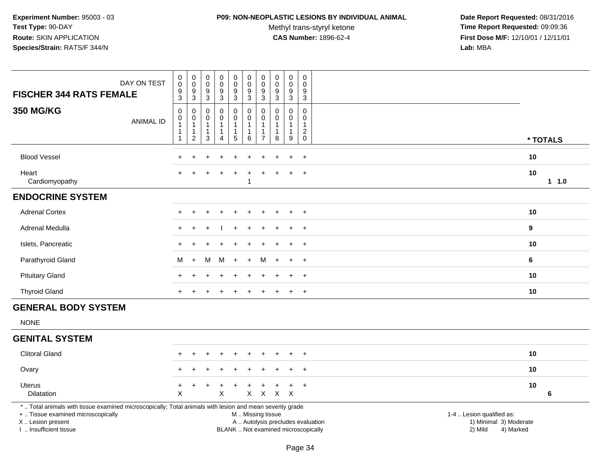### **P09: NON-NEOPLASTIC LESIONS BY INDIVIDUAL ANIMAL**

Methyl trans-styryl ketone<br>CAS Number: 1896-62-4

| DAY ON TEST<br><b>FISCHER 344 RATS FEMALE</b>                                                                                                                                                 | $\pmb{0}$<br>$\pmb{0}$<br>9<br>3                       | $\pmb{0}$<br>$\pmb{0}$<br>$\boldsymbol{9}$<br>$\sqrt{3}$           | $\pmb{0}$<br>$\mathbf 0$<br>$\boldsymbol{9}$<br>$\mathbf{3}$ | $\pmb{0}$<br>$\pmb{0}$<br>$\overline{9}$<br>$\mathbf{3}$                   | $\pmb{0}$<br>$\mathsf{O}\xspace$<br>$9\,$<br>3 | $\pmb{0}$<br>$\mathbf 0$<br>9<br>$\sqrt{3}$                    | 0<br>$\pmb{0}$<br>9<br>3                                       | $\pmb{0}$<br>$\pmb{0}$<br>9<br>$\mathfrak{Z}$      | $\pmb{0}$<br>$\mathsf{O}\xspace$<br>$\boldsymbol{9}$<br>3 | $\mathsf 0$<br>$\mathbf 0$<br>9<br>$\mathbf{3}$                                  |                                                                                                                  |         |
|-----------------------------------------------------------------------------------------------------------------------------------------------------------------------------------------------|--------------------------------------------------------|--------------------------------------------------------------------|--------------------------------------------------------------|----------------------------------------------------------------------------|------------------------------------------------|----------------------------------------------------------------|----------------------------------------------------------------|----------------------------------------------------|-----------------------------------------------------------|----------------------------------------------------------------------------------|------------------------------------------------------------------------------------------------------------------|---------|
| <b>350 MG/KG</b><br><b>ANIMAL ID</b>                                                                                                                                                          | $\mathbf 0$<br>0<br>$\mathbf{1}$<br>$\mathbf{1}$<br>-1 | $\mathbf 0$<br>0<br>$\mathbf{1}$<br>$\mathbf{1}$<br>$\overline{c}$ | $\Omega$<br>0<br>$\mathbf{1}$<br>$\mathbf{1}$<br>3           | $\pmb{0}$<br>$\mathsf 0$<br>$\mathbf{1}$<br>$\mathbf{1}$<br>$\overline{4}$ | 0<br>0<br>1<br>1<br>$\sqrt{5}$                 | $\pmb{0}$<br>$\mathbf 0$<br>$\overline{1}$<br>$\mathbf 1$<br>6 | $\Omega$<br>0<br>$\mathbf{1}$<br>$\mathbf 1$<br>$\overline{7}$ | $\Omega$<br>0<br>$\mathbf{1}$<br>$\mathbf{1}$<br>8 | 0<br>$\mathbf 0$<br>$\mathbf{1}$<br>$\mathbf 1$<br>9      | $\Omega$<br>$\mathbf 0$<br>$\mathbf{1}$<br>$\overline{c}$<br>$\mathsf{O}\xspace$ | * TOTALS                                                                                                         |         |
| <b>Blood Vessel</b>                                                                                                                                                                           |                                                        |                                                                    |                                                              |                                                                            |                                                |                                                                |                                                                |                                                    |                                                           | $\ddot{}$                                                                        | 10                                                                                                               |         |
| Heart<br>Cardiomyopathy                                                                                                                                                                       |                                                        |                                                                    |                                                              |                                                                            |                                                | -1                                                             |                                                                |                                                    |                                                           | $\ddot{}$                                                                        | 10                                                                                                               | $1 1.0$ |
| <b>ENDOCRINE SYSTEM</b>                                                                                                                                                                       |                                                        |                                                                    |                                                              |                                                                            |                                                |                                                                |                                                                |                                                    |                                                           |                                                                                  |                                                                                                                  |         |
| <b>Adrenal Cortex</b>                                                                                                                                                                         |                                                        |                                                                    |                                                              |                                                                            |                                                |                                                                |                                                                |                                                    |                                                           | $\overline{+}$                                                                   | 10                                                                                                               |         |
| Adrenal Medulla                                                                                                                                                                               |                                                        |                                                                    |                                                              |                                                                            |                                                |                                                                |                                                                |                                                    |                                                           | $\ddot{}$                                                                        | 9                                                                                                                |         |
| Islets, Pancreatic                                                                                                                                                                            |                                                        |                                                                    |                                                              |                                                                            |                                                |                                                                |                                                                |                                                    |                                                           | $+$                                                                              | 10                                                                                                               |         |
| Parathyroid Gland                                                                                                                                                                             | м                                                      | $\ddot{}$                                                          | M                                                            | M                                                                          | $+$                                            | $+$                                                            | M                                                              |                                                    | $\ddot{}$                                                 | $+$                                                                              | 6                                                                                                                |         |
| <b>Pituitary Gland</b>                                                                                                                                                                        |                                                        |                                                                    |                                                              |                                                                            |                                                |                                                                |                                                                |                                                    |                                                           | $\ddot{}$                                                                        | 10                                                                                                               |         |
| <b>Thyroid Gland</b>                                                                                                                                                                          |                                                        |                                                                    |                                                              |                                                                            |                                                |                                                                |                                                                |                                                    |                                                           | $\ddot{}$                                                                        | 10                                                                                                               |         |
| <b>GENERAL BODY SYSTEM</b>                                                                                                                                                                    |                                                        |                                                                    |                                                              |                                                                            |                                                |                                                                |                                                                |                                                    |                                                           |                                                                                  |                                                                                                                  |         |
| <b>NONE</b>                                                                                                                                                                                   |                                                        |                                                                    |                                                              |                                                                            |                                                |                                                                |                                                                |                                                    |                                                           |                                                                                  |                                                                                                                  |         |
| <b>GENITAL SYSTEM</b>                                                                                                                                                                         |                                                        |                                                                    |                                                              |                                                                            |                                                |                                                                |                                                                |                                                    |                                                           |                                                                                  |                                                                                                                  |         |
| <b>Clitoral Gland</b>                                                                                                                                                                         |                                                        |                                                                    |                                                              |                                                                            |                                                |                                                                |                                                                |                                                    |                                                           | $\pm$                                                                            | 10                                                                                                               |         |
| Ovary                                                                                                                                                                                         |                                                        |                                                                    |                                                              |                                                                            |                                                |                                                                |                                                                |                                                    |                                                           | $\ddot{}$                                                                        | 10                                                                                                               |         |
| <b>Uterus</b><br><b>Dilatation</b>                                                                                                                                                            | ÷<br>$\times$                                          |                                                                    |                                                              | X                                                                          |                                                |                                                                | ٠                                                              | X X X X                                            | $\ddot{}$                                                 | $\ddot{}$                                                                        | 10                                                                                                               | 6       |
| *  Total animals with tissue examined microscopically; Total animals with lesion and mean severity grade<br>+  Tissue examined microscopically<br>X  Lesion present<br>I  Insufficient tissue |                                                        |                                                                    |                                                              |                                                                            |                                                | M  Missing tissue                                              |                                                                | BLANK  Not examined microscopically                |                                                           |                                                                                  | 1-4  Lesion qualified as:<br>A  Autolysis precludes evaluation<br>1) Minimal 3) Moderate<br>2) Mild<br>4) Marked |         |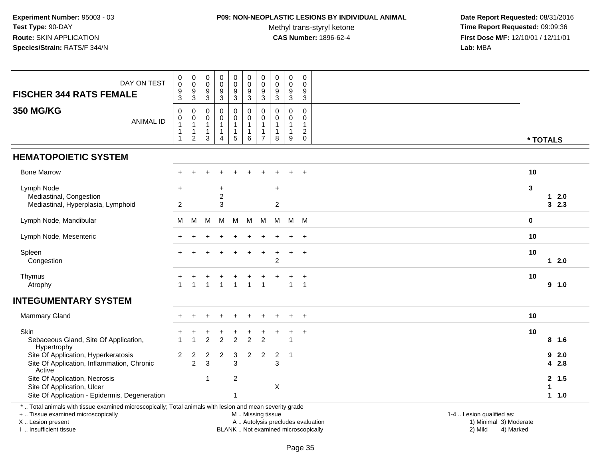## **P09: NON-NEOPLASTIC LESIONS BY INDIVIDUAL ANIMAL**

Methyl trans-styryl ketone<br>CAS Number: 1896-62-4

| DAY ON TEST<br><b>FISCHER 344 RATS FEMALE</b>                                                                                                                                                 | 0<br>0<br>9<br>$\sqrt{3}$                                        | $\mathbf 0$<br>$\mathbf 0$<br>9<br>$\overline{3}$                       | $\pmb{0}$<br>$\pmb{0}$<br>9<br>$\overline{3}$           | $\pmb{0}$<br>$\mathsf{O}\xspace$<br>$\overline{9}$<br>$\ensuremath{\mathsf{3}}$ | $\pmb{0}$<br>$\pmb{0}$<br>9<br>$\overline{3}$                          | $\mathbf 0$<br>$\mathbf 0$<br>9<br>$\overline{3}$                     | 0<br>$\mathbf 0$<br>9<br>3           | $\pmb{0}$<br>$\pmb{0}$<br>9<br>$\overline{3}$                   | $\pmb{0}$<br>$\pmb{0}$<br>9<br>$\overline{3}$                           | $\mathsf{O}\xspace$<br>$\mathbf 0$<br>9<br>$\mathbf{3}$         |                                                                                                                                                         |  |
|-----------------------------------------------------------------------------------------------------------------------------------------------------------------------------------------------|------------------------------------------------------------------|-------------------------------------------------------------------------|---------------------------------------------------------|---------------------------------------------------------------------------------|------------------------------------------------------------------------|-----------------------------------------------------------------------|--------------------------------------|-----------------------------------------------------------------|-------------------------------------------------------------------------|-----------------------------------------------------------------|---------------------------------------------------------------------------------------------------------------------------------------------------------|--|
| <b>350 MG/KG</b><br><b>ANIMAL ID</b>                                                                                                                                                          | $\mathbf 0$<br>0<br>$\mathbf{1}$<br>$\mathbf{1}$<br>$\mathbf{1}$ | 0<br>$\boldsymbol{0}$<br>$\mathbf{1}$<br>$\mathbf{1}$<br>$\overline{c}$ | $\mathbf 0$<br>0<br>$\overline{1}$<br>$\mathbf{1}$<br>3 | $\mathbf 0$<br>$\pmb{0}$<br>$\mathbf{1}$<br>1<br>$\overline{4}$                 | $\pmb{0}$<br>$\pmb{0}$<br>$\overline{1}$<br>$\mathbf{1}$<br>$\sqrt{5}$ | $\mathbf 0$<br>$\mathbf 0$<br>$\mathbf{1}$<br>$\mathbf{1}$<br>$\,6\,$ | $\Omega$<br>0<br>1<br>$\overline{7}$ | $\mathbf 0$<br>$\mathbf 0$<br>$\mathbf{1}$<br>$\mathbf{1}$<br>8 | $\mathbf 0$<br>$\mathsf{O}\xspace$<br>$\mathbf{1}$<br>$\mathbf{1}$<br>9 | $\mathbf 0$<br>0<br>$\mathbf{1}$<br>$\overline{2}$<br>$\pmb{0}$ | * TOTALS                                                                                                                                                |  |
| <b>HEMATOPOIETIC SYSTEM</b>                                                                                                                                                                   |                                                                  |                                                                         |                                                         |                                                                                 |                                                                        |                                                                       |                                      |                                                                 |                                                                         |                                                                 |                                                                                                                                                         |  |
| <b>Bone Marrow</b>                                                                                                                                                                            |                                                                  |                                                                         |                                                         |                                                                                 |                                                                        |                                                                       |                                      |                                                                 |                                                                         | $\ddot{}$                                                       | 10                                                                                                                                                      |  |
| Lymph Node<br>Mediastinal, Congestion<br>Mediastinal, Hyperplasia, Lymphoid                                                                                                                   | ÷<br>$\overline{c}$                                              |                                                                         |                                                         | +<br>$\overline{2}$<br>3                                                        |                                                                        |                                                                       |                                      | $\ddot{}$<br>$\overline{c}$                                     |                                                                         |                                                                 | 3<br>2.0<br>1.<br>32.3                                                                                                                                  |  |
| Lymph Node, Mandibular                                                                                                                                                                        | м                                                                | М                                                                       | M                                                       | M                                                                               | м                                                                      | M                                                                     | M                                    | M                                                               | M                                                                       | <b>M</b>                                                        | $\mathbf 0$                                                                                                                                             |  |
| Lymph Node, Mesenteric                                                                                                                                                                        |                                                                  |                                                                         |                                                         |                                                                                 |                                                                        |                                                                       |                                      |                                                                 |                                                                         | $\ddot{}$                                                       | 10                                                                                                                                                      |  |
| Spleen<br>Congestion                                                                                                                                                                          |                                                                  |                                                                         |                                                         |                                                                                 |                                                                        |                                                                       |                                      | $\overline{2}$                                                  | $\pm$                                                                   | $\overline{+}$                                                  | 10<br>$12.0$                                                                                                                                            |  |
| Thymus<br>Atrophy                                                                                                                                                                             |                                                                  |                                                                         |                                                         |                                                                                 |                                                                        | 1                                                                     |                                      |                                                                 | $\mathbf{1}$                                                            | $\ddot{}$<br>$\mathbf{1}$                                       | 10<br>9 1.0                                                                                                                                             |  |
| <b>INTEGUMENTARY SYSTEM</b>                                                                                                                                                                   |                                                                  |                                                                         |                                                         |                                                                                 |                                                                        |                                                                       |                                      |                                                                 |                                                                         |                                                                 |                                                                                                                                                         |  |
| Mammary Gland                                                                                                                                                                                 |                                                                  |                                                                         |                                                         | $\ddot{}$                                                                       |                                                                        |                                                                       |                                      |                                                                 | $\ddot{}$                                                               | $+$                                                             | 10                                                                                                                                                      |  |
| Skin<br>Sebaceous Gland, Site Of Application,<br>Hypertrophy                                                                                                                                  |                                                                  |                                                                         | $\overline{c}$                                          | $\overline{1}$<br>$\overline{c}$                                                | +<br>$\overline{2}$                                                    | $\overline{2}$                                                        | $\ddot{}$<br>$\overline{2}$          |                                                                 | $\ddot{}$<br>-1                                                         | $\ddot{}$                                                       | 10<br>8, 1.6                                                                                                                                            |  |
| Site Of Application, Hyperkeratosis<br>Site Of Application, Inflammation, Chronic<br>Active                                                                                                   | $\overline{2}$                                                   | $\overline{c}$<br>2                                                     | $\overline{\mathbf{c}}$<br>3                            | $\boldsymbol{2}$                                                                | $\sqrt{3}$<br>3                                                        | $\overline{2}$                                                        | $\boldsymbol{2}$                     | $\overline{2}$<br>3                                             | $\overline{1}$                                                          |                                                                 | 9<br>2.0<br>2.8<br>4                                                                                                                                    |  |
| Site Of Application, Necrosis<br>Site Of Application, Ulcer<br>Site Of Application - Epidermis, Degeneration                                                                                  |                                                                  |                                                                         | $\mathbf 1$                                             |                                                                                 | $\overline{c}$<br>1                                                    |                                                                       |                                      | $\pmb{\times}$                                                  |                                                                         |                                                                 | 2, 1.5<br>1<br>1 1.0                                                                                                                                    |  |
| *  Total animals with tissue examined microscopically; Total animals with lesion and mean severity grade<br>+  Tissue examined microscopically<br>X  Lesion present<br>I  Insufficient tissue |                                                                  |                                                                         |                                                         |                                                                                 |                                                                        | M  Missing tissue                                                     |                                      |                                                                 |                                                                         |                                                                 | 1-4  Lesion qualified as:<br>A  Autolysis precludes evaluation<br>1) Minimal 3) Moderate<br>BLANK  Not examined microscopically<br>2) Mild<br>4) Marked |  |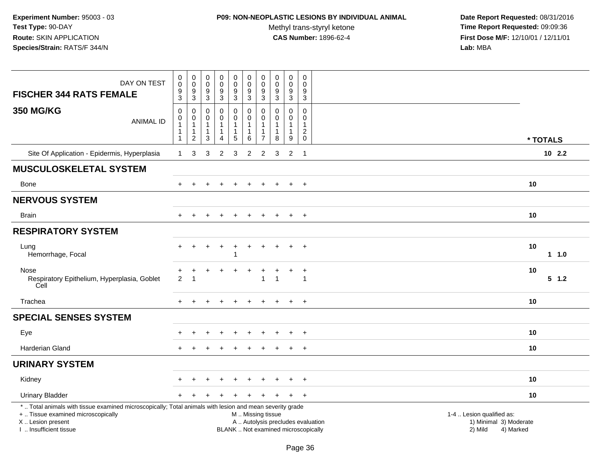## **P09: NON-NEOPLASTIC LESIONS BY INDIVIDUAL ANIMAL**

Methyl trans-styryl ketone<br>CAS Number: 1896-62-4

| DAY ON TEST<br><b>FISCHER 344 RATS FEMALE</b>                                                                                                                                                 | $\boldsymbol{0}$<br>$\mathbf 0$<br>$\boldsymbol{9}$<br>$\mathbf{3}$ | 0<br>$\mathbf 0$<br>9<br>$\sqrt{3}$                        | $\pmb{0}$<br>$\mathbf 0$<br>$9\,$<br>$\sqrt{3}$            | 0<br>$\pmb{0}$<br>9<br>$\mathbf{3}$ | 0<br>$\mathbf 0$<br>$\boldsymbol{9}$<br>$\mathbf{3}$                | $\pmb{0}$<br>$\mathbf 0$<br>9<br>$\mathfrak{Z}$                    | $\mathbf 0$<br>$\pmb{0}$<br>$9\,$<br>$\mathbf{3}$ | $\boldsymbol{0}$<br>$\mathbf 0$<br>9<br>3         | 0<br>$\mathsf{O}\xspace$<br>$\boldsymbol{9}$<br>$\sqrt{3}$                             | $\mathbf 0$<br>$\mathbf 0$<br>9<br>$\mathbf{3}$                          |                                                                             |
|-----------------------------------------------------------------------------------------------------------------------------------------------------------------------------------------------|---------------------------------------------------------------------|------------------------------------------------------------|------------------------------------------------------------|-------------------------------------|---------------------------------------------------------------------|--------------------------------------------------------------------|---------------------------------------------------|---------------------------------------------------|----------------------------------------------------------------------------------------|--------------------------------------------------------------------------|-----------------------------------------------------------------------------|
| <b>350 MG/KG</b><br><b>ANIMAL ID</b>                                                                                                                                                          | $\mathbf 0$<br>0<br>$\mathbf{1}$<br>$\mathbf 1$<br>$\mathbf{1}$     | 0<br>0<br>$\overline{1}$<br>$\mathbf{1}$<br>$\overline{c}$ | $\Omega$<br>$\mathbf 0$<br>$\mathbf{1}$<br>1<br>$\sqrt{3}$ | 0<br>$\mathsf 0$<br>1<br>4          | $\mathbf 0$<br>$\mathbf 0$<br>1<br>$\overline{1}$<br>$\overline{5}$ | $\mathbf 0$<br>$\pmb{0}$<br>$\overline{1}$<br>1<br>$6\phantom{1}6$ | $\mathbf{0}$<br>$\mathbf 0$<br>$\overline{7}$     | $\Omega$<br>$\mathbf 0$<br>$\mathbf{1}$<br>1<br>8 | $\mathbf 0$<br>$\mathsf{O}\xspace$<br>$\mathbf{1}$<br>$\mathbf{1}$<br>$\boldsymbol{9}$ | $\Omega$<br>0<br>1<br>$\overline{c}$<br>$\mathbf 0$                      | * TOTALS                                                                    |
| Site Of Application - Epidermis, Hyperplasia                                                                                                                                                  | $\overline{1}$                                                      | 3                                                          | 3                                                          | 2                                   | 3                                                                   | 2                                                                  | $\overline{c}$                                    | 3                                                 | 2                                                                                      | - 1                                                                      | $10$ 2.2                                                                    |
| <b>MUSCULOSKELETAL SYSTEM</b>                                                                                                                                                                 |                                                                     |                                                            |                                                            |                                     |                                                                     |                                                                    |                                                   |                                                   |                                                                                        |                                                                          |                                                                             |
| Bone                                                                                                                                                                                          | $+$                                                                 | $\ddot{}$                                                  |                                                            |                                     | $\ddot{}$                                                           | $\ddot{}$                                                          | $\ddot{}$                                         | $\ddot{}$                                         | $+$                                                                                    | $+$                                                                      | 10                                                                          |
| <b>NERVOUS SYSTEM</b>                                                                                                                                                                         |                                                                     |                                                            |                                                            |                                     |                                                                     |                                                                    |                                                   |                                                   |                                                                                        |                                                                          |                                                                             |
| <b>Brain</b>                                                                                                                                                                                  |                                                                     | $\div$                                                     |                                                            | $\overline{ }$                      |                                                                     | $\div$                                                             |                                                   |                                                   | $\ddot{}$                                                                              | $+$                                                                      | 10                                                                          |
| <b>RESPIRATORY SYSTEM</b>                                                                                                                                                                     |                                                                     |                                                            |                                                            |                                     |                                                                     |                                                                    |                                                   |                                                   |                                                                                        |                                                                          |                                                                             |
| Lung<br>Hemorrhage, Focal                                                                                                                                                                     | $\ddot{}$                                                           | $\ddot{}$                                                  |                                                            | $\ddot{}$                           |                                                                     | $\ddot{}$                                                          |                                                   |                                                   | $\ddot{}$                                                                              | $\overline{ }$                                                           | 10<br>11.0                                                                  |
| Nose<br>Respiratory Epithelium, Hyperplasia, Goblet<br>Cell                                                                                                                                   | 2                                                                   | -1                                                         |                                                            |                                     |                                                                     | $\ddot{}$                                                          |                                                   | $\overline{1}$                                    | $\ddot{}$                                                                              | $\ddot{}$<br>$\overline{1}$                                              | 10<br>$5 \t1.2$                                                             |
| Trachea                                                                                                                                                                                       | $+$                                                                 | $\ddot{}$                                                  |                                                            | $\div$                              | $\div$                                                              | $\pm$                                                              | $+$                                               | $+$                                               | $+$                                                                                    | $^{+}$                                                                   | 10                                                                          |
| <b>SPECIAL SENSES SYSTEM</b>                                                                                                                                                                  |                                                                     |                                                            |                                                            |                                     |                                                                     |                                                                    |                                                   |                                                   |                                                                                        |                                                                          |                                                                             |
| Eye                                                                                                                                                                                           |                                                                     |                                                            |                                                            |                                     |                                                                     |                                                                    |                                                   |                                                   |                                                                                        |                                                                          | 10                                                                          |
| <b>Harderian Gland</b>                                                                                                                                                                        |                                                                     |                                                            |                                                            |                                     |                                                                     |                                                                    |                                                   |                                                   | $\ddot{}$                                                                              | $\overline{+}$                                                           | 10                                                                          |
| <b>URINARY SYSTEM</b>                                                                                                                                                                         |                                                                     |                                                            |                                                            |                                     |                                                                     |                                                                    |                                                   |                                                   |                                                                                        |                                                                          |                                                                             |
| Kidney                                                                                                                                                                                        |                                                                     |                                                            |                                                            |                                     |                                                                     |                                                                    |                                                   |                                                   |                                                                                        | $\overline{+}$                                                           | 10                                                                          |
| <b>Urinary Bladder</b>                                                                                                                                                                        |                                                                     |                                                            |                                                            |                                     |                                                                     |                                                                    |                                                   |                                                   | $\div$                                                                                 | $+$                                                                      | 10                                                                          |
| *  Total animals with tissue examined microscopically; Total animals with lesion and mean severity grade<br>+  Tissue examined microscopically<br>X  Lesion present<br>I  Insufficient tissue |                                                                     |                                                            |                                                            |                                     |                                                                     |                                                                    |                                                   | M  Missing tissue                                 |                                                                                        | A  Autolysis precludes evaluation<br>BLANK  Not examined microscopically | 1-4  Lesion qualified as:<br>1) Minimal 3) Moderate<br>2) Mild<br>4) Marked |